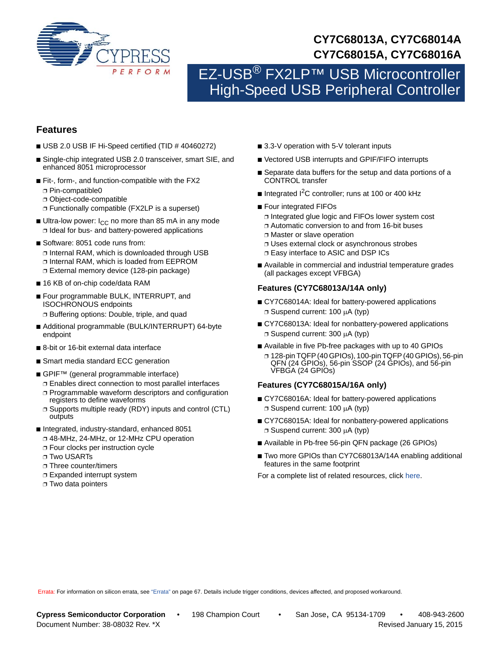

# **CY7C68013A, CY7C68014A CY7C68015A, CY7C68016A**

# EZ-USB<sup>®</sup> FX2LP™ USB Microcontroller High-Speed USB Peripheral Controller

# **Features**

- USB 2.0 USB IF Hi-Speed certified (TID # 40460272)
- Single-chip integrated USB 2.0 transceiver, smart SIE, and enhanced 8051 microprocessor
- Fit-, form-, and function-compatible with the FX2 ❐ Pin-compatible0
	- ❐ Object-code-compatible
	- ❐ Functionally compatible (FX2LP is a superset)
- Ultra-low power:  $I_{CC}$  no more than 85 mA in any mode ❐ Ideal for bus- and battery-powered applications
- Software: 8051 code runs from: ❐ Internal RAM, which is downloaded through USB ❐ Internal RAM, which is loaded from EEPROM ❐ External memory device (128-pin package)
- 16 KB of on-chip code/data RAM
- Four programmable BULK, INTERRUPT, and ISOCHRONOUS endpoints ❐ Buffering options: Double, triple, and quad
- Additional programmable (BULK/INTERRUPT) 64-byte endpoint
- 8-bit or 16-bit external data interface
- Smart media standard ECC generation
- GPIF<sup>™</sup> (general programmable interface)
	- ❐ Enables direct connection to most parallel interfaces
	- ❐ Programmable waveform descriptors and configuration registers to define waveforms
	- ❐ Supports multiple ready (RDY) inputs and control (CTL) outputs
- Integrated, industry-standard, enhanced 8051
	- ❐ 48-MHz, 24-MHz, or 12-MHz CPU operation
	- ❐ Four clocks per instruction cycle
	- ❐ Two USARTs
	- ❐ Three counter/timers
	- ❐ Expanded interrupt system
	- ❐ Two data pointers
- 3.3-V operation with 5-V tolerant inputs
- Vectored USB interrupts and GPIF/FIFO interrupts
- Separate data buffers for the setup and data portions of a CONTROL transfer
- Integrated  $1<sup>2</sup>C$  controller; runs at 100 or 400 kHz
- Four integrated FIFOs
	- ❐ Integrated glue logic and FIFOs lower system cost
- ❐ Automatic conversion to and from 16-bit buses
- ❐ Master or slave operation
- ❐ Uses external clock or asynchronous strobes
- ❐ Easy interface to ASIC and DSP ICs
- Available in commercial and industrial temperature grades (all packages except VFBGA)

# **Features (CY7C68013A/14A only)**

- CY7C68014A: Ideal for battery-powered applications □ Suspend current: 100 µA (typ)
- CY7C68013A: Ideal for nonbattery-powered applications  $\square$  Suspend current: 300  $\mu$ A (typ)
- Available in five Pb-free packages with up to 40 GPIOs ❐ 128-pin TQFP (40 GPIOs), 100-pin TQFP (40 GPIOs), 56-pin
	- $QFN$  (24  $GPIOs$ ), 56-pin  $SSOP$  (24  $GPIOs$ ), and 56-pin VFBGA (24 GPIOs)

# **Features (CY7C68015A/16A only)**

- CY7C68016A: Ideal for battery-powered applications □ Suspend current: 100 µA (typ)
- CY7C68015A: Ideal for nonbattery-powered applications  $\Box$  Suspend current: 300  $\mu$ A (typ)
- Available in Pb-free 56-pin QFN package (26 GPIOs)
- Two more GPIOs than CY7C68013A/14A enabling additional features in the same footprint
- For a complete list of related resources, click [here.](http://www.cypress.com/?id=193)

Errata: For information on silicon errata, see ["Errata" on page 67.](#page-66-0) Details include trigger conditions, devices affected, and proposed workaround.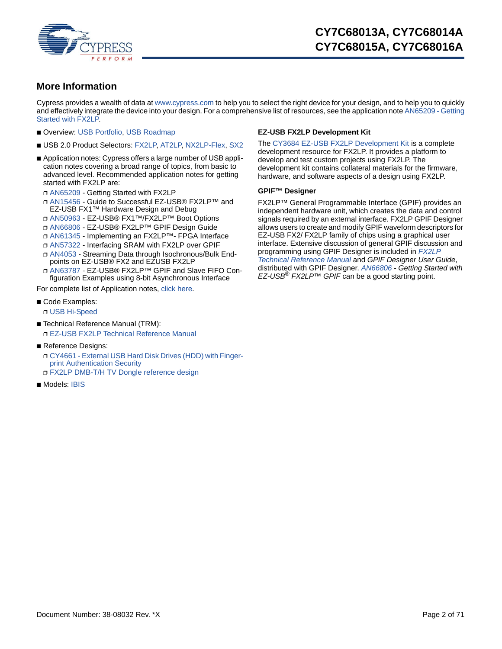

# <span id="page-1-0"></span>**More Information**

Cypress provides a wealth of data at [www.cypress.com](http://www.cypress.com) to help you to select the right device for your design, and to help you to quickly and effectively integrate the device into your design. For a comprehensive list of resources, see the application note [AN65209 - Getting](http://www.cypress.com/?rID=48371) [Started with FX2LP.](http://www.cypress.com/?rID=48371)

- Overview: [USB Portfolio,](http://www.cypress.com/?id=167) [USB Roadmap](http://www.cypress.com/?rID=94780)
- USB 2.0 Product Selectors: [FX2LP,](http://www.cypress.com/?id=193) [AT2LP,](http://www.cypress.com/?id=191) [NX2LP-Flex,](http://www.cypress.com/?id=196) [SX2](http://www.cypress.com/?id=4242)
- Application notes: Cypress offers a large number of USB application notes covering a broad range of topics, from basic to advanced level. Recommended application notes for getting started with FX2LP are:
	- ❐ [AN65209](http://www.cypress.com/?rID=48371) Getting Started with FX2LP
	- ❐ [AN15456](http://www.cypress.com/?rID=12956) Guide to Successful EZ-USB® FX2LP™ and EZ-USB FX1™ Hardware Design and Debug
	- ❐ [AN50963](http://www.cypress.com/?rID=34253) EZ-USB® FX1™/FX2LP™ Boot Options
	- ❐ [AN66806](http://www.cypress.com/?rID=12937) EZ-USB® FX2LP™ GPIF Design Guide
	- ❐ [AN61345](http://www.cypress.com/?rID=43046) Implementing an FX2LP™- FPGA Interface
	- ❐ [AN57322](http://www.cypress.com/?rID=39392) Interfacing SRAM with FX2LP over GPIF
	- ❐ [AN4053](http://www.cypress.com/?rID=12967) Streaming Data through Isochronous/Bulk Endpoints on EZ-USB® FX2 and EZUSB FX2LP
	- ❐ [AN63787](http://www.cypress.com/?rID=45850) EZ-USB® FX2LP™ GPIF and Slave FIFO Configuration Examples using 8-bit Asynchronous Interface

For complete list of Application notes, [click here.](http://www.cypress.com/?id=193&rtID=76)

- Code Examples: ❐ [USB Hi-Speed](http://www.cypress.com/?rID=101782)
- Technical Reference Manual (TRM): ❐ [EZ-USB FX2LP Technical Reference Manual](http://www.cypress.com/?rID=38232)
- Reference Designs:
	- ❐ [CY4661 External USB Hard Disk Drives \(HDD\) with Finger](http://www.cypress.com/?rID=14410)print Authentication Security
	- ❐ [FX2LP DMB-T/H TV Dongle reference design](http://www.cypress.com/?rID=37775)
- Models: [IBIS](http://www.cypress.com/?rID=17569)

### **EZ-USB FX2LP Development Kit**

The [CY3684 EZ-USB FX2LP Development Kit](http://www.cypress.com/?rID=14321) is a complete development resource for FX2LP. It provides a platform to develop and test custom projects using FX2LP. The development kit contains collateral materials for the firmware, hardware, and software aspects of a design using FX2LP.

### **GPIF™ Designer**

FX2LP™ General Programmable Interface (GPIF) provides an independent hardware unit, which creates the data and control signals required by an external interface. FX2LP GPIF Designer allows users to create and modify GPIF waveform descriptors for EZ-USB FX2/ FX2LP family of chips using a graphical user interface. Extensive discussion of general GPIF discussion and programming using GPIF Designer is included in *[FX2LP](http://www.cypress.com/?rID=38232)  [Technical Reference Manual](http://www.cypress.com/?rID=38232)* and *GPIF Designer User Guide*, distributed with GPIF Designer. *[AN66806](http://www.cypress.com/?rID=12937) - Getting Started with EZ-USB® FX2LP™ GPIF* can be a good starting point.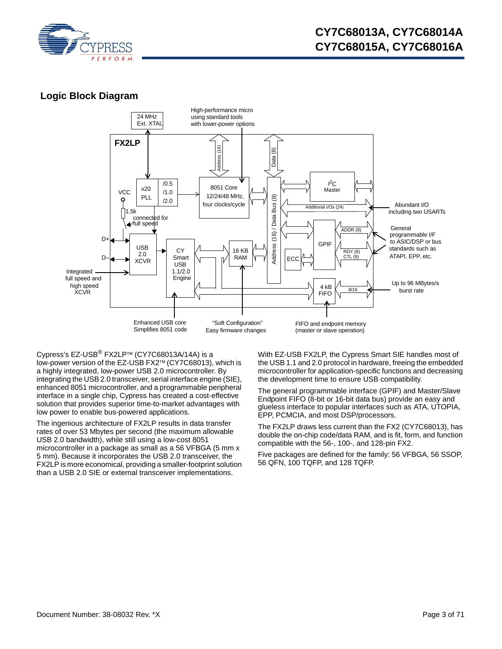

# **Logic Block Diagram**



Cypress's EZ-USB $^{\circledR}$  FX2LP<sup>TM</sup> (CY7C68013A/14A) is a low-power version of the EZ-USB FX2™ (CY7C68013), which is a highly integrated, low-power USB 2.0 microcontroller. By integrating the USB 2.0 transceiver, serial interface engine (SIE), enhanced 8051 microcontroller, and a programmable peripheral interface in a single chip, Cypress has created a cost-effective solution that provides superior time-to-market advantages with low power to enable bus-powered applications.

The ingenious architecture of FX2LP results in data transfer rates of over 53 Mbytes per second (the maximum allowable USB 2.0 bandwidth), while still using a low-cost 8051 microcontroller in a package as small as a 56 VFBGA (5 mm x 5 mm). Because it incorporates the USB 2.0 transceiver, the FX2LP is more economical, providing a smaller-footprint solution than a USB 2.0 SIE or external transceiver implementations.

With EZ-USB FX2LP, the Cypress Smart SIE handles most of the USB 1.1 and 2.0 protocol in hardware, freeing the embedded microcontroller for application-specific functions and decreasing the development time to ensure USB compatibility.

The general programmable interface (GPIF) and Master/Slave Endpoint FIFO (8-bit or 16-bit data bus) provide an easy and glueless interface to popular interfaces such as ATA, UTOPIA, EPP, PCMCIA, and most DSP/processors.

The FX2LP draws less current than the FX2 (CY7C68013), has double the on-chip code/data RAM, and is fit, form, and function compatible with the 56-, 100-, and 128-pin FX2.

Five packages are defined for the family: 56 VFBGA, 56 SSOP, 56 QFN, 100 TQFP, and 128 TQFP.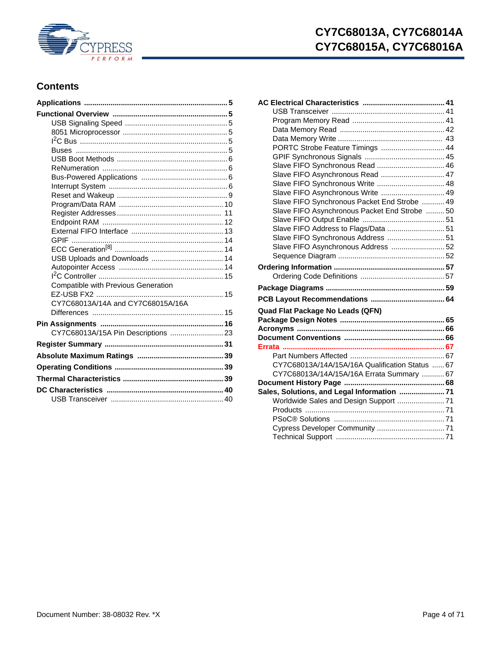

# **CY7C68013A, CY7C68014A CY7C68015A, CY7C68016A**

# **Contents**

| USB Uploads and Downloads  14              |  |
|--------------------------------------------|--|
|                                            |  |
|                                            |  |
| <b>Compatible with Previous Generation</b> |  |
|                                            |  |
| CY7C68013A/14A and CY7C68015A/16A          |  |
|                                            |  |
|                                            |  |
| CY7C68013A/15A Pin Descriptions  23        |  |
|                                            |  |
|                                            |  |
|                                            |  |
|                                            |  |
|                                            |  |
|                                            |  |
|                                            |  |
|                                            |  |

| PORTC Strobe Feature Timings  44                |  |
|-------------------------------------------------|--|
|                                                 |  |
| Slave FIFO Synchronous Read  46                 |  |
| Slave FIFO Asynchronous Read  47                |  |
| Slave FIFO Synchronous Write  48                |  |
| Slave FIFO Asynchronous Write  49               |  |
| Slave FIFO Synchronous Packet End Strobe  49    |  |
| Slave FIFO Asynchronous Packet End Strobe  50   |  |
|                                                 |  |
| Slave FIFO Address to Flags/Data  51            |  |
| Slave FIFO Synchronous Address  51              |  |
| Slave FIFO Asynchronous Address  52             |  |
|                                                 |  |
|                                                 |  |
|                                                 |  |
|                                                 |  |
|                                                 |  |
|                                                 |  |
| Quad Flat Package No Leads (QFN)                |  |
|                                                 |  |
|                                                 |  |
|                                                 |  |
|                                                 |  |
|                                                 |  |
| CY7C68013A/14A/15A/16A Qualification Status  67 |  |
| CY7C68013A/14A/15A/16A Errata Summary  67       |  |
|                                                 |  |
| Sales, Solutions, and Legal Information  71     |  |
| Worldwide Sales and Design Support  71          |  |
|                                                 |  |
|                                                 |  |
|                                                 |  |
|                                                 |  |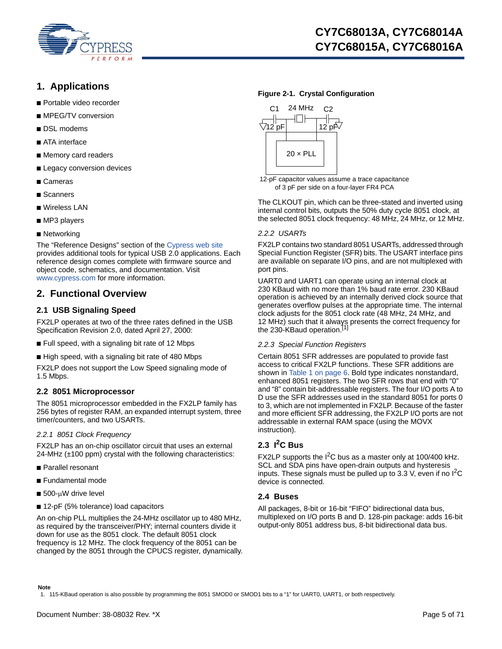

# **1. Applications**

- Portable video recorder
- MPEG/TV conversion
- DSL modems
- ATA interface
- Memory card readers
- Legacy conversion devices
- Cameras
- Scanners
- Wireless LAN
- MP3 players
- Networking

The "Reference Designs" section of the [Cypress web site](http://www.cypress.com) [provides additional tools for typical USB 2.0 applications. Each](www.cypress.com)  reference design comes complete with firmware source and object code, schematics, and documentation. Visit www.cypress.com for more information.

# <span id="page-4-0"></span>**2. Functional Overview**

### <span id="page-4-1"></span>**2.1 USB Signaling Speed**

FX2LP operates at two of the three rates defined in the USB Specification Revision 2.0, dated April 27, 2000:

- Full speed, with a signaling bit rate of 12 Mbps
- High speed, with a signaling bit rate of 480 Mbps

FX2LP does not support the Low Speed signaling mode of 1.5 Mbps.

### <span id="page-4-2"></span>**2.2 8051 Microprocessor**

The 8051 microprocessor embedded in the FX2LP family has 256 bytes of register RAM, an expanded interrupt system, three timer/counters, and two USARTs.

### *2.2.1 8051 Clock Frequency*

FX2LP has an on-chip oscillator circuit that uses an external 24-MHz (±100 ppm) crystal with the following characteristics:

- Parallel resonant
- Fundamental mode
- 500-uW drive level
- 12-pF (5% tolerance) load capacitors

An on-chip PLL multiplies the 24-MHz oscillator up to 480 MHz, as required by the transceiver/PHY; internal counters divide it down for use as the 8051 clock. The default 8051 clock frequency is 12 MHz. The clock frequency of the 8051 can be changed by the 8051 through the CPUCS register, dynamically.

### <span id="page-4-6"></span>**Figure 2-1. Crystal Configuration**





The CLKOUT pin, which can be three-stated and inverted using internal control bits, outputs the 50% duty cycle 8051 clock, at the selected 8051 clock frequency: 48 MHz, 24 MHz, or 12 MHz.

### *2.2.2 USARTs*

FX2LP contains two standard 8051 USARTs, addressed through Special Function Register (SFR) bits. The USART interface pins are available on separate I/O pins, and are not multiplexed with port pins.

UART0 and UART1 can operate using an internal clock at 230 KBaud with no more than 1% baud rate error. 230 KBaud operation is achieved by an internally derived clock source that generates overflow pulses at the appropriate time. The internal clock adjusts for the 8051 clock rate (48 MHz, 24 MHz, and 12 MHz) such that it always presents the correct frequency for<br>the 230-KBaud operation.<sup>[\[1](#page-4-5)]</sup>

### *2.2.3 Special Function Registers*

Certain 8051 SFR addresses are populated to provide fast access to critical FX2LP functions. These SFR additions are shown in [Table 1 on page 6](#page-5-4). Bold type indicates nonstandard, enhanced 8051 registers. The two SFR rows that end with "0" and "8" contain bit-addressable registers. The four I/O ports A to D use the SFR addresses used in the standard 8051 for ports 0 to 3, which are not implemented in FX2LP. Because of the faster and more efficient SFR addressing, the FX2LP I/O ports are not addressable in external RAM space (using the MOVX instruction).

# <span id="page-4-3"></span>**2.3 I2C Bus**

FX2LP supports the  $I^2C$  bus as a master only at 100/400 kHz. SCL and SDA pins have open-drain outputs and hysteresis inputs. These signals must be pulled up to 3.3 V, even if no  $I^2C$ device is connected.

### <span id="page-4-4"></span>**2.4 Buses**

All packages, 8-bit or 16-bit "FIFO" bidirectional data bus, multiplexed on I/O ports B and D. 128-pin package: adds 16-bit output-only 8051 address bus, 8-bit bidirectional data bus.

**Note**

<span id="page-4-5"></span><sup>1. 115-</sup>KBaud operation is also possible by programming the 8051 SMOD0 or SMOD1 bits to a "1" for UART0, UART1, or both respectively.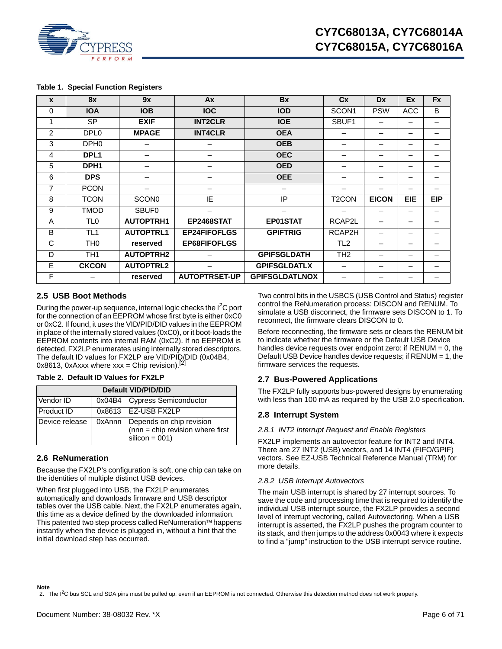

#### <span id="page-5-4"></span>**Table 1. Special Function Registers**

| $\mathbf{x}$   | <b>8x</b>        | 9x               | Ax                   | <b>Bx</b>             | <b>Cx</b>                | <b>Dx</b>    | Ex         | <b>Fx</b>  |
|----------------|------------------|------------------|----------------------|-----------------------|--------------------------|--------------|------------|------------|
| $\Omega$       | <b>IOA</b>       | <b>IOB</b>       | <b>IOC</b>           | <b>IOD</b>            | SCON <sub>1</sub>        | <b>PSW</b>   | ACC        | B          |
| 1              | <b>SP</b>        | <b>EXIF</b>      | <b>INT2CLR</b>       | <b>IOE</b>            | SBUF1                    |              | -          |            |
| 2              | DPL <sub>0</sub> | <b>MPAGE</b>     | <b>INT4CLR</b>       | <b>OEA</b>            |                          |              | -          |            |
| 3              | DPH <sub>0</sub> |                  |                      | <b>OEB</b>            |                          | -            | -          |            |
| 4              | DPL <sub>1</sub> |                  |                      | <b>OEC</b>            |                          |              |            |            |
| 5              | DPH <sub>1</sub> |                  | -                    | <b>OED</b>            | -                        | -            | -          |            |
| 6              | <b>DPS</b>       |                  |                      | <b>OEE</b>            | $\overline{\phantom{0}}$ | -            | -          |            |
| 7              | <b>PCON</b>      |                  |                      |                       |                          |              | -          |            |
| 8              | <b>TCON</b>      | <b>SCON0</b>     | IE                   | IP                    | T <sub>2</sub> CON       | <b>EICON</b> | <b>EIE</b> | <b>EIP</b> |
| 9              | <b>TMOD</b>      | <b>SBUF0</b>     |                      |                       |                          |              | -          |            |
| $\overline{A}$ | TL <sub>0</sub>  | <b>AUTOPTRH1</b> | <b>EP2468STAT</b>    | <b>EP01STAT</b>       | RCAP2L                   |              |            |            |
| B              | TL1              | <b>AUTOPTRL1</b> | <b>EP24FIFOFLGS</b>  | <b>GPIFTRIG</b>       | RCAP2H                   | -            | -          |            |
| C              | TH0              | reserved         | <b>EP68FIFOFLGS</b>  |                       | TL <sub>2</sub>          |              | -          |            |
| D              | TH <sub>1</sub>  | <b>AUTOPTRH2</b> |                      | <b>GPIFSGLDATH</b>    | TH <sub>2</sub>          |              | -          |            |
| E              | <b>CKCON</b>     | <b>AUTOPTRL2</b> |                      | <b>GPIFSGLDATLX</b>   | $\overline{\phantom{0}}$ | -            | -          | -          |
| F              |                  | reserved         | <b>AUTOPTRSET-UP</b> | <b>GPIFSGLDATLNOX</b> |                          |              |            |            |

### <span id="page-5-0"></span>**2.5 USB Boot Methods**

During the power-up sequence, internal logic checks the I<sup>2</sup>C port for the connection of an EEPROM whose first byte is either 0xC0 or 0xC2. If found, it uses the VID/PID/DID values in the EEPROM in place of the internally stored values (0xC0), or it boot-loads the EEPROM contents into internal RAM (0xC2). If no EEPROM is detected, FX2LP enumerates using internally stored descriptors. The default ID values for FX2LP are VID/PID/DID (0x04B4, 0x8613, 0xAxxx where  $xxx =$ Chip revision).<sup>[[2\]](#page-5-5)</sup>

### **Table 2. Default ID Values for FX2LP**

| Default VID/PID/DID |  |                                                                                          |  |  |  |
|---------------------|--|------------------------------------------------------------------------------------------|--|--|--|
| Vendor ID           |  | 0x04B4 Cypress Semiconductor                                                             |  |  |  |
| Product ID          |  | 0x8613 IEZ-USB FX2LP                                                                     |  |  |  |
| Device release      |  | 0xAnnn Depends on chip revision<br>(nnn = chip revision where first<br>$silicon = 001$ ) |  |  |  |

### <span id="page-5-1"></span>**2.6 ReNumeration**

Because the FX2LP's configuration is soft, one chip can take on the identities of multiple distinct USB devices.

When first plugged into USB, the FX2LP enumerates automatically and downloads firmware and USB descriptor tables over the USB cable. Next, the FX2LP enumerates again, this time as a device defined by the downloaded information. This patented two step process called ReNumeration™ happens instantly when the device is plugged in, without a hint that the initial download step has occurred.

Two control bits in the USBCS (USB Control and Status) register control the ReNumeration process: DISCON and RENUM. To simulate a USB disconnect, the firmware sets DISCON to 1. To reconnect, the firmware clears DISCON to 0.

Before reconnecting, the firmware sets or clears the RENUM bit to indicate whether the firmware or the Default USB Device handles device requests over endpoint zero: if  $RENUM = 0$ , the Default USB Device handles device requests; if RENUM = 1, the firmware services the requests.

### <span id="page-5-2"></span>**2.7 Bus-Powered Applications**

The FX2LP fully supports bus-powered designs by enumerating with less than 100 mA as required by the USB 2.0 specification.

### <span id="page-5-3"></span>**2.8 Interrupt System**

#### *2.8.1 INT2 Interrupt Request and Enable Registers*

FX2LP implements an autovector feature for INT2 and INT4. There are 27 INT2 (USB) vectors, and 14 INT4 (FIFO/GPIF) vectors. See EZ-USB Technical Reference Manual (TRM) for more details.

#### *2.8.2 USB Interrupt Autovectors*

The main USB interrupt is shared by 27 interrupt sources. To save the code and processing time that is required to identify the individual USB interrupt source, the FX2LP provides a second level of interrupt vectoring, called Autovectoring. When a USB interrupt is asserted, the FX2LP pushes the program counter to its stack, and then jumps to the address 0x0043 where it expects to find a "jump" instruction to the USB interrupt service routine.

<span id="page-5-5"></span>2. The I<sup>2</sup>C bus SCL and SDA pins must be pulled up, even if an EEPROM is not connected. Otherwise this detection method does not work properly.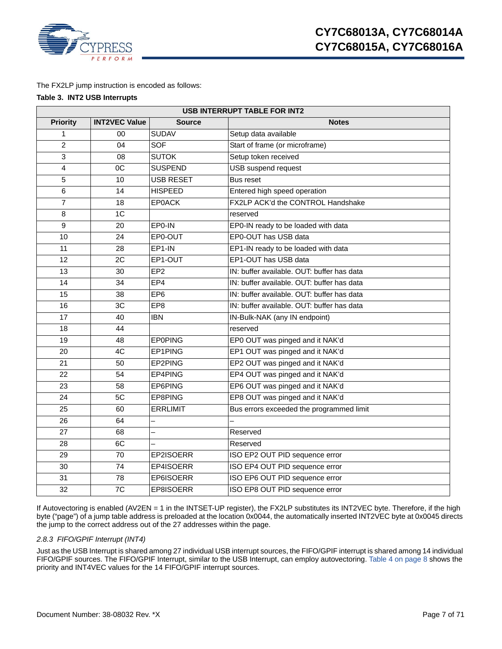

The FX2LP jump instruction is encoded as follows:

### **Table 3. INT2 USB Interrupts**

| <b>USB INTERRUPT TABLE FOR INT2</b> |                      |                  |                                            |  |  |  |  |
|-------------------------------------|----------------------|------------------|--------------------------------------------|--|--|--|--|
| <b>Priority</b>                     | <b>INT2VEC Value</b> | <b>Source</b>    | <b>Notes</b>                               |  |  |  |  |
| 1                                   | $00\,$               | <b>SUDAV</b>     | Setup data available                       |  |  |  |  |
| $\overline{c}$                      | 04                   | <b>SOF</b>       | Start of frame (or microframe)             |  |  |  |  |
| 3                                   | 08                   | <b>SUTOK</b>     | Setup token received                       |  |  |  |  |
| 4                                   | OC                   | <b>SUSPEND</b>   | <b>USB</b> suspend request                 |  |  |  |  |
| $\sqrt{5}$                          | 10                   | <b>USB RESET</b> | Bus reset                                  |  |  |  |  |
| 6                                   | 14                   | <b>HISPEED</b>   | Entered high speed operation               |  |  |  |  |
| $\overline{7}$                      | 18                   | <b>EP0ACK</b>    | FX2LP ACK'd the CONTROL Handshake          |  |  |  |  |
| 8                                   | $\overline{1C}$      |                  | reserved                                   |  |  |  |  |
| 9                                   | 20                   | EP0-IN           | EP0-IN ready to be loaded with data        |  |  |  |  |
| 10                                  | 24                   | EP0-OUT          | EP0-OUT has USB data                       |  |  |  |  |
| 11                                  | 28                   | EP1-IN           | EP1-IN ready to be loaded with data        |  |  |  |  |
| 12                                  | 2C                   | EP1-OUT          | EP1-OUT has USB data                       |  |  |  |  |
| 13                                  | 30                   | EP <sub>2</sub>  | IN: buffer available. OUT: buffer has data |  |  |  |  |
| 14                                  | 34                   | EP4              | IN: buffer available. OUT: buffer has data |  |  |  |  |
| 15                                  | 38                   | EP <sub>6</sub>  | IN: buffer available. OUT: buffer has data |  |  |  |  |
| 16                                  | 3C                   | EP <sub>8</sub>  | IN: buffer available. OUT: buffer has data |  |  |  |  |
| 17                                  | 40                   | <b>IBN</b>       | IN-Bulk-NAK (any IN endpoint)              |  |  |  |  |
| 18                                  | 44                   |                  | reserved                                   |  |  |  |  |
| 19                                  | 48                   | <b>EPOPING</b>   | EP0 OUT was pinged and it NAK'd            |  |  |  |  |
| 20                                  | 4C                   | EP1PING          | EP1 OUT was pinged and it NAK'd            |  |  |  |  |
| 21                                  | 50                   | EP2PING          | EP2 OUT was pinged and it NAK'd            |  |  |  |  |
| 22                                  | 54                   | EP4PING          | EP4 OUT was pinged and it NAK'd            |  |  |  |  |
| 23                                  | 58                   | EP6PING          | EP6 OUT was pinged and it NAK'd            |  |  |  |  |
| 24                                  | 5C                   | EP8PING          | EP8 OUT was pinged and it NAK'd            |  |  |  |  |
| 25                                  | 60                   | <b>ERRLIMIT</b>  | Bus errors exceeded the programmed limit   |  |  |  |  |
| 26                                  | 64                   | $\equiv$         |                                            |  |  |  |  |
| 27                                  | 68                   | $\overline{a}$   | Reserved                                   |  |  |  |  |
| 28                                  | 6C                   |                  | Reserved                                   |  |  |  |  |
| 29                                  | 70                   | EP2ISOERR        | ISO EP2 OUT PID sequence error             |  |  |  |  |
| 30                                  | 74                   | EP4ISOERR        | ISO EP4 OUT PID sequence error             |  |  |  |  |
| 31                                  | 78                   | EP6ISOERR        | ISO EP6 OUT PID sequence error             |  |  |  |  |
| 32                                  | 7C                   | EP8ISOERR        | ISO EP8 OUT PID sequence error             |  |  |  |  |

If Autovectoring is enabled (AV2EN = 1 in the INTSET-UP register), the FX2LP substitutes its INT2VEC byte. Therefore, if the high byte ("page") of a jump table address is preloaded at the location 0x0044, the automatically inserted INT2VEC byte at 0x0045 directs the jump to the correct address out of the 27 addresses within the page.

### <span id="page-6-0"></span>*2.8.3 FIFO/GPIF Interrupt (INT4)*

Just as the USB Interrupt is shared among 27 individual USB interrupt sources, the FIFO/GPIF interrupt is shared among 14 individual FIFO/GPIF sources. The FIFO/GPIF Interrupt, similar to the USB Interrupt, can employ autovectoring. [Table 4 on page 8](#page-7-0) shows the priority and INT4VEC values for the 14 FIFO/GPIF interrupt sources.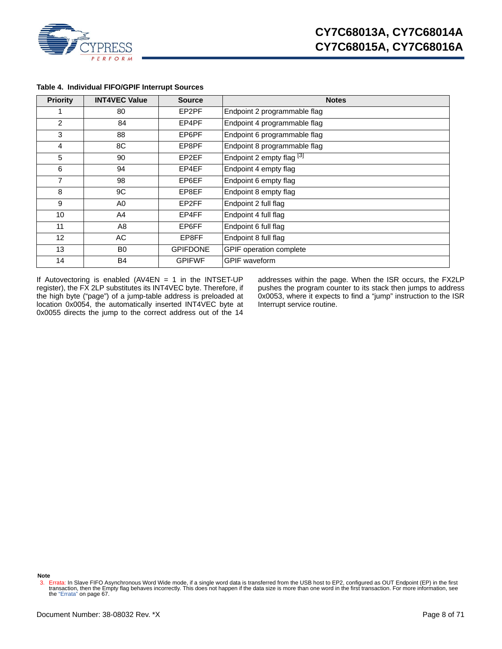

| <b>Priority</b> | <b>INT4VEC Value</b> | <b>Source</b>   | <b>Notes</b>                 |
|-----------------|----------------------|-----------------|------------------------------|
|                 | 80                   | EP2PF           | Endpoint 2 programmable flag |
| 2               | 84                   | EP4PF           | Endpoint 4 programmable flag |
| 3               | 88                   | EP6PF           | Endpoint 6 programmable flag |
| 4               | 8C                   | EP8PF           | Endpoint 8 programmable flag |
| 5               | 90                   | EP2EF           | Endpoint 2 empty flag [3]    |
| 6               | 94                   | EP4EF           | Endpoint 4 empty flag        |
| 7               | 98                   | EP6EF           | Endpoint 6 empty flag        |
| 8               | 9C                   | EP8EF           | Endpoint 8 empty flag        |
| 9               | A0                   | EP2FF           | Endpoint 2 full flag         |
| 10              | A4                   | EP4FF           | Endpoint 4 full flag         |
| 11              | A8                   | EP6FF           | Endpoint 6 full flag         |
| 12 <sub>2</sub> | AC                   | EP8FF           | Endpoint 8 full flag         |
| 13              | B <sub>0</sub>       | <b>GPIFDONE</b> | GPIF operation complete      |
| 14              | B4                   | <b>GPIFWF</b>   | <b>GPIF</b> waveform         |

### <span id="page-7-0"></span>**Table 4. Individual FIFO/GPIF Interrupt Sources**

If Autovectoring is enabled (AV4EN = 1 in the INTSET-UP register), the FX 2LP substitutes its INT4VEC byte. Therefore, if the high byte ("page") of a jump-table address is preloaded at location 0x0054, the automatically inserted INT4VEC byte at 0x0055 directs the jump to the correct address out of the 14

addresses within the page. When the ISR occurs, the FX2LP pushes the program counter to its stack then jumps to address 0x0053, where it expects to find a "jump" instruction to the ISR Interrupt service routine.

**Note**

<span id="page-7-1"></span><sup>3.</sup> Errata: In Slave FIFO Asynchronous Word Wide mode, if a single word data is transferred from the USB host to EP2, configured as OUT Endpoint (EP) in the first<br>transaction, then the Empty flag behaves incorrectly. This d the ["Errata" on page 67.](#page-66-0)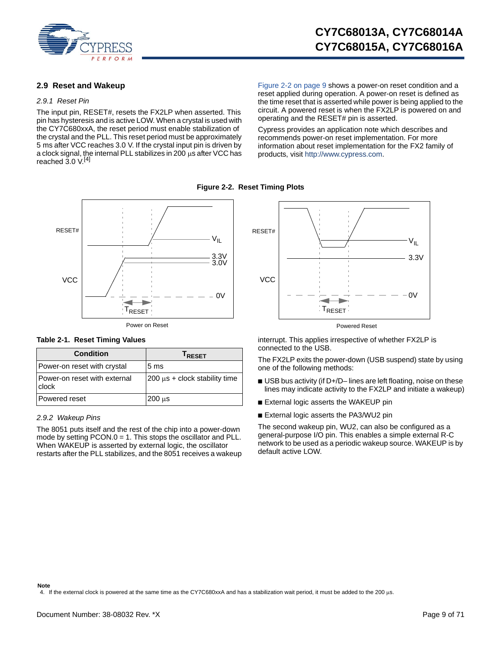

### <span id="page-8-0"></span>**2.9 Reset and Wakeup**

#### *2.9.1 Reset Pin*

The input pin, RESET#, resets the FX2LP when asserted. This pin has hysteresis and is active LOW. When a crystal is used with the CY7C680xxA, the reset period must enable stabilization of the crystal and the PLL. This reset period must be approximately 5 ms after VCC reaches 3.0 V. If the crystal input pin is driven by a clock signal, the internal PLL stabilizes in 200  $\mu$ s after VCC has reached 3.0 V.<sup>[\[4](#page-8-1)]</sup>

[Figure 2-2 on page 9](#page-8-2) shows a power-on reset condition and a reset applied during operation. A power-on reset is defined as the time reset that is asserted while power is being applied to the circuit. A powered reset is when the FX2LP is powered on and operating and the RESET# pin is asserted.

Cypress provides an application note which describes and recommends power-on reset implementation. For more information about reset implementation for the FX2 family of products, visit<http://www.cypress.com>.

<span id="page-8-2"></span>

### **Table 2-1. Reset Timing Values**

| <b>Condition</b>                        | <b>IRESET</b>                      |
|-----------------------------------------|------------------------------------|
| Power-on reset with crystal             | 5 <sub>ms</sub>                    |
| l Power-on reset with external<br>clock | $200 \mu s$ + clock stability time |
| Powered reset                           | $200 \mu s$                        |

### *2.9.2 Wakeup Pins*

The 8051 puts itself and the rest of the chip into a power-down mode by setting PCON.0 = 1. This stops the oscillator and PLL. When WAKEUP is asserted by external logic, the oscillator restarts after the PLL stabilizes, and the 8051 receives a wakeup



**Figure 2-2. Reset Timing Plots**

interrupt. This applies irrespective of whether FX2LP is connected to the USB.

The FX2LP exits the power-down (USB suspend) state by using one of the following methods:

- USB bus activity (if D+/D– lines are left floating, noise on these lines may indicate activity to the FX2LP and initiate a wakeup)
- External logic asserts the WAKEUP pin
- External logic asserts the PA3/WU2 pin

The second wakeup pin, WU2, can also be configured as a general-purpose I/O pin. This enables a simple external R-C network to be used as a periodic wakeup source. WAKEUP is by default active LOW.

#### **Note**

<span id="page-8-1"></span>4. If the external clock is powered at the same time as the CY7C680xxA and has a stabilization wait period, it must be added to the 200 us.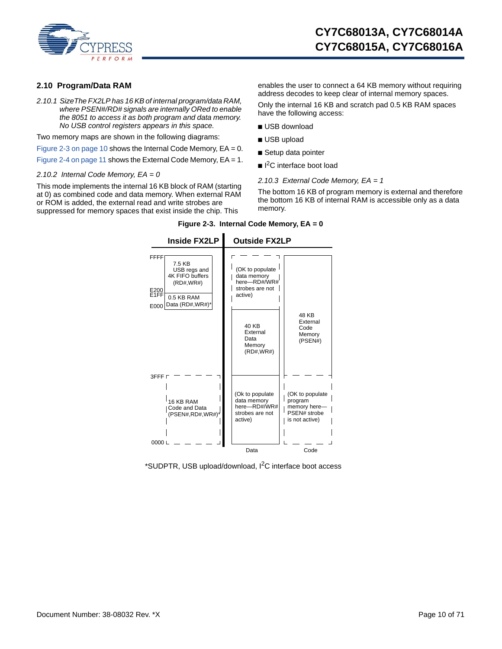

### <span id="page-9-0"></span>**2.10 Program/Data RAM**

*2.10.1 SizeThe FX2LP has 16 KB of internal program/data RAM, where PSEN#/RD# signals are internally ORed to enable the 8051 to access it as both program and data memory. No USB control registers appears in this space.* 

Two memory maps are shown in the following diagrams:

[Figure 2-3 on page 10](#page-9-1) shows the Internal Code Memory,  $EA = 0$ .

[Figure 2-4 on page 11](#page-10-1) shows the External Code Memory, EA = 1.

*2.10.2 Internal Code Memory, EA = 0*

<span id="page-9-1"></span>This mode implements the internal 16 KB block of RAM (starting at 0) as combined code and data memory. When external RAM or ROM is added, the external read and write strobes are suppressed for memory spaces that exist inside the chip. This

enables the user to connect a 64 KB memory without requiring address decodes to keep clear of internal memory spaces.

Only the internal 16 KB and scratch pad 0.5 KB RAM spaces have the following access:

- USB download
- USB upload
- Setup data pointer
- I<sup>2</sup>C interface boot load
- *2.10.3 External Code Memory, EA = 1*

The bottom 16 KB of program memory is external and therefore the bottom 16 KB of internal RAM is accessible only as a data memory.

**Figure 2-3. Internal Code Memory, EA = 0**



\*SUDPTR, USB upload/download, <sup>2</sup>C interface boot access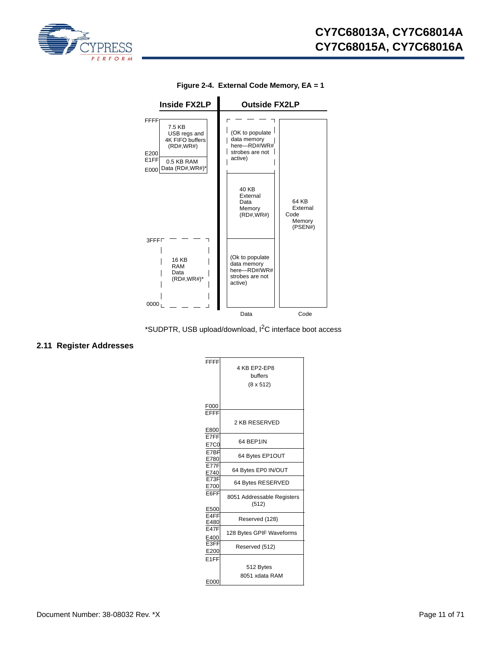<span id="page-10-1"></span>



**Figure 2-4. External Code Memory, EA = 1**



# <span id="page-10-0"></span>**2.11 Register Addresses**

| FFFF              |                            |
|-------------------|----------------------------|
|                   | 4 KB EP2-EP8               |
|                   |                            |
|                   | buffers                    |
|                   | $(8 \times 512)$           |
|                   |                            |
|                   |                            |
|                   |                            |
|                   |                            |
| $rac{F000}{EFFF}$ |                            |
|                   |                            |
|                   | 2 KB RESERVED              |
| E800              |                            |
| E7FF              |                            |
|                   | 64 BEP1IN                  |
| <b>E7C0</b>       |                            |
| E7BF              |                            |
| E780              | 64 Bytes EP1OUT            |
| <b>E77F</b>       |                            |
| E740              | 64 Bytes EP0 IN/OUT        |
| E73F              |                            |
|                   | 64 Bytes RESERVED          |
| E700              |                            |
| E6FF              |                            |
|                   | 8051 Addressable Registers |
|                   | (512)                      |
| E500              |                            |
| E <sub>4FF</sub>  | Reserved (128)             |
| E480              |                            |
| <b>E47F</b>       |                            |
| E400              | 128 Bytes GPIF Waveforms   |
| E3FF              |                            |
|                   | Reserved (512)             |
| E200              |                            |
| E <sub>1</sub> FF |                            |
|                   | 512 Bytes                  |
|                   |                            |
|                   | 8051 xdata RAM             |
| E000              |                            |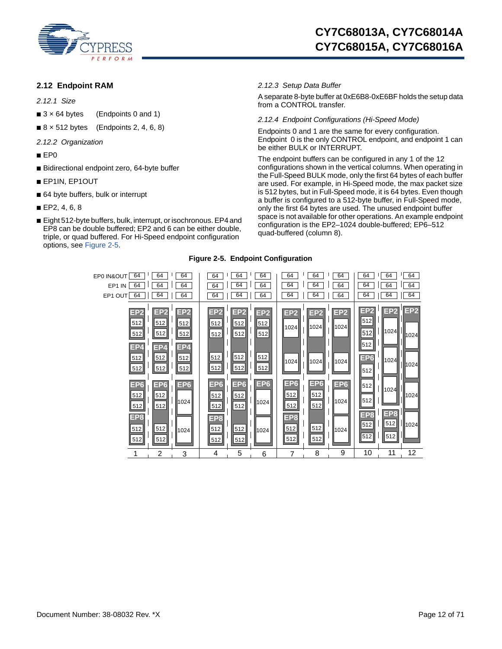

### <span id="page-11-0"></span>**2.12 Endpoint RAM**

*2.12.1 Size*

- $\blacksquare$  3 x 64 bytes (Endpoints 0 and 1)
- 8 × 512 bytes (Endpoints 2, 4, 6, 8)
- *2.12.2 Organization*
- EP0
- Bidirectional endpoint zero, 64-byte buffer
- EP1IN, EP1OUT
- 64 byte buffers, bulk or interrupt
- EP2, 4, 6, 8
- <span id="page-11-1"></span>■ Eight 512-byte buffers, bulk, interrupt, or isochronous. EP4 and EP8 can be double buffered; EP2 and 6 can be either double, triple, or quad buffered. For Hi-Speed endpoint configuration options, see [Figure 2-5.](#page-11-1)

### *2.12.3 Setup Data Buffer*

A separate 8-byte buffer at 0xE6B8-0xE6BF holds the setup data from a CONTROL transfer.

*2.12.4 Endpoint Configurations (Hi-Speed Mode)*

Endpoints 0 and 1 are the same for every configuration. Endpoint 0 is the only CONTROL endpoint, and endpoint 1 can be either BULK or INTERRUPT.

The endpoint buffers can be configured in any 1 of the 12 configurations shown in the vertical columns. When operating in the Full-Speed BULK mode, only the first 64 bytes of each buffer are used. For example, in Hi-Speed mode, the max packet size is 512 bytes, but in Full-Speed mode, it is 64 bytes. Even though a buffer is configured to a 512-byte buffer, in Full-Speed mode, only the first 64 bytes are used. The unused endpoint buffer space is not available for other operations. An example endpoint configuration is the EP2–1024 double-buffered; EP6–512 quad-buffered (column 8).

### **Figure 2-5. Endpoint Configuration**

| 64<br>EP0 IN&OUT<br>64<br>EP1 IN<br>64<br>EP1 OUT              | 64<br>64<br>64                                                 | 64<br>64<br>64                                     | 64<br>64<br>64                                     | 64<br>64<br>64                              | 64<br>64<br>64                              | 64<br>64<br>64                                     | 64<br>64<br>64                              | 64<br>64<br>64                  | 64<br>64<br>64                                                 | 64<br>64<br>64                  | 64<br>64<br>64                  |
|----------------------------------------------------------------|----------------------------------------------------------------|----------------------------------------------------|----------------------------------------------------|---------------------------------------------|---------------------------------------------|----------------------------------------------------|---------------------------------------------|---------------------------------|----------------------------------------------------------------|---------------------------------|---------------------------------|
| EP <sub>2</sub><br>512<br>512<br>EP4<br>512<br>512             | EP <sub>2</sub><br>512<br>512<br>EP <sub>4</sub><br>512<br>512 | EP <sub>2</sub><br>512<br>512<br>EP4<br>512<br>512 | EP <sub>2</sub><br>512<br>512<br>512<br>512        | EP <sub>2</sub><br>512<br>512<br>512<br>512 | EP <sub>2</sub><br>512<br>512<br>512<br>512 | EP <sub>2</sub><br>1024<br>1024                    | EP <sub>2</sub><br>1024<br>1024             | EP <sub>2</sub><br>1024<br>1024 | EP <sub>2</sub><br>512<br>512<br>512<br>EP <sub>6</sub><br>512 | EP <sub>2</sub><br>1024<br>1024 | EP <sub>2</sub><br>1024<br>1024 |
| EP <sub>6</sub><br>512<br>512<br>EP <sub>8</sub><br>512<br>512 | EP <sub>6</sub><br>512<br>512<br>512<br>512                    | EP <sub>6</sub><br>1024<br>1024                    | EP <sub>6</sub><br>512<br>512<br>EP8<br>512<br>512 | EP <sub>6</sub><br>512<br>512<br>512<br>512 | EP <sub>6</sub><br>1024<br>1024             | EP <sub>6</sub><br>512<br>512<br>EP8<br>512<br>512 | EP <sub>6</sub><br>512<br>512<br>512<br>512 | EP <sub>6</sub><br>1024<br>1024 | 512<br>512<br>EP <sub>8</sub><br>512<br>512                    | 1024<br>EP8<br>512<br>512       | 1024<br>11024                   |
|                                                                | $\overline{2}$                                                 | 3                                                  | 4                                                  | 5                                           | 6                                           | 7                                                  | 8                                           | 9                               | 10                                                             | 11                              | 12                              |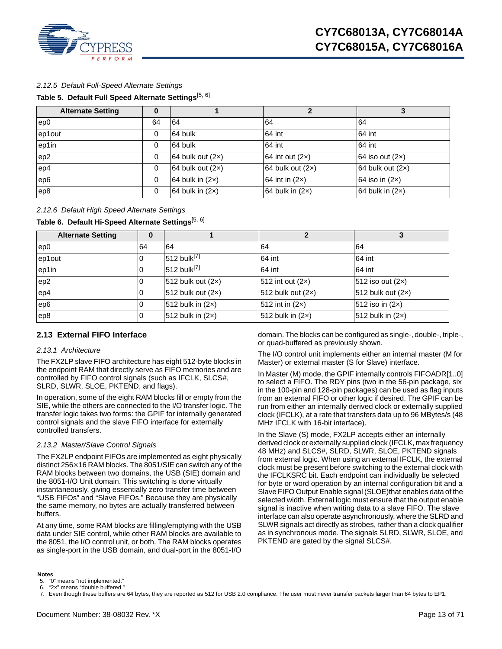

### *2.12.5 Default Full-Speed Alternate Settings*

### **Table 5. Default Full Speed Alternate Settings**[\[5](#page-12-1), [6](#page-12-2)]

| <b>Alternate Setting</b> | $\bf{0}$ |                    |                    |                    |
|--------------------------|----------|--------------------|--------------------|--------------------|
| ep0                      | 64       | 64                 | 64                 | 64                 |
| ep1out                   | $\Omega$ | 64 bulk            | 64 int             | 64 int             |
| ep1in                    | 0        | 64 bulk            | 64 int             | 64 int             |
| ep2                      | $\Omega$ | 64 bulk out $(2x)$ | 64 int out $(2x)$  | 64 iso out $(2x)$  |
| ep4                      | $\Omega$ | 64 bulk out $(2x)$ | 64 bulk out $(2x)$ | 64 bulk out $(2x)$ |
| ep6                      | $\Omega$ | 64 bulk in $(2x)$  | 64 int in $(2x)$   | 64 iso in $(2x)$   |
| ep8                      | $\Omega$ | 64 bulk in $(2x)$  | 64 bulk in $(2x)$  | 64 bulk in $(2x)$  |

### *2.12.6 Default High Speed Alternate Settings*

### **Table 6. Default Hi-Speed Alternate Settings**[[5,](#page-12-1) [6\]](#page-12-2)

| <b>Alternate Setting</b> | 0  |                           |                     |                     |
|--------------------------|----|---------------------------|---------------------|---------------------|
| ep0                      | 64 | 64                        | 64                  | 64                  |
| ep1out                   |    | $512$ bulk <sup>[7]</sup> | 64 int              | 64 int              |
| ep1in                    |    | 512 bulk <sup>[7]</sup>   | 64 int              | 64 int              |
| ep2                      |    | 512 bulk out $(2x)$       | 512 int out $(2x)$  | 512 iso out (2x)    |
| ep4                      |    | 512 bulk out $(2x)$       | 512 bulk out $(2x)$ | 512 bulk out $(2x)$ |
| ep6                      |    | 512 bulk in $(2x)$        | 512 int in $(2x)$   | 512 iso in (2x)     |
| ep8                      |    | 512 bulk in $(2x)$        | 512 bulk in (2x)    | 512 bulk in $(2x)$  |

### <span id="page-12-0"></span>**2.13 External FIFO Interface**

#### *2.13.1 Architecture*

The FX2LP slave FIFO architecture has eight 512-byte blocks in the endpoint RAM that directly serve as FIFO memories and are controlled by FIFO control signals (such as IFCLK, SLCS#, SLRD, SLWR, SLOE, PKTEND, and flags).

In operation, some of the eight RAM blocks fill or empty from the SIE, while the others are connected to the I/O transfer logic. The transfer logic takes two forms: the GPIF for internally generated control signals and the slave FIFO interface for externally controlled transfers.

### *2.13.2 Master/Slave Control Signals*

The FX2LP endpoint FIFOs are implemented as eight physically distinct 256×16 RAM blocks. The 8051/SIE can switch any of the RAM blocks between two domains, the USB (SIE) domain and the 8051-I/O Unit domain. This switching is done virtually instantaneously, giving essentially zero transfer time between "USB FIFOs" and "Slave FIFOs." Because they are physically the same memory, no bytes are actually transferred between buffers.

At any time, some RAM blocks are filling/emptying with the USB data under SIE control, while other RAM blocks are available to the 8051, the I/O control unit, or both. The RAM blocks operates as single-port in the USB domain, and dual-port in the 8051-I/O

domain. The blocks can be configured as single-, double-, triple-, or quad-buffered as previously shown.

The I/O control unit implements either an internal master (M for Master) or external master (S for Slave) interface.

In Master (M) mode, the GPIF internally controls FIFOADR[1..0] to select a FIFO. The RDY pins (two in the 56-pin package, six in the 100-pin and 128-pin packages) can be used as flag inputs from an external FIFO or other logic if desired. The GPIF can be run from either an internally derived clock or externally supplied clock (IFCLK), at a rate that transfers data up to 96 MBytes/s (48 MHz IFCLK with 16-bit interface).

In the Slave (S) mode, FX2LP accepts either an internally derived clock or externally supplied clock (IFCLK, max frequency 48 MHz) and SLCS#, SLRD, SLWR, SLOE, PKTEND signals from external logic. When using an external IFCLK, the external clock must be present before switching to the external clock with the IFCLKSRC bit. Each endpoint can individually be selected for byte or word operation by an internal configuration bit and a Slave FIFO Output Enable signal (SLOE)that enables data of the selected width. External logic must ensure that the output enable signal is inactive when writing data to a slave FIFO. The slave interface can also operate asynchronously, where the SLRD and SLWR signals act directly as strobes, rather than a clock qualifier as in synchronous mode. The signals SLRD, SLWR, SLOE, and PKTEND are gated by the signal SLCS#.

#### **Notes**

<span id="page-12-2"></span><span id="page-12-1"></span>5. "0" means "not implemented." 6. "2×" means "double buffered."

<span id="page-12-3"></span><sup>7.</sup> Even though these buffers are 64 bytes, they are reported as 512 for USB 2.0 compliance. The user must never transfer packets larger than 64 bytes to EP1.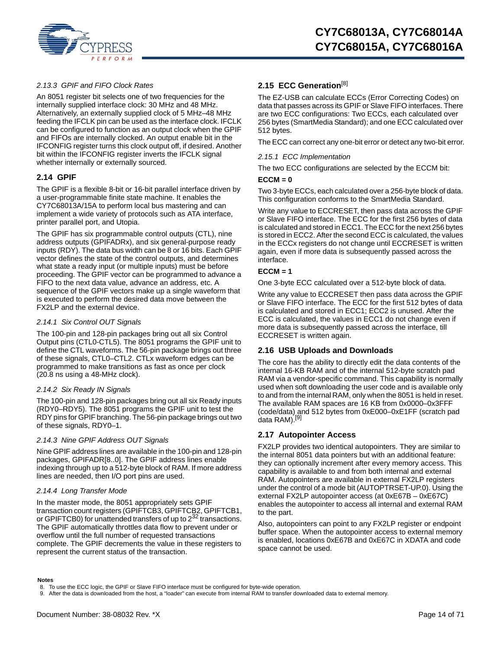

### *2.13.3 GPIF and FIFO Clock Rates*

An 8051 register bit selects one of two frequencies for the internally supplied interface clock: 30 MHz and 48 MHz. Alternatively, an externally supplied clock of 5 MHz–48 MHz feeding the IFCLK pin can be used as the interface clock. IFCLK can be configured to function as an output clock when the GPIF and FIFOs are internally clocked. An output enable bit in the IFCONFIG register turns this clock output off, if desired. Another bit within the IFCONFIG register inverts the IFCLK signal whether internally or externally sourced.

### <span id="page-13-0"></span>**2.14 GPIF**

The GPIF is a flexible 8-bit or 16-bit parallel interface driven by a user-programmable finite state machine. It enables the CY7C68013A/15A to perform local bus mastering and can implement a wide variety of protocols such as ATA interface, printer parallel port, and Utopia.

The GPIF has six programmable control outputs (CTL), nine address outputs (GPIFADRx), and six general-purpose ready inputs (RDY). The data bus width can be 8 or 16 bits. Each GPIF vector defines the state of the control outputs, and determines what state a ready input (or multiple inputs) must be before proceeding. The GPIF vector can be programmed to advance a FIFO to the next data value, advance an address, etc. A sequence of the GPIF vectors make up a single waveform that is executed to perform the desired data move between the FX2LP and the external device.

### *2.14.1 Six Control OUT Signals*

The 100-pin and 128-pin packages bring out all six Control Output pins (CTL0-CTL5). The 8051 programs the GPIF unit to define the CTL waveforms. The 56-pin package brings out three of these signals, CTL0–CTL2. CTLx waveform edges can be programmed to make transitions as fast as once per clock (20.8 ns using a 48-MHz clock).

### *2.14.2 Six Ready IN Signals*

The 100-pin and 128-pin packages bring out all six Ready inputs (RDY0–RDY5). The 8051 programs the GPIF unit to test the RDY pins for GPIF branching. The 56-pin package brings out two of these signals, RDY0–1.

### *2.14.3 Nine GPIF Address OUT Signals*

Nine GPIF address lines are available in the 100-pin and 128-pin packages, GPIFADR[8..0]. The GPIF address lines enable indexing through up to a 512-byte block of RAM. If more address lines are needed, then I/O port pins are used.

### *2.14.4 Long Transfer Mode*

In the master mode, the 8051 appropriately sets GPIF transaction count registers (GPIFTCB3, GPIFTCB2, GPIFTCB1, or GPIFTCB0) for unattended transfers of up to 2<sup>32</sup> transactions. The GPIF automatically throttles data flow to prevent under or overflow until the full number of requested transactions complete. The GPIF decrements the value in these registers to represent the current status of the transaction.

### <span id="page-13-1"></span>**2.15 ECC Generation**[\[8](#page-13-4)]

The EZ-USB can calculate ECCs (Error Correcting Codes) on data that passes across its GPIF or Slave FIFO interfaces. There are two ECC configurations: Two ECCs, each calculated over 256 bytes (SmartMedia Standard); and one ECC calculated over 512 bytes.

The ECC can correct any one-bit error or detect any two-bit error.

#### *2.15.1 ECC Implementation*

The two ECC configurations are selected by the ECCM bit:

#### **ECCM = 0**

Two 3-byte ECCs, each calculated over a 256-byte block of data. This configuration conforms to the SmartMedia Standard.

Write any value to ECCRESET, then pass data across the GPIF or Slave FIFO interface. The ECC for the first 256 bytes of data is calculated and stored in ECC1. The ECC for the next 256 bytes is stored in ECC2. After the second ECC is calculated, the values in the ECCx registers do not change until ECCRESET is written again, even if more data is subsequently passed across the interface.

### **ECCM = 1**

One 3-byte ECC calculated over a 512-byte block of data.

Write any value to ECCRESET then pass data across the GPIF or Slave FIFO interface. The ECC for the first 512 bytes of data is calculated and stored in ECC1; ECC2 is unused. After the ECC is calculated, the values in ECC1 do not change even if more data is subsequently passed across the interface, till ECCRESET is written again.

### <span id="page-13-2"></span>**2.16 USB Uploads and Downloads**

The core has the ability to directly edit the data contents of the internal 16-KB RAM and of the internal 512-byte scratch pad RAM via a vendor-specific command. This capability is normally used when soft downloading the user code and is available only to and from the internal RAM, only when the 8051 is held in reset. The available RAM spaces are 16 KB from 0x0000–0x3FFF (code/data) and 512 bytes from 0xE000–0xE1FF (scratch pad<br>data RAM).<sup>[\[9](#page-13-5)]</sup>

### <span id="page-13-3"></span>**2.17 Autopointer Access**

FX2LP provides two identical autopointers. They are similar to the internal 8051 data pointers but with an additional feature: they can optionally increment after every memory access. This capability is available to and from both internal and external RAM. Autopointers are available in external FX2LP registers under the control of a mode bit (AUTOPTRSET-UP.0). Using the external FX2LP autopointer access (at 0xE67B – 0xE67C) enables the autopointer to access all internal and external RAM to the part.

Also, autopointers can point to any FX2LP register or endpoint buffer space. When the autopointer access to external memory is enabled, locations 0xE67B and 0xE67C in XDATA and code space cannot be used.

#### **Notes**

<span id="page-13-4"></span><sup>8.</sup> To use the ECC logic, the GPIF or Slave FIFO interface must be configured for byte-wide operation.

<span id="page-13-5"></span><sup>9.</sup> After the data is downloaded from the host, a "loader" can execute from internal RAM to transfer downloaded data to external memory.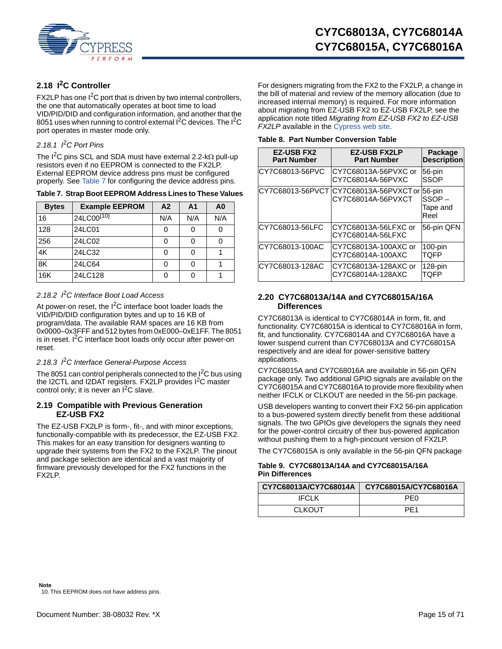

# <span id="page-14-0"></span>**2.18 I2C Controller**

FX2LP has one  $1<sup>2</sup>C$  port that is driven by two internal controllers, the one that automatically operates at boot time to load VID/PID/DID and configuration information, and another that the 8051 uses when running to control external I<sup>2</sup>C devices. The I<sup>2</sup>C port operates in master mode only.

### *2.18.1 I*2*C Port Pins*

The  $1^2C$  pins SCL and SDA must have external 2.2-k $\Omega$  pull-up resistors even if no EEPROM is connected to the FX2LP. External EEPROM device address pins must be configured properly. See [Table 7](#page-14-4) for configuring the device address pins.

<span id="page-14-4"></span>

|  | Table 7. Strap Boot EEPROM Address Lines to These Values |  |  |
|--|----------------------------------------------------------|--|--|
|--|----------------------------------------------------------|--|--|

| <b>Bytes</b> | <b>Example EEPROM</b>  | A2  | A <sub>1</sub> | A <sub>0</sub> |
|--------------|------------------------|-----|----------------|----------------|
| 16           | 24LC00 <sup>[10]</sup> | N/A | N/A            | N/A            |
| 128          | 24LC01                 | C   |                |                |
| 256          | 24LC02                 | 0   | U              |                |
| 4K           | 24LC32                 | 0   | O              |                |
| 8K           | 24LC64                 | 0   |                |                |
| 16K          | 24LC128                | Ω   |                |                |

### *2.18.2 I*2*C Interface Boot Load Access*

At power-on reset, the  $I^2C$  interface boot loader loads the VID/PID/DID configuration bytes and up to 16 KB of program/data. The available RAM spaces are 16 KB from 0x0000–0x3FFF and 512 bytes from 0xE000–0xE1FF. The 8051 is in reset.  ${}^{12}C$  interface boot loads only occur after power-on reset.

### *2.18.3 I*2*C Interface General-Purpose Access*

The 8051 can control peripherals connected to the  $1<sup>2</sup>C$  bus using the I2CTL and I2DAT registers. FX2LP provides I<sup>2</sup>C master control only; it is never an  $I^2C$  slave.

### <span id="page-14-1"></span>**2.19 Compatible with Previous Generation EZ-USB FX2**

<span id="page-14-3"></span>The EZ-USB FX2LP is form-, fit-, and with minor exceptions, functionally-compatible with its predecessor, the EZ-USB FX2. This makes for an easy transition for designers wanting to upgrade their systems from the FX2 to the FX2LP. The pinout and package selection are identical and a vast majority of firmware previously developed for the FX2 functions in the FX2LP.

For designers migrating from the FX2 to the FX2LP, a change in the bill of material and review of the memory allocation (due to increased internal memory) is required. For more information about migrating from EZ-USB FX2 to EZ-USB FX2LP, see the application note titled *Migrating from EZ-USB FX2 to EZ-USB FX2LP* available in the [Cypress web site.](http://www.cypress.com)

<span id="page-14-5"></span>

|  | Table 8. Part Number Conversion Table |  |  |
|--|---------------------------------------|--|--|
|--|---------------------------------------|--|--|

| <b>EZ-USB FX2</b><br><b>Part Number</b> | <b>EZ-USB FX2LP</b><br><b>Part Number</b>   | Package<br><b>Description</b>       |
|-----------------------------------------|---------------------------------------------|-------------------------------------|
| CY7C68013-56PVC                         | ICY7C68013A-56PVXC or<br>CY7C68014A-56PVXC  | 56-pin<br><b>SSOP</b>               |
| CY7C68013-56PVCT                        | ICY7C68013A-56PVXCTor<br>CY7C68014A-56PVXCT | 56-pin<br>SSOP-<br>Tape and<br>Reel |
| CY7C68013-56LFC                         | CY7C68013A-56LFXC or<br>CY7C68014A-56LFXC   | 56-pin QFN                          |
| CY7C68013-100AC                         | CY7C68013A-100AXC or<br>CY7C68014A-100AXC   | $100$ -pin<br>TOFP                  |
| CY7C68013-128AC                         | CY7C68013A-128AXC or<br>CY7C68014A-128AXC   | $128$ -pin<br>TOFP                  |

### <span id="page-14-2"></span>**2.20 CY7C68013A/14A and CY7C68015A/16A Differences**

CY7C68013A is identical to CY7C68014A in form, fit, and functionality. CY7C68015A is identical to CY7C68016A in form, fit, and functionality. CY7C68014A and CY7C68016A have a lower suspend current than CY7C68013A and CY7C68015A respectively and are ideal for power-sensitive battery applications.

CY7C68015A and CY7C68016A are available in 56-pin QFN package only. Two additional GPIO signals are available on the CY7C68015A and CY7C68016A to provide more flexibility when neither IFCLK or CLKOUT are needed in the 56-pin package.

USB developers wanting to convert their FX2 56-pin application to a bus-powered system directly benefit from these additional signals. The two GPIOs give developers the signals they need for the power-control circuitry of their bus-powered application without pushing them to a high-pincount version of FX2LP.

The CY7C68015A is only available in the 56-pin QFN package

### **Table 9. CY7C68013A/14A and CY7C68015A/16A Pin Differences**

| CY7C68013A/CY7C68014A | CY7C68015A/CY7C68016A |  |  |  |  |
|-----------------------|-----------------------|--|--|--|--|
| IFCL K                | PF <sub>0</sub>       |  |  |  |  |
| <b>CLKOUT</b>         | PF <sub>1</sub>       |  |  |  |  |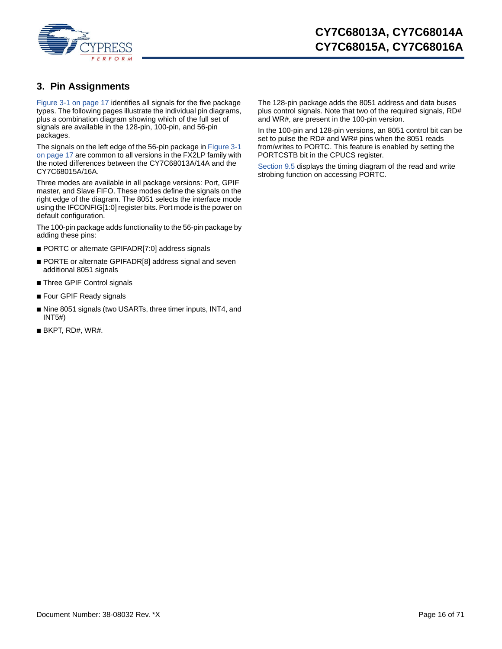

# <span id="page-15-0"></span>**3. Pin Assignments**

[Figure 3-1 on page 17](#page-16-0) identifies all signals for the five package types. The following pages illustrate the individual pin diagrams, plus a combination diagram showing which of the full set of signals are available in the 128-pin, 100-pin, and 56-pin packages.

The signals on the left edge of the 56-pin package in [Figure 3-1](#page-16-0)  [on page 17](#page-16-0) are common to all versions in the FX2LP family with the noted differences between the CY7C68013A/14A and the CY7C68015A/16A.

Three modes are available in all package versions: Port, GPIF master, and Slave FIFO. These modes define the signals on the right edge of the diagram. The 8051 selects the interface mode using the IFCONFIG[1:0] register bits. Port mode is the power on default configuration.

The 100-pin package adds functionality to the 56-pin package by adding these pins:

- PORTC or alternate GPIFADR[7:0] address signals
- PORTE or alternate GPIFADR[8] address signal and seven additional 8051 signals
- Three GPIF Control signals
- Four GPIF Ready signals
- Nine 8051 signals (two USARTs, three timer inputs, INT4, and INT5#)
- $\blacksquare$  BKPT, RD#, WR#.

The 128-pin package adds the 8051 address and data buses plus control signals. Note that two of the required signals, RD# and WR#, are present in the 100-pin version.

In the 100-pin and 128-pin versions, an 8051 control bit can be set to pulse the RD# and WR# pins when the 8051 reads from/writes to PORTC. This feature is enabled by setting the PORTCSTB bit in the CPUCS register.

[Section 9.5](#page-43-0) displays the timing diagram of the read and write strobing function on accessing PORTC.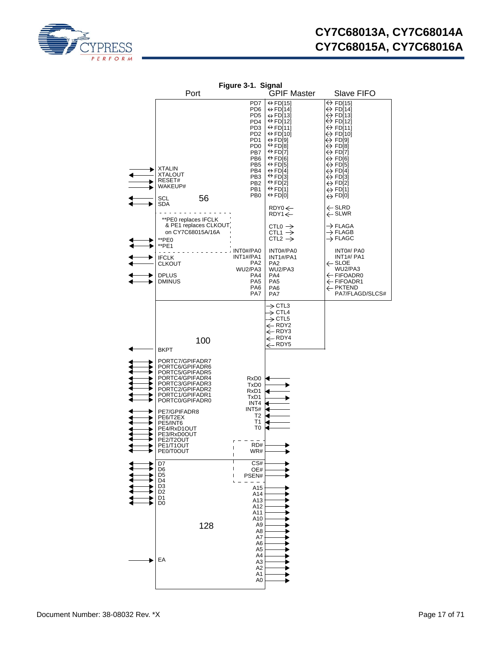<span id="page-16-0"></span>

|   |                                                                                                                                                                                                                                                                                                                                                      | Figure 3-1. Signal                                                                                                                                                                                                                               |                                                                                                                                                                                                                                                                                                                                                                                                                                                    |                                                                                                                                                                                                                                                                                                                                                                                                    |
|---|------------------------------------------------------------------------------------------------------------------------------------------------------------------------------------------------------------------------------------------------------------------------------------------------------------------------------------------------------|--------------------------------------------------------------------------------------------------------------------------------------------------------------------------------------------------------------------------------------------------|----------------------------------------------------------------------------------------------------------------------------------------------------------------------------------------------------------------------------------------------------------------------------------------------------------------------------------------------------------------------------------------------------------------------------------------------------|----------------------------------------------------------------------------------------------------------------------------------------------------------------------------------------------------------------------------------------------------------------------------------------------------------------------------------------------------------------------------------------------------|
|   | Port                                                                                                                                                                                                                                                                                                                                                 |                                                                                                                                                                                                                                                  | <b>GPIF Master</b>                                                                                                                                                                                                                                                                                                                                                                                                                                 | Slave FIFO                                                                                                                                                                                                                                                                                                                                                                                         |
|   | <b>XTALIN</b><br>XTALOUT<br>RESET#<br>WAKEUP#<br>56<br>SCL                                                                                                                                                                                                                                                                                           | PD7<br>PD <sub>6</sub><br>PD <sub>5</sub><br>PD4<br>PD <sub>3</sub><br>PD <sub>2</sub><br>PD <sub>1</sub><br>PD <sub>0</sub><br>PB7<br>PB <sub>6</sub><br>PB <sub>5</sub><br>PB4<br>PB <sub>3</sub><br>PB <sub>2</sub><br>PB1<br>PB <sub>0</sub> | $\Leftrightarrow$ FD[15]<br>$\leftrightarrow$ FD[14]<br>$\leftrightarrow$ FD[13]<br>$\Leftrightarrow$ FD[12]<br>$\Leftrightarrow$ FD[11]<br>$\leftrightarrow$ FD[10]<br>$\leftrightarrow$ FD[9]<br>$\Leftrightarrow$ FD[8]<br>$\Leftrightarrow$ FD[7]<br>$\Leftrightarrow$ FD[6]<br>$\leftrightarrow$ FD[5]<br>$\leftrightarrow$ FD[4]<br>$\Leftrightarrow$ FD[3]<br>$\Leftrightarrow$ FD[2]<br>$\leftrightarrow$ FD[1]<br>$\Leftrightarrow$ FD[0] | $\Leftrightarrow$ FD[15]<br>$\leftrightarrow$ FD[14]<br>$\leftrightarrow$ FD[13]<br>$\Leftrightarrow$ FD[12]<br>↔ FD[11]<br>$\leftrightarrow$ FD[10]<br>$\leftrightarrow$ FD[9]<br>$\Leftrightarrow$ FD[8]<br>↔ FD[7]<br>↔ FD[6]<br>$\leftrightarrow$ FD[5]<br>$\leftrightarrow$ FD[4]<br>$\leftrightarrow$ FD[3]<br>$\leftrightarrow$ FD[2]<br>$\leftrightarrow$ FD[1]<br>$\leftrightarrow$ FD[0] |
|   | SDA<br>**PE0 replaces IFCLK                                                                                                                                                                                                                                                                                                                          |                                                                                                                                                                                                                                                  | $RDY0 \leftarrow$<br>$RDY1 \leftarrow$                                                                                                                                                                                                                                                                                                                                                                                                             | $\leftarrow$ SLRD<br>$\leftarrow$ SLWR                                                                                                                                                                                                                                                                                                                                                             |
|   | & PE1 replaces CLKOUT<br>on CY7C68015A/16A<br>**PE0                                                                                                                                                                                                                                                                                                  |                                                                                                                                                                                                                                                  | CTLO $\rightarrow$<br>CTL1 $\rightarrow$<br>CTL2 $\rightarrow$                                                                                                                                                                                                                                                                                                                                                                                     | $\rightarrow$ FLAGA<br>$\rightarrow$ FLAGB<br>$\rightarrow$ FLAGC                                                                                                                                                                                                                                                                                                                                  |
| ٠ | **PE1<br><b>IFCLK</b><br><b>CLKOUT</b><br><b>DPLUS</b><br><b>DMINUS</b>                                                                                                                                                                                                                                                                              | INT0#/PA0<br>INT1#/PA1<br>PA <sub>2</sub><br>WU2/PA3<br>PA4<br>PA <sub>5</sub><br>PA <sub>6</sub><br>PA7                                                                                                                                         | INT0#/PA0<br>INT <sub>1#/PA1</sub><br>PA <sub>2</sub><br>WU2/PA3<br>PA4<br>PA <sub>5</sub><br>PA <sub>6</sub><br>PA7                                                                                                                                                                                                                                                                                                                               | INT0#/ PA0<br>INT <sub>1#</sub> / PA <sub>1</sub><br>$\leftarrow$ SLOE<br>WU2/PA3<br>$\leftarrow$ FIFOADR0<br>← FIFOADR1<br>← PKTEND<br>PA7/FLAGD/SLCS#                                                                                                                                                                                                                                            |
|   | 100<br><b>BKPT</b><br>PORTC7/GPIFADR7<br>PORTC6/GPIFADR6<br>PORTC5/GPIFADR5<br>PORTC4/GPIFADR4<br>PORTC3/GPIFADR3<br>PORTC2/GPIFADR2<br>PORTC1/GPIFADR1<br>PORTC0/GPIFADR0<br>PE7/GPIFADR8<br>PE6/T2EX<br>PE5/INT6<br>PE4/RxD1OUT<br>PE3/RxD0OUT<br>PE2/T2OUT<br>PE1/T1OUT<br>PE0/T0OUT<br>D7<br>D6<br>D5<br>D4<br>D3<br>D2<br>D1<br>D0<br>128<br>EA | RxD <sub>0</sub><br>TxD0<br>RxD1<br>TxD1<br>INT4<br>INT5#<br>T2<br>Τ1<br>T0<br>RD#<br>WR#<br>ı<br>CS#<br>OE#<br>PSEN#<br>ı<br>A15<br>A14<br>A13<br>A12<br>A11<br>A10<br>A9<br>A8<br>A7<br>A6<br>A5<br>A4<br>A3<br>A2<br>A1<br>A0                 | $\rightarrow$ CTL3<br>$\Rightarrow$ CTL4<br>$\rightarrow$ CTL5<br>$\leftarrow$ RDY2<br>← RDY3<br>$\leftarrow$ RDY4<br>$\leftarrow$ RDY5                                                                                                                                                                                                                                                                                                            |                                                                                                                                                                                                                                                                                                                                                                                                    |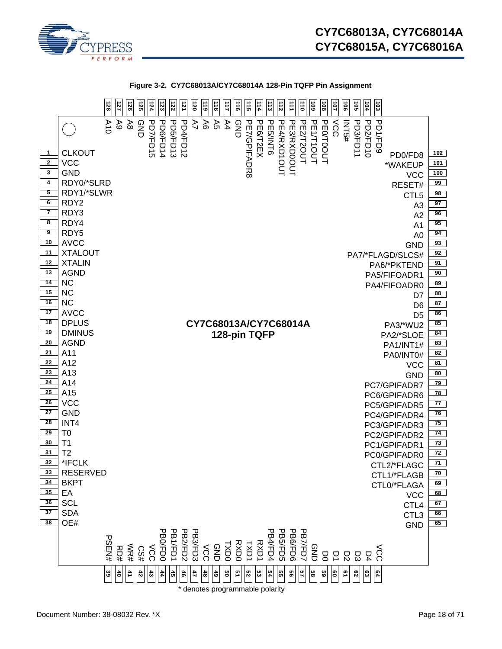



\* denotes programmable polarity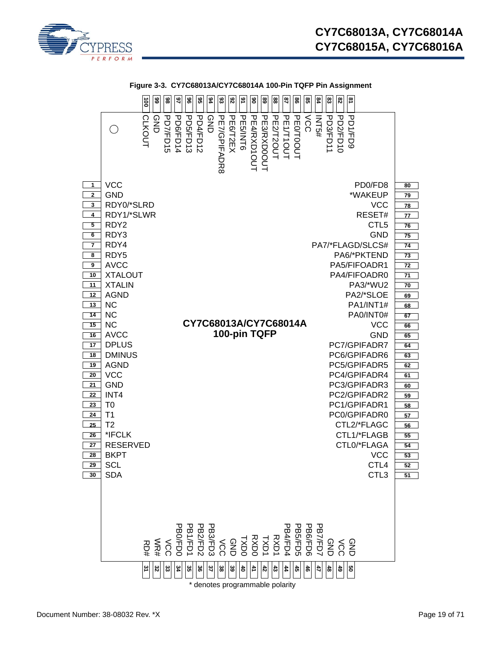



**Figure 3-3. CY7C68013A/CY7C68014A 100-Pin TQFP Pin Assignment**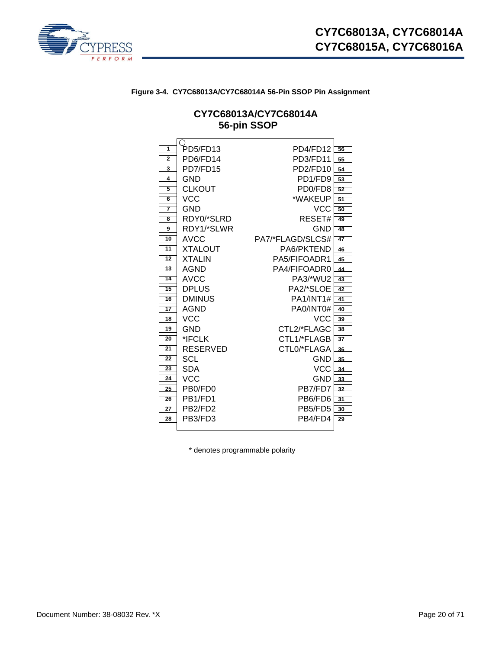

# **Figure 3-4. CY7C68013A/CY7C68014A 56-Pin SSOP Pin Assignment**

# **CY7C68013A/CY7C68014A 56-pin SSOP**

| 1               | PD5/FD13                         | PD4/FD12                         | 56 |
|-----------------|----------------------------------|----------------------------------|----|
| $\overline{2}$  | PD6/FD14                         | PD3/FD11                         | 55 |
| 3               | PD7/FD15                         | PD2/FD10                         | 54 |
| 4               | GND                              | PD <sub>1/FD9</sub>              | 53 |
| 5               | <b>CLKOUT</b>                    | PD <sub>0</sub> /F <sub>D8</sub> | 52 |
| 6               | VCC                              | *WAKEUP                          | 51 |
| 7               | GND                              | <b>VCC</b>                       | 50 |
| 8               | RDY0/*SLRD                       | RESET#                           | 49 |
| 9               | RDY1/*SLWR                       | GND                              | 48 |
| 10              | <b>AVCC</b>                      | PA7/*FLAGD/SLCS#                 | 47 |
| 11              | <b>XTALOUT</b>                   | PA6/PKTEND                       | 46 |
| 12              | <b>XTALIN</b>                    | PA5/FIFOADR1                     | 45 |
| 13              | AGND                             | PA4/FIFOADR0                     | 44 |
| 14              | AVCC                             | PA3/*WU2                         | 43 |
| 15              | <b>DPLUS</b>                     | PA2/*SLOE                        | 42 |
| 16              | <b>DMINUS</b>                    | PA1/INT1#                        | 41 |
| $\overline{17}$ | <b>AGND</b>                      | PA0/INT0#                        | 40 |
| 18              | VCC                              | VCC                              | 39 |
| 19              | GND                              | CTL2/*FLAGC                      | 38 |
| 20              | *IFCLK                           | CTL1/*FLAGB                      | 37 |
| 21              | RESERVED                         | CTLO/*FLAGA                      | 36 |
| 22              | SCL                              | GND                              | 35 |
| 23              | SDA                              | VCC                              | 34 |
| 24              | VCC                              | GND                              | 33 |
| 25              | PB <sub>0</sub> /F <sub>D0</sub> | PB7/FD7                          | 32 |
| 26              | PB1/FD1                          | PB6/FD6                          | 31 |
| 27              | PB2/FD2                          | PB5/FD5                          | 30 |
| 28              | PB3/FD3                          | PB4/FD4                          | 29 |
|                 |                                  |                                  |    |

\* denotes programmable polarity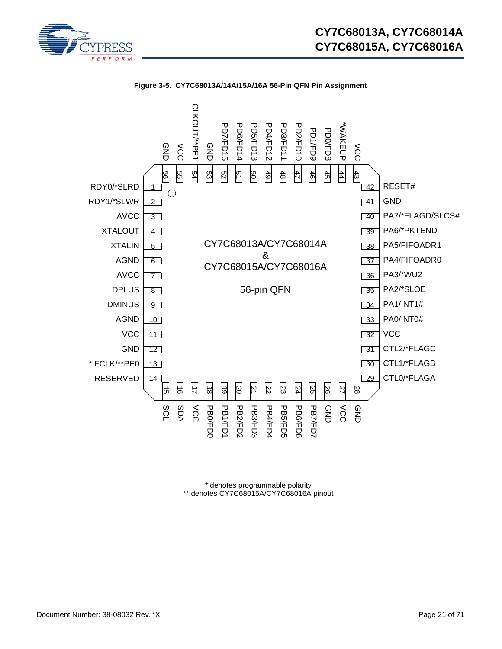



**Figure 3-5. CY7C68013A/14A/15A/16A 56-Pin QFN Pin Assignment**

\* denotes programmable polarity \*\* denotes CY7C68015A/CY7C68016A pinout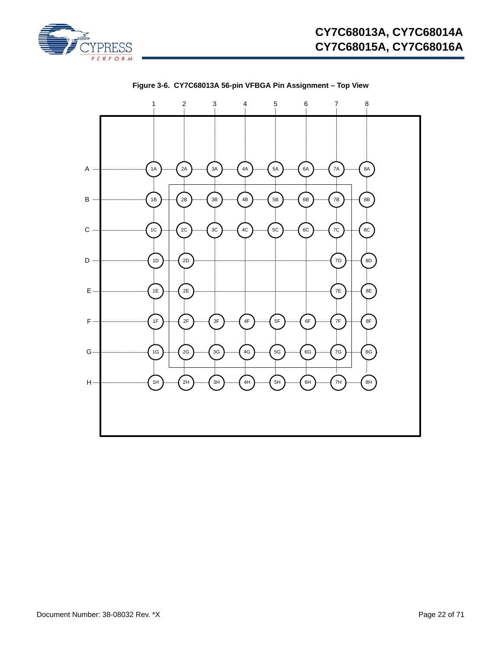



**Figure 3-6. CY7C68013A 56-pin VFBGA Pin Assignment – Top View**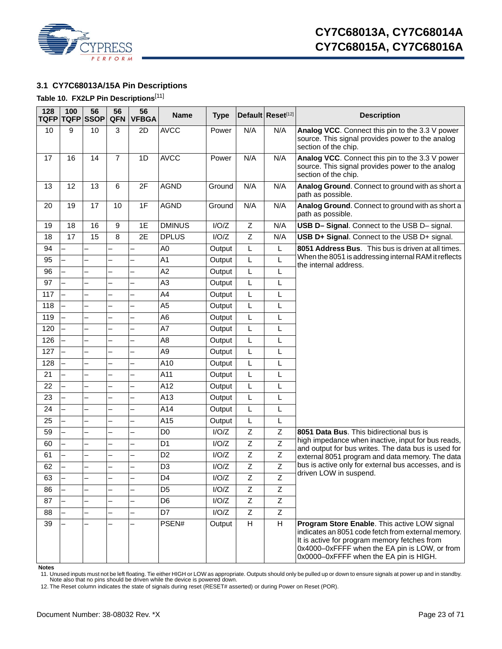

# <span id="page-22-0"></span>**3.1 CY7C68013A/15A Pin Descriptions**

### <span id="page-22-3"></span>**Table 10. FX2LP Pin Descriptions**[[11](#page-22-1)]

| 128<br>TQFP | 100 | 56<br><b>TQFP SSOP</b> | 56<br><b>QFN</b>         | 56<br><b>VFBGA</b>       | <b>Name</b>    | <b>Type</b> |                | Default Reset <sup>[12]</sup> | <b>Description</b>                                                                                                                                                                                                                            |
|-------------|-----|------------------------|--------------------------|--------------------------|----------------|-------------|----------------|-------------------------------|-----------------------------------------------------------------------------------------------------------------------------------------------------------------------------------------------------------------------------------------------|
| 10          | 9   | 10                     | 3                        | 2D                       | <b>AVCC</b>    | Power       | N/A            | N/A                           | Analog VCC. Connect this pin to the 3.3 V power<br>source. This signal provides power to the analog<br>section of the chip.                                                                                                                   |
| 17          | 16  | 14                     | $\overline{7}$           | 1D                       | <b>AVCC</b>    | Power       | N/A            | N/A                           | Analog VCC. Connect this pin to the 3.3 V power<br>source. This signal provides power to the analog<br>section of the chip.                                                                                                                   |
| 13          | 12  | 13                     | 6                        | 2F                       | <b>AGND</b>    | Ground      | N/A            | N/A                           | Analog Ground. Connect to ground with as short a<br>path as possible.                                                                                                                                                                         |
| 20          | 19  | 17                     | 10                       | 1F                       | <b>AGND</b>    | Ground      | N/A            | N/A                           | Analog Ground. Connect to ground with as short a<br>path as possible.                                                                                                                                                                         |
| 19          | 18  | 16                     | 9                        | 1E                       | <b>DMINUS</b>  | I/O/Z       | Z              | N/A                           | USB D- Signal. Connect to the USB D- signal.                                                                                                                                                                                                  |
| 18          | 17  | 15                     | 8                        | 2E                       | <b>DPLUS</b>   | I/O/Z       | $\mathsf Z$    | N/A                           | USB D+ Signal. Connect to the USB D+ signal.                                                                                                                                                                                                  |
| 94          |     |                        |                          |                          | A <sub>0</sub> | Output      | L              | L                             | 8051 Address Bus. This bus is driven at all times.                                                                                                                                                                                            |
| 95          |     |                        |                          |                          | A1             | Output      | L              | Г                             | When the 8051 is addressing internal RAM it reflects<br>the internal address.                                                                                                                                                                 |
| 96          |     |                        |                          |                          | A2             | Output      | L              | L                             |                                                                                                                                                                                                                                               |
| 97          |     |                        | $\overline{\phantom{0}}$ | $\overline{\phantom{0}}$ | A <sub>3</sub> | Output      | L              | L                             |                                                                                                                                                                                                                                               |
| 117         |     |                        |                          |                          | A4             | Output      | Г              | L                             |                                                                                                                                                                                                                                               |
| 118         |     |                        |                          | $\overline{\phantom{0}}$ | A <sub>5</sub> | Output      | L              | L                             |                                                                                                                                                                                                                                               |
| 119         |     |                        | $\overline{\phantom{0}}$ | $\overline{\phantom{0}}$ | A <sub>6</sub> | Output      | L              | L                             |                                                                                                                                                                                                                                               |
| 120         |     |                        |                          | $\overline{\phantom{0}}$ | A7             | Output      | L              | L                             |                                                                                                                                                                                                                                               |
| 126         |     |                        |                          |                          | A8             | Output      | L              | L                             |                                                                                                                                                                                                                                               |
| 127         |     |                        | $\overline{\phantom{0}}$ | $\overline{\phantom{0}}$ | A <sub>9</sub> | Output      | L              | L                             |                                                                                                                                                                                                                                               |
| 128         |     |                        |                          |                          | A10            | Output      | Г              | $\mathsf{L}$                  |                                                                                                                                                                                                                                               |
| 21          |     |                        |                          |                          | A11            | Output      | L              | L                             |                                                                                                                                                                                                                                               |
| 22          |     |                        | $\overline{\phantom{0}}$ | $\overline{\phantom{0}}$ | A12            | Output      | L              | L                             |                                                                                                                                                                                                                                               |
| 23          |     |                        |                          | $\overline{\phantom{0}}$ | A13            | Output      | L              | L                             |                                                                                                                                                                                                                                               |
| 24          |     |                        |                          |                          | A14            | Output      | L              | L                             |                                                                                                                                                                                                                                               |
| 25          |     |                        | $\overline{\phantom{0}}$ | $\overline{\phantom{0}}$ | A15            | Output      | L              | Г                             |                                                                                                                                                                                                                                               |
| 59          |     |                        |                          |                          | D <sub>0</sub> | I/O/Z       | $\mathsf Z$    | Z                             | 8051 Data Bus. This bidirectional bus is                                                                                                                                                                                                      |
| 60          |     |                        |                          |                          | D <sub>1</sub> | I/O/Z       | $\mathsf Z$    | Z                             | high impedance when inactive, input for bus reads,<br>and output for bus writes. The data bus is used for                                                                                                                                     |
| 61          |     |                        | $\overline{\phantom{0}}$ | $\overline{\phantom{0}}$ | D <sub>2</sub> | I/O/Z       | $\overline{Z}$ | $\mathsf Z$                   | external 8051 program and data memory. The data                                                                                                                                                                                               |
| 62          |     |                        |                          |                          | D <sub>3</sub> | I/O/Z       | $\overline{Z}$ | Z                             | bus is active only for external bus accesses, and is                                                                                                                                                                                          |
| 63          |     |                        |                          |                          | D4             | I/O/Z       | Ζ              | Ζ                             | driven LOW in suspend.                                                                                                                                                                                                                        |
| 86          |     |                        | $\overline{\phantom{0}}$ | $\overline{\phantom{0}}$ | D <sub>5</sub> | I/O/Z       | $\overline{Z}$ | $\overline{z}$                |                                                                                                                                                                                                                                               |
| 87          |     |                        |                          | $\overline{\phantom{0}}$ | D <sub>6</sub> | I/O/Z       | Z              | Z                             |                                                                                                                                                                                                                                               |
| 88          |     |                        |                          |                          | D7             | I/O/Z       | Ζ              | Ζ                             |                                                                                                                                                                                                                                               |
| 39          |     |                        |                          |                          | PSEN#          | Output      | H              | H                             | Program Store Enable. This active LOW signal<br>indicates an 8051 code fetch from external memory.<br>It is active for program memory fetches from<br>0x4000-0xFFFF when the EA pin is LOW, or from<br>0x0000-0xFFFF when the EA pin is HIGH. |

**Notes**

<span id="page-22-1"></span>11. Unused inputs must not be left floating. Tie either HIGH or LOW as appropriate. Outputs should only be pulled up or down to ensure signals at power up and in standby.<br>Note also that no pins should be driven while the d

<span id="page-22-2"></span>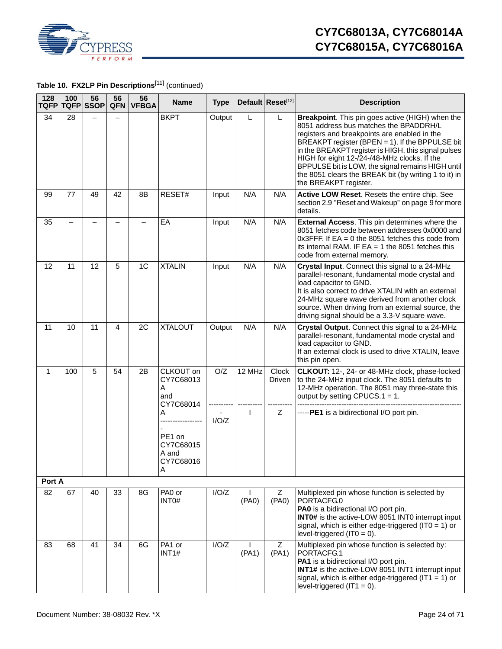

Table 10. FX2LP Pin Descriptions<sup>[11]</sup> (continued)

| 128<br>TQFP  | 100 | 56<br><b>TQFP SSOP</b> | 56<br>QFN | 56<br><b>VFBGA</b> | <b>Name</b>                                         | <b>Type</b> |                       | Default Reset[12] | <b>Description</b>                                                                                                                                                                                                                                                                                                                                                                                                                          |
|--------------|-----|------------------------|-----------|--------------------|-----------------------------------------------------|-------------|-----------------------|-------------------|---------------------------------------------------------------------------------------------------------------------------------------------------------------------------------------------------------------------------------------------------------------------------------------------------------------------------------------------------------------------------------------------------------------------------------------------|
| 34           | 28  |                        |           |                    | <b>BKPT</b>                                         | Output      | L                     | L                 | Breakpoint. This pin goes active (HIGH) when the<br>8051 address bus matches the BPADDRH/L<br>registers and breakpoints are enabled in the<br>BREAKPT register (BPEN = 1). If the BPPULSE bit<br>in the BREAKPT register is HIGH, this signal pulses<br>HIGH for eight 12-/24-/48-MHz clocks. If the<br>BPPULSE bit is LOW, the signal remains HIGH until<br>the 8051 clears the BREAK bit (by writing 1 to it) in<br>the BREAKPT register. |
| 99           | 77  | 49                     | 42        | 8Β                 | RESET#                                              | Input       | N/A                   | N/A               | Active LOW Reset. Resets the entire chip. See<br>section 2.9 "Reset and Wakeup" on page 9 for more<br>details.                                                                                                                                                                                                                                                                                                                              |
| 35           |     |                        |           |                    | EA                                                  | Input       | N/A                   | N/A               | External Access. This pin determines where the<br>8051 fetches code between addresses 0x0000 and<br>$0x3$ FFF. If EA = 0 the 8051 fetches this code from<br>its internal RAM. IF $EA = 1$ the 8051 fetches this<br>code from external memory.                                                                                                                                                                                               |
| 12           | 11  | 12                     | 5         | 1C                 | <b>XTALIN</b>                                       | Input       | N/A                   | N/A               | Crystal Input. Connect this signal to a 24-MHz<br>parallel-resonant, fundamental mode crystal and<br>load capacitor to GND.<br>It is also correct to drive XTALIN with an external<br>24-MHz square wave derived from another clock<br>source. When driving from an external source, the<br>driving signal should be a 3.3-V square wave.                                                                                                   |
| 11           | 10  | 11                     | 4         | 2C                 | <b>XTALOUT</b>                                      | Output      | N/A                   | N/A               | Crystal Output. Connect this signal to a 24-MHz<br>parallel-resonant, fundamental mode crystal and<br>load capacitor to GND.<br>If an external clock is used to drive XTALIN, leave<br>this pin open.                                                                                                                                                                                                                                       |
| 1            | 100 | 5                      | 54        | 2B                 | CLKOUT on<br>CY7C68013<br>Α<br>and<br>CY7C68014     | O/Z         | 12 MHz                | Clock<br>Driven   | CLKOUT: 12-, 24- or 48-MHz clock, phase-locked<br>to the 24-MHz input clock. The 8051 defaults to<br>12-MHz operation. The 8051 may three-state this<br>output by setting CPUCS.1 = 1.                                                                                                                                                                                                                                                      |
|              |     |                        |           |                    | A<br>PE1 on<br>CY7C68015<br>A and<br>CY7C68016<br>Α | I/O/Z       | I                     | Z                 | -----PE1 is a bidirectional I/O port pin.                                                                                                                                                                                                                                                                                                                                                                                                   |
| Port A<br>82 |     |                        |           |                    | PA0 or                                              | I/O/Z       |                       | Z                 |                                                                                                                                                                                                                                                                                                                                                                                                                                             |
|              | 67  | 40                     | 33        | 8G                 | INT0#                                               |             | (PAO)                 | (PA0)             | Multiplexed pin whose function is selected by<br>PORTACFG.0<br>PA0 is a bidirectional I/O port pin.<br>INT0# is the active-LOW 8051 INT0 interrupt input<br>signal, which is either edge-triggered (IT0 = 1) or<br>level-triggered (IT0 = $0$ ).                                                                                                                                                                                            |
| 83           | 68  | 41                     | 34        | 6G                 | PA1 or<br>INT <sub>1#</sub>                         | I/O/Z       | $\mathbf{I}$<br>(PA1) | Z<br>(PA1)        | Multiplexed pin whose function is selected by:<br>PORTACFG.1<br>PA1 is a bidirectional I/O port pin.<br>INT1# is the active-LOW 8051 INT1 interrupt input<br>signal, which is either edge-triggered (IT1 = 1) or<br>level-triggered $(IT1 = 0)$ .                                                                                                                                                                                           |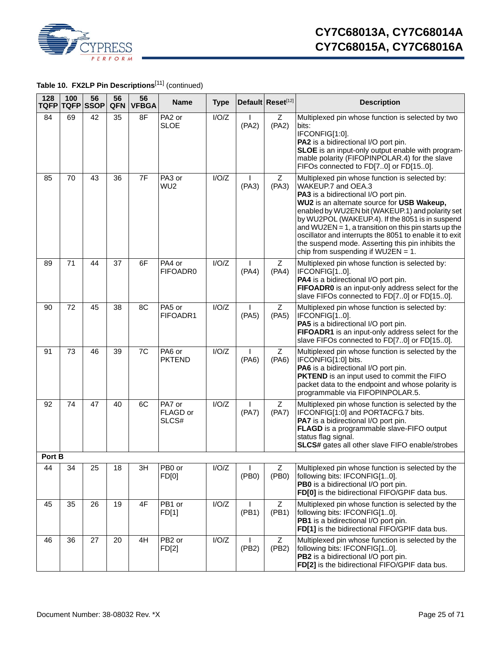

**Table 10. FX2LP Pin Descriptions**[11] (continued)

| 128<br><b>TQFP</b> | 100 | 56<br><b>TQFP</b> SSOP | 56<br><b>QFN</b> | 56<br><b>VFBGA</b> | <b>Name</b>                 | <b>Type</b> |       | Default Reset[12] | <b>Description</b>                                                                                                                                                                                                                                                                                                                                                                                                                                                                  |
|--------------------|-----|------------------------|------------------|--------------------|-----------------------------|-------------|-------|-------------------|-------------------------------------------------------------------------------------------------------------------------------------------------------------------------------------------------------------------------------------------------------------------------------------------------------------------------------------------------------------------------------------------------------------------------------------------------------------------------------------|
| 84                 | 69  | 42                     | 35               | 8F                 | PA2 or<br><b>SLOE</b>       | I/O/Z       | (PA2) | Z<br>(PA2)        | Multiplexed pin whose function is selected by two<br>bits:<br>IFCONFIG[1:0].<br>PA2 is a bidirectional I/O port pin.<br>SLOE is an input-only output enable with program-<br>mable polarity (FIFOPINPOLAR.4) for the slave<br>FIFOs connected to FD[70] or FD[150].                                                                                                                                                                                                                 |
| 85                 | 70  | 43                     | 36               | 7F                 | PA3 or<br>WU <sub>2</sub>   | I/O/Z       | (PA3) | Z<br>(PA3)        | Multiplexed pin whose function is selected by:<br>WAKEUP.7 and OEA.3<br>PA3 is a bidirectional I/O port pin.<br>WU2 is an alternate source for USB Wakeup,<br>enabled by WU2EN bit (WAKEUP.1) and polarity set<br>by WU2POL (WAKEUP.4). If the 8051 is in suspend<br>and WU2EN = 1, a transition on this pin starts up the<br>oscillator and interrupts the 8051 to enable it to exit<br>the suspend mode. Asserting this pin inhibits the<br>chip from suspending if $WU2EN = 1$ . |
| 89                 | 71  | 44                     | 37               | 6F                 | PA4 or<br>FIFOADR0          | I/O/Z       | (PA4) | Z<br>(PA4)        | Multiplexed pin whose function is selected by:<br>IFCONFIG[10].<br>PA4 is a bidirectional I/O port pin.<br>FIFOADR0 is an input-only address select for the<br>slave FIFOs connected to FD[70] or FD[150].                                                                                                                                                                                                                                                                          |
| 90                 | 72  | 45                     | 38               | 8C                 | PA5 or<br>FIFOADR1          | I/O/Z       | (PA5) | Z<br>(PA5)        | Multiplexed pin whose function is selected by:<br>IFCONFIG[10].<br>PA5 is a bidirectional I/O port pin.<br>FIFOADR1 is an input-only address select for the<br>slave FIFOs connected to FD[70] or FD[150].                                                                                                                                                                                                                                                                          |
| 91                 | 73  | 46                     | 39               | 7C                 | PA6 or<br><b>PKTEND</b>     | I/O/Z       | (PA6) | Z<br>(PA6)        | Multiplexed pin whose function is selected by the<br>IFCONFIG[1:0] bits.<br>PA6 is a bidirectional I/O port pin.<br>PKTEND is an input used to commit the FIFO<br>packet data to the endpoint and whose polarity is<br>programmable via FIFOPINPOLAR.5.                                                                                                                                                                                                                             |
| 92                 | 74  | 47                     | 40               | 6C                 | PA7 or<br>FLAGD or<br>SLCS# | I/O/Z       | (PA7) | Z<br>(PA7)        | Multiplexed pin whose function is selected by the<br>IFCONFIG[1:0] and PORTACFG.7 bits.<br>PA7 is a bidirectional I/O port pin.<br>FLAGD is a programmable slave-FIFO output<br>status flag signal.<br>SLCS# gates all other slave FIFO enable/strobes                                                                                                                                                                                                                              |
| Port B             |     |                        |                  |                    |                             |             |       |                   |                                                                                                                                                                                                                                                                                                                                                                                                                                                                                     |
| 44                 | 34  | 25                     | 18               | 3H                 | PB0 or<br>FD[0]             | I/O/Z       | (PB0) | Z<br>(PB0)        | Multiplexed pin whose function is selected by the<br>following bits: IFCONFIG[10].<br>PB0 is a bidirectional I/O port pin.<br>FD[0] is the bidirectional FIFO/GPIF data bus.                                                                                                                                                                                                                                                                                                        |
| 45                 | 35  | 26                     | 19               | 4F                 | PB1 or<br>FD[1]             | I/O/Z       | (PB1) | Z<br>(PB1)        | Multiplexed pin whose function is selected by the<br>following bits: IFCONFIG[10].<br>PB1 is a bidirectional I/O port pin.<br>FD[1] is the bidirectional FIFO/GPIF data bus.                                                                                                                                                                                                                                                                                                        |
| 46                 | 36  | 27                     | 20               | 4H                 | PB <sub>2</sub> or<br>FD[2] | I/O/Z       | (PB2) | Z<br>(PB2)        | Multiplexed pin whose function is selected by the<br>following bits: IFCONFIG[10].<br>PB2 is a bidirectional I/O port pin.<br>FD[2] is the bidirectional FIFO/GPIF data bus.                                                                                                                                                                                                                                                                                                        |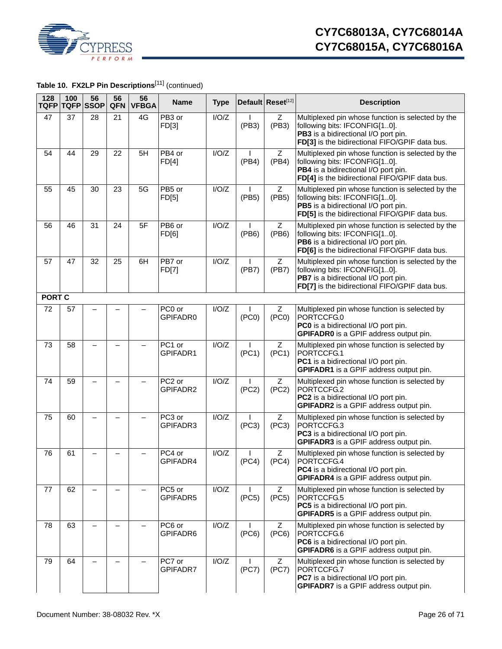

**Table 10. FX2LP Pin Descriptions**[11] (continued)

| 128<br><b>TQFP</b> | 100 | 56<br><b>TQFP SSOP</b>   | 56<br><b>QFN</b>         | 56<br><b>VFBGA</b>       | <b>Name</b>        | <b>Type</b> |                       | Default Reset[12] | <b>Description</b>                                                                                                                                                           |
|--------------------|-----|--------------------------|--------------------------|--------------------------|--------------------|-------------|-----------------------|-------------------|------------------------------------------------------------------------------------------------------------------------------------------------------------------------------|
| 47                 | 37  | 28                       | 21                       | 4G                       | PB3 or<br>FD[3]    | I/O/Z       | (PB3)                 | Z<br>(PB3)        | Multiplexed pin whose function is selected by the<br>following bits: IFCONFIG[10].<br>PB3 is a bidirectional I/O port pin.<br>FD[3] is the bidirectional FIFO/GPIF data bus. |
| 54                 | 44  | 29                       | 22                       | 5H                       | PB4 or<br>FD[4]    | I/O/Z       | (PB4)                 | Ζ<br>(PB4)        | Multiplexed pin whose function is selected by the<br>following bits: IFCONFIG[10].<br>PB4 is a bidirectional I/O port pin.<br>FD[4] is the bidirectional FIFO/GPIF data bus. |
| 55                 | 45  | 30                       | 23                       | 5G                       | PB5 or<br>FD[5]    | I/O/Z       | (PB5)                 | Z<br>(PB5)        | Multiplexed pin whose function is selected by the<br>following bits: IFCONFIG[10].<br>PB5 is a bidirectional I/O port pin.<br>FD[5] is the bidirectional FIFO/GPIF data bus. |
| 56                 | 46  | 31                       | 24                       | 5F                       | PB6 or<br>FD[6]    | I/O/Z       | (PB6)                 | Z<br>(PB6)        | Multiplexed pin whose function is selected by the<br>following bits: IFCONFIG[10].<br>PB6 is a bidirectional I/O port pin.<br>FD[6] is the bidirectional FIFO/GPIF data bus. |
| 57                 | 47  | 32                       | 25                       | 6H                       | PB7 or<br>FD[7]    | I/O/Z       | (PB7)                 | Z<br>(PB7)        | Multiplexed pin whose function is selected by the<br>following bits: IFCONFIG[10].<br>PB7 is a bidirectional I/O port pin.<br>FD[7] is the bidirectional FIFO/GPIF data bus. |
| <b>PORT C</b>      |     |                          |                          |                          |                    |             |                       |                   |                                                                                                                                                                              |
| 72                 | 57  |                          |                          |                          | PC0 or<br>GPIFADR0 | I/O/Z       | (PC0)                 | Z<br>(PC0)        | Multiplexed pin whose function is selected by<br>PORTCCFG.0<br>PC0 is a bidirectional I/O port pin.<br>GPIFADR0 is a GPIF address output pin.                                |
| 73                 | 58  |                          | _                        |                          | PC1 or<br>GPIFADR1 | I/O/Z       | (PC1)                 | Ζ<br>(PC1)        | Multiplexed pin whose function is selected by<br>PORTCCFG.1<br>PC1 is a bidirectional I/O port pin.<br>GPIFADR1 is a GPIF address output pin.                                |
| 74                 | 59  | —                        | $\overline{\phantom{0}}$ | $\overline{\phantom{0}}$ | PC2 or<br>GPIFADR2 | I/O/Z       | $\mathbf{I}$<br>(PC2) | Z<br>(PC2)        | Multiplexed pin whose function is selected by<br>PORTCCFG.2<br>PC2 is a bidirectional I/O port pin.<br>GPIFADR2 is a GPIF address output pin.                                |
| 75                 | 60  |                          |                          |                          | PC3 or<br>GPIFADR3 | I/O/Z       | (PC3)                 | Z<br>(PC3)        | Multiplexed pin whose function is selected by<br>PORTCCFG.3<br>PC3 is a bidirectional I/O port pin.<br>GPIFADR3 is a GPIF address output pin.                                |
| 76                 | 61  |                          |                          |                          | PC4 or<br>GPIFADR4 | I/O/Z       | (PC4)                 | Ζ<br>(PC4)        | Multiplexed pin whose function is selected by<br>PORTCCFG.4<br>PC4 is a bidirectional I/O port pin.<br>GPIFADR4 is a GPIF address output pin.                                |
| 77                 | 62  | $\overline{\phantom{m}}$ | $\overline{\phantom{m}}$ |                          | PC5 or<br>GPIFADR5 | I/O/Z       | (PC5)                 | Z<br>(PC5)        | Multiplexed pin whose function is selected by<br>PORTCCFG.5<br>PC5 is a bidirectional I/O port pin.<br><b>GPIFADR5</b> is a GPIF address output pin.                         |
| 78                 | 63  |                          |                          |                          | PC6 or<br>GPIFADR6 | I/O/Z       | (PC6)                 | Z<br>(PC6)        | Multiplexed pin whose function is selected by<br>PORTCCFG.6<br>PC6 is a bidirectional I/O port pin.<br>GPIFADR6 is a GPIF address output pin.                                |
| 79                 | 64  |                          | $\overline{\phantom{0}}$ |                          | PC7 or<br>GPIFADR7 | I/O/Z       | (PC7)                 | z<br>(PC7)        | Multiplexed pin whose function is selected by<br>PORTCCFG.7<br>PC7 is a bidirectional I/O port pin.<br>GPIFADR7 is a GPIF address output pin.                                |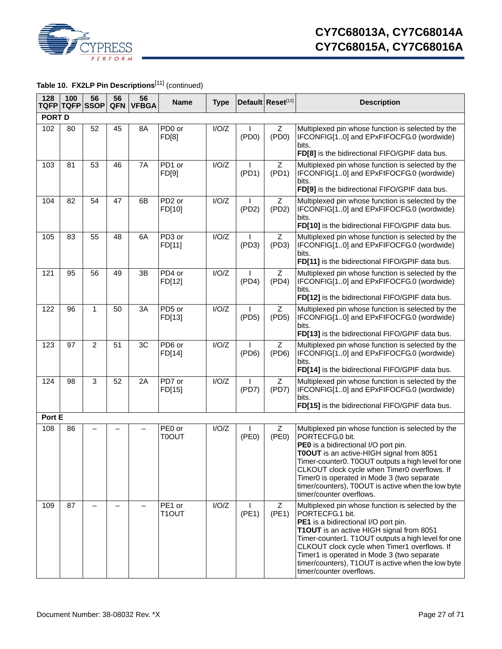

# **Table 10. FX2LP Pin Descriptions**[11] (continued)

| 128           | 100 | 56<br>TQFP TQFP SSOP | 56<br><b>QFN</b> | 56<br><b>VFBGA</b> | <b>Name</b>                  | <b>Type</b> |                       | Default Reset[12] | <b>Description</b>                                                                                                                                                                                                                                                                                                                                                                             |
|---------------|-----|----------------------|------------------|--------------------|------------------------------|-------------|-----------------------|-------------------|------------------------------------------------------------------------------------------------------------------------------------------------------------------------------------------------------------------------------------------------------------------------------------------------------------------------------------------------------------------------------------------------|
| <b>PORT D</b> |     |                      |                  |                    |                              |             |                       |                   |                                                                                                                                                                                                                                                                                                                                                                                                |
| 102           | 80  | 52                   | 45               | 8A                 | PD <sub>0</sub> or<br>FD[8]  | I/O/Z       | ( PDO)                | Z<br>( PDO)       | Multiplexed pin whose function is selected by the<br>IFCONFIG[10] and EPxFIFOCFG.0 (wordwide)<br>bits.<br>FD[8] is the bidirectional FIFO/GPIF data bus.                                                                                                                                                                                                                                       |
| 103           | 81  | 53                   | 46               | 7A                 | PD1 or<br>FD[9]              | I/O/Z       | (PD1)                 | Z<br>(PD1)        | Multiplexed pin whose function is selected by the<br>IFCONFIG[10] and EPxFIFOCFG.0 (wordwide)<br>bits.<br>FD[9] is the bidirectional FIFO/GPIF data bus.                                                                                                                                                                                                                                       |
| 104           | 82  | 54                   | 47               | 6B                 | PD <sub>2</sub> or<br>FD[10] | I/O/Z       | (PD2)                 | z<br>(PD2)        | Multiplexed pin whose function is selected by the<br>IFCONFIG[10] and EPxFIFOCFG.0 (wordwide)<br>bits.<br>FD[10] is the bidirectional FIFO/GPIF data bus.                                                                                                                                                                                                                                      |
| 105           | 83  | 55                   | 48               | 6A                 | PD3 or<br>FD[11]             | I/O/Z       | I.<br>(PD3)           | Z<br>(PD3)        | Multiplexed pin whose function is selected by the<br>IFCONFIG[10] and EPxFIFOCFG.0 (wordwide)<br>bits.<br>FD[11] is the bidirectional FIFO/GPIF data bus.                                                                                                                                                                                                                                      |
| 121           | 95  | 56                   | 49               | 3B                 | PD4 or<br>FD[12]             | I/O/Z       | (PD4)                 | Z<br>(PD4)        | Multiplexed pin whose function is selected by the<br>IFCONFIG[10] and EPxFIFOCFG.0 (wordwide)<br>bits.<br>FD[12] is the bidirectional FIFO/GPIF data bus.                                                                                                                                                                                                                                      |
| 122           | 96  | $\mathbf{1}$         | 50               | 3A                 | PD5 or<br>FD[13]             | I/O/Z       | (PD5)                 | Ζ<br>(PD5)        | Multiplexed pin whose function is selected by the<br>IFCONFIG[10] and EPxFIFOCFG.0 (wordwide)<br>bits.<br>FD[13] is the bidirectional FIFO/GPIF data bus.                                                                                                                                                                                                                                      |
| 123           | 97  | $\overline{2}$       | 51               | 3C                 | PD6 or<br>FD[14]             | I/O/Z       | L<br>(PD6)            | Z<br>(PD6)        | Multiplexed pin whose function is selected by the<br>IFCONFIG[10] and EPxFIFOCFG.0 (wordwide)<br>bits.<br>FD[14] is the bidirectional FIFO/GPIF data bus.                                                                                                                                                                                                                                      |
| 124           | 98  | 3                    | 52               | 2A                 | PD7 or<br>FD[15]             | I/O/Z       | (PD7)                 | Z<br>(PD7)        | Multiplexed pin whose function is selected by the<br>IFCONFIG[10] and EPxFIFOCFG.0 (wordwide)<br>bits.<br>FD[15] is the bidirectional FIFO/GPIF data bus.                                                                                                                                                                                                                                      |
| Port E        |     |                      |                  |                    |                              |             |                       |                   |                                                                                                                                                                                                                                                                                                                                                                                                |
| 108           | 86  |                      |                  |                    | PE0 or<br><b>TOOUT</b>       | I/O/Z       | $\mathbf{I}$<br>(PE0) | Z<br>(PE0)        | Multiplexed pin whose function is selected by the<br>PORTECFG.0 bit.<br>PE0 is a bidirectional I/O port pin.<br>TOOUT is an active-HIGH signal from 8051<br>Timer-counter0. T0OUT outputs a high level for one<br>CLKOUT clock cycle when Timer0 overflows. If<br>Timer0 is operated in Mode 3 (two separate<br>timer/counters), T0OUT is active when the low byte<br>timer/counter overflows. |
| 109           | 87  |                      |                  |                    | PE1 or<br>T1OUT              | I/O/Z       | (PE1)                 | z<br>(PE1)        | Multiplexed pin whose function is selected by the<br>PORTECFG.1 bit.<br>PE1 is a bidirectional I/O port pin.<br>T1OUT is an active HIGH signal from 8051<br>Timer-counter1. T1OUT outputs a high level for one<br>CLKOUT clock cycle when Timer1 overflows. If<br>Timer1 is operated in Mode 3 (two separate<br>timer/counters), T1OUT is active when the low byte<br>timer/counter overflows. |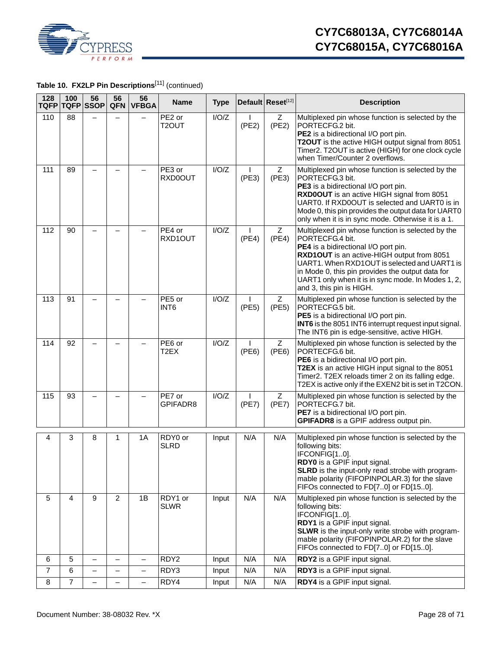

**Table 10. FX2LP Pin Descriptions**[11] (continued)

| 128<br><b>TQFP</b> | 100            | 56<br><b>TQFP SSOP</b>   | 56<br>QFN                | 56<br><b>VFBGA</b>       | <b>Name</b>                    | <b>Type</b> |                       | Default Reset[12]       | <b>Description</b>                                                                                                                                                                                                                                                                                                                               |
|--------------------|----------------|--------------------------|--------------------------|--------------------------|--------------------------------|-------------|-----------------------|-------------------------|--------------------------------------------------------------------------------------------------------------------------------------------------------------------------------------------------------------------------------------------------------------------------------------------------------------------------------------------------|
| 110                | 88             |                          |                          |                          | PE2 or<br>T2OUT                | I/O/Z       | (PE2)                 | $\overline{Z}$<br>(PE2) | Multiplexed pin whose function is selected by the<br>PORTECFG.2 bit.<br>PE2 is a bidirectional I/O port pin.<br>T2OUT is the active HIGH output signal from 8051<br>Timer2. T2OUT is active (HIGH) for one clock cycle<br>when Timer/Counter 2 overflows.                                                                                        |
| 111                | 89             |                          |                          |                          | $\overline{PE3}$ or<br>RXD0OUT | I/O/Z       | (PE3)                 | Z<br>(PE3)              | Multiplexed pin whose function is selected by the<br>PORTECFG.3 bit.<br>PE3 is a bidirectional I/O port pin.<br>RXD0OUT is an active HIGH signal from 8051<br>UART0. If RXD0OUT is selected and UART0 is in<br>Mode 0, this pin provides the output data for UART0<br>only when it is in sync mode. Otherwise it is a 1.                         |
| 112                | 90             |                          |                          |                          | PE4 or<br>RXD1OUT              | I/O/Z       | (PE4)                 | Z<br>(PE4)              | Multiplexed pin whose function is selected by the<br>PORTECFG.4 bit.<br>PE4 is a bidirectional I/O port pin.<br>RXD1OUT is an active-HIGH output from 8051<br>UART1. When RXD1OUT is selected and UART1 is<br>in Mode 0, this pin provides the output data for<br>UART1 only when it is in sync mode. In Modes 1, 2,<br>and 3, this pin is HIGH. |
| 113                | 91             |                          |                          |                          | PE5 or<br>INT <sub>6</sub>     | I/O/Z       | (PE5)                 | Z<br>(PE5)              | Multiplexed pin whose function is selected by the<br>PORTECFG.5 bit.<br>PE5 is a bidirectional I/O port pin.<br>INT6 is the 8051 INT6 interrupt request input signal.<br>The INT6 pin is edge-sensitive, active HIGH.                                                                                                                            |
| 114                | 92             |                          |                          |                          | PE6 or<br>T <sub>2</sub> EX    | I/O/Z       | $\mathbf{I}$<br>(PE6) | $\overline{Z}$<br>(PE6) | Multiplexed pin whose function is selected by the<br>PORTECFG.6 bit.<br>PE6 is a bidirectional I/O port pin.<br>T2EX is an active HIGH input signal to the 8051<br>Timer2. T2EX reloads timer 2 on its falling edge.<br>T2EX is active only if the EXEN2 bit is set in T2CON.                                                                    |
| 115                | 93             |                          |                          |                          | PE7 or<br>GPIFADR8             | I/O/Z       | (PE7)                 | Z<br>(PE7)              | Multiplexed pin whose function is selected by the<br>PORTECFG.7 bit.<br>PE7 is a bidirectional I/O port pin.<br>GPIFADR8 is a GPIF address output pin.                                                                                                                                                                                           |
| 4                  | 3              | 8                        | 1                        | 1A                       | RDY0 or<br><b>SLRD</b>         | Input       | N/A                   | N/A                     | Multiplexed pin whose function is selected by the<br>following bits:<br>IFCONFIG[10].<br>RDY0 is a GPIF input signal.<br><b>SLRD</b> is the input-only read strobe with program-<br>mable polarity (FIFOPINPOLAR.3) for the slave<br>FIFOs connected to FD[70] or FD[150].                                                                       |
| 5                  | $\overline{4}$ | 9                        | $\overline{2}$           | 1B                       | RDY1 or<br><b>SLWR</b>         | Input       | N/A                   | N/A                     | Multiplexed pin whose function is selected by the<br>following bits:<br>IFCONFIG[10].<br>RDY1 is a GPIF input signal.<br><b>SLWR</b> is the input-only write strobe with program-<br>mable polarity (FIFOPINPOLAR.2) for the slave<br>FIFOs connected to FD[70] or FD[150].                                                                      |
| 6                  | $\overline{5}$ | $\equiv$                 | $\overline{\phantom{0}}$ | $\overline{\phantom{0}}$ | RDY <sub>2</sub>               | Input       | N/A                   | N/A                     | RDY2 is a GPIF input signal.                                                                                                                                                                                                                                                                                                                     |
| $\overline{7}$     | 6              | $\overline{\phantom{0}}$ | —                        | $\overline{\phantom{0}}$ | RDY3                           | Input       | N/A                   | N/A                     | RDY3 is a GPIF input signal.                                                                                                                                                                                                                                                                                                                     |
| 8                  | $\overline{7}$ | $\overline{\phantom{0}}$ | $\qquad \qquad -$        | $\overline{\phantom{0}}$ | RDY4                           | Input       | N/A                   | N/A                     | RDY4 is a GPIF input signal.                                                                                                                                                                                                                                                                                                                     |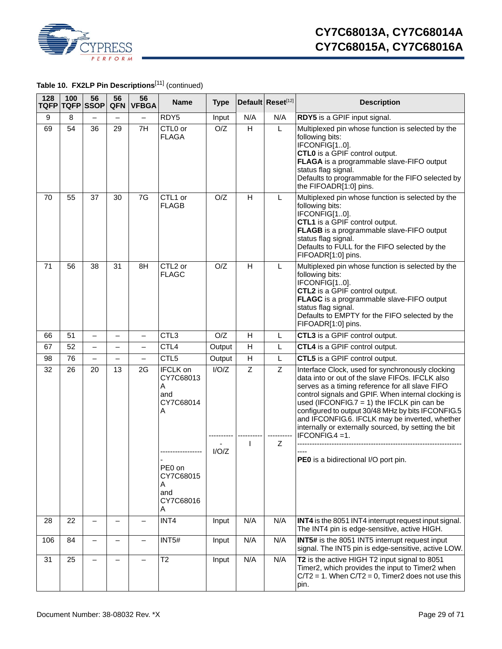

# **Table 10. FX2LP Pin Descriptions**[11] (continued)

| 128 | 100<br>TQFP TQFP SSOP | 56                       | 56<br>QFN                | 56<br><b>VFBGA</b>       | <b>Name</b>                                                | <b>Type</b> |                         | Default Reset[12] | <b>Description</b>                                                                                                                                                                                                                                                                                                                                                                                                                           |
|-----|-----------------------|--------------------------|--------------------------|--------------------------|------------------------------------------------------------|-------------|-------------------------|-------------------|----------------------------------------------------------------------------------------------------------------------------------------------------------------------------------------------------------------------------------------------------------------------------------------------------------------------------------------------------------------------------------------------------------------------------------------------|
| 9   | 8                     |                          |                          |                          | RDY5                                                       | Input       | N/A                     | N/A               | RDY5 is a GPIF input signal.                                                                                                                                                                                                                                                                                                                                                                                                                 |
| 69  | 54                    | 36                       | 29                       | 7H                       | CTL0 or<br><b>FLAGA</b>                                    | O/Z         | H                       | L                 | Multiplexed pin whose function is selected by the<br>following bits:<br>IFCONFIG[10].<br>CTL0 is a GPIF control output.<br>FLAGA is a programmable slave-FIFO output<br>status flag signal.<br>Defaults to programmable for the FIFO selected by<br>the FIFOADR[1:0] pins.                                                                                                                                                                   |
| 70  | 55                    | 37                       | 30                       | 7G                       | CTL1 or<br><b>FLAGB</b>                                    | O/Z         | Н                       | L                 | Multiplexed pin whose function is selected by the<br>following bits:<br>IFCONFIG[10].<br>CTL1 is a GPIF control output.<br>FLAGB is a programmable slave-FIFO output<br>status flag signal.<br>Defaults to FULL for the FIFO selected by the<br>FIFOADR[1:0] pins.                                                                                                                                                                           |
| 71  | 56                    | 38                       | 31                       | 8H                       | CTL2 or<br><b>FLAGC</b>                                    | O/Z         | Н                       | L                 | Multiplexed pin whose function is selected by the<br>following bits:<br>IFCONFIG[10].<br>CTL2 is a GPIF control output.<br>FLAGC is a programmable slave-FIFO output<br>status flag signal.<br>Defaults to EMPTY for the FIFO selected by the<br>FIFOADR[1:0] pins.                                                                                                                                                                          |
| 66  | 51                    | $\overline{\phantom{0}}$ |                          | $\overline{\phantom{0}}$ | CTL3                                                       | O/Z         | H                       | L                 | CTL3 is a GPIF control output.                                                                                                                                                                                                                                                                                                                                                                                                               |
| 67  | 52                    | $\overline{\phantom{0}}$ | $\overline{\phantom{0}}$ | $\qquad \qquad -$        | CTL4                                                       | Output      | H                       | L                 | CTL4 is a GPIF control output.                                                                                                                                                                                                                                                                                                                                                                                                               |
| 98  | 76                    | $\overline{\phantom{0}}$ | $\overline{\phantom{0}}$ | -                        | CTL5                                                       | Output      | $\overline{\mathsf{H}}$ | L                 | CTL5 is a GPIF control output.                                                                                                                                                                                                                                                                                                                                                                                                               |
| 32  | 26                    | 20                       | 13                       | 2G                       | <b>IFCLK</b> on<br>CY7C68013<br>A<br>and<br>CY7C68014<br>A | I/O/Z       | Z                       | Z                 | Interface Clock, used for synchronously clocking<br>data into or out of the slave FIFOs. IFCLK also<br>serves as a timing reference for all slave FIFO<br>control signals and GPIF. When internal clocking is<br>used (IFCONFIG.7 = 1) the IFCLK pin can be<br>configured to output 30/48 MHz by bits IFCONFIG.5<br>and IFCONFIG.6. IFCLK may be inverted, whether<br>internally or externally sourced, by setting the bit<br>IFCONFIG.4 =1. |
|     |                       |                          |                          |                          | PE0 on<br>CY7C68015<br>A<br>and<br>CY7C68016<br>A          | I/O/Z       | I.                      | Ζ                 | PE0 is a bidirectional I/O port pin.                                                                                                                                                                                                                                                                                                                                                                                                         |
| 28  | 22                    |                          |                          |                          | INT4                                                       | Input       | N/A                     | N/A               | INT4 is the 8051 INT4 interrupt request input signal.<br>The INT4 pin is edge-sensitive, active HIGH.                                                                                                                                                                                                                                                                                                                                        |
| 106 | 84                    | —                        |                          |                          | INT5#                                                      | Input       | N/A                     | N/A               | <b>INT5#</b> is the 8051 INT5 interrupt request input<br>signal. The INT5 pin is edge-sensitive, active LOW.                                                                                                                                                                                                                                                                                                                                 |
| 31  | 25                    |                          |                          |                          | T <sub>2</sub>                                             | Input       | N/A                     | N/A               | T2 is the active HIGH T2 input signal to 8051<br>Timer2, which provides the input to Timer2 when<br>$C/T2 = 1$ . When $C/T2 = 0$ , Timer2 does not use this<br>pin.                                                                                                                                                                                                                                                                          |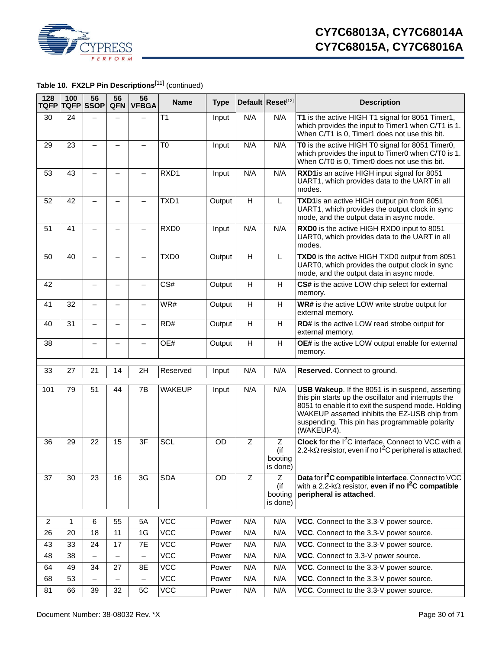

**Table 10. FX2LP Pin Descriptions**[11] (continued)

| 128<br><b>TQFP</b> | 100<br><b>TQFP</b> SSOP | 56                       | 56<br><b>QFN</b>         | 56<br><b>VFBGA</b>       | <b>Name</b>      | <b>Type</b> |                           | Default Reset[12]                                           | <b>Description</b>                                                                                                                                                                                                                                                                |
|--------------------|-------------------------|--------------------------|--------------------------|--------------------------|------------------|-------------|---------------------------|-------------------------------------------------------------|-----------------------------------------------------------------------------------------------------------------------------------------------------------------------------------------------------------------------------------------------------------------------------------|
| 30                 | 24                      |                          |                          |                          | T1               | Input       | N/A                       | N/A                                                         | T1 is the active HIGH T1 signal for 8051 Timer1,<br>which provides the input to Timer1 when C/T1 is 1.<br>When C/T1 is 0, Timer1 does not use this bit.                                                                                                                           |
| 29                 | 23                      | $\overline{\phantom{0}}$ | —                        |                          | T <sub>0</sub>   | Input       | N/A                       | N/A                                                         | TO is the active HIGH TO signal for 8051 Timer0,<br>which provides the input to Timer0 when C/T0 is 1.<br>When C/T0 is 0, Timer0 does not use this bit.                                                                                                                           |
| 53                 | 43                      |                          |                          |                          | RXD1             | Input       | N/A                       | N/A                                                         | RXD1is an active HIGH input signal for 8051<br>UART1, which provides data to the UART in all<br>modes.                                                                                                                                                                            |
| 52                 | 42                      |                          |                          |                          | TXD1             | Output      | H                         | L                                                           | TXD1is an active HIGH output pin from 8051<br>UART1, which provides the output clock in sync<br>mode, and the output data in async mode.                                                                                                                                          |
| 51                 | 41                      |                          |                          |                          | RXD <sub>0</sub> | Input       | N/A                       | N/A                                                         | RXD0 is the active HIGH RXD0 input to 8051<br>UART0, which provides data to the UART in all<br>modes.                                                                                                                                                                             |
| 50                 | 40                      |                          |                          |                          | TXD <sub>0</sub> | Output      | H                         | L                                                           | TXD0 is the active HIGH TXD0 output from 8051<br>UART0, which provides the output clock in sync<br>mode, and the output data in async mode.                                                                                                                                       |
| 42                 |                         |                          |                          |                          | CS#              | Output      | H                         | H                                                           | CS# is the active LOW chip select for external<br>memory.                                                                                                                                                                                                                         |
| 41                 | 32                      |                          |                          |                          | WR#              | Output      | H                         | H                                                           | WR# is the active LOW write strobe output for<br>external memory.                                                                                                                                                                                                                 |
| 40                 | 31                      |                          |                          |                          | RD#              | Output      | H                         | H                                                           | RD# is the active LOW read strobe output for<br>external memory.                                                                                                                                                                                                                  |
| 38                 |                         |                          |                          |                          | OE#              | Output      | $\boldsymbol{\mathsf{H}}$ | $\mathsf{H}% _{\mathbb{R}}^{1}\left( \mathbb{R}^{2}\right)$ | OE# is the active LOW output enable for external<br>memory.                                                                                                                                                                                                                       |
| 33                 | 27                      | 21                       | 14                       | 2H                       | Reserved         | Input       | N/A                       | N/A                                                         | Reserved. Connect to ground.                                                                                                                                                                                                                                                      |
| 101                | 79                      | 51                       | 44                       | 7B                       | <b>WAKEUP</b>    | Input       | N/A                       | N/A                                                         | USB Wakeup. If the 8051 is in suspend, asserting<br>this pin starts up the oscillator and interrupts the<br>8051 to enable it to exit the suspend mode. Holding<br>WAKEUP asserted inhibits the EZ-USB chip from<br>suspending. This pin has programmable polarity<br>(WAKEUP.4). |
| 36                 | 29                      | 22                       | 15                       | 3F                       | <b>SCL</b>       | <b>OD</b>   | $\overline{Z}$            | Z<br>(if<br>booting<br>is done)                             | <b>Clock</b> for the $1^2C$ interface. Connect to VCC with a<br>2.2-k $\Omega$ resistor, even if no l <sup>2</sup> C peripheral is attached.                                                                                                                                      |
| 37                 | 30                      | 23                       | 16                       | 3G                       | <b>SDA</b>       | OD          | Z                         | Ζ<br>(if<br>booting<br>is done)                             | Data for I <sup>2</sup> C compatible interface. Connect to VCC<br>with a 2.2-k $\Omega$ resistor, even if no $I^2C$ compatible<br>peripheral is attached.                                                                                                                         |
| 2                  | 1                       | 6                        | 55                       | 5A                       | <b>VCC</b>       | Power       | N/A                       | N/A                                                         | VCC. Connect to the 3.3-V power source.                                                                                                                                                                                                                                           |
| 26                 | 20                      | 18                       | 11                       | 1G                       | <b>VCC</b>       | Power       | N/A                       | N/A                                                         | VCC. Connect to the 3.3-V power source.                                                                                                                                                                                                                                           |
| 43                 | 33                      | 24                       | 17                       | 7E                       | $\overline{VCC}$ | Power       | N/A                       | N/A                                                         | VCC. Connect to the 3.3-V power source.                                                                                                                                                                                                                                           |
| 48                 | 38                      | $\qquad \qquad -$        | $\overline{\phantom{0}}$ | -                        | <b>VCC</b>       | Power       | N/A                       | N/A                                                         | VCC. Connect to 3.3-V power source.                                                                                                                                                                                                                                               |
| 64                 | 49                      | 34                       | 27                       | 8E                       | <b>VCC</b>       | Power       | N/A                       | N/A                                                         | VCC. Connect to the 3.3-V power source.                                                                                                                                                                                                                                           |
| 68                 | 53                      | $\overline{\phantom{0}}$ | $\overline{\phantom{0}}$ | $\overline{\phantom{0}}$ | $\overline{VCC}$ | Power       | N/A                       | N/A                                                         | VCC. Connect to the 3.3-V power source.                                                                                                                                                                                                                                           |
| 81                 | 66                      | 39                       | 32                       | $5C$                     | VCC              | Power       | N/A                       | N/A                                                         | VCC. Connect to the 3.3-V power source.                                                                                                                                                                                                                                           |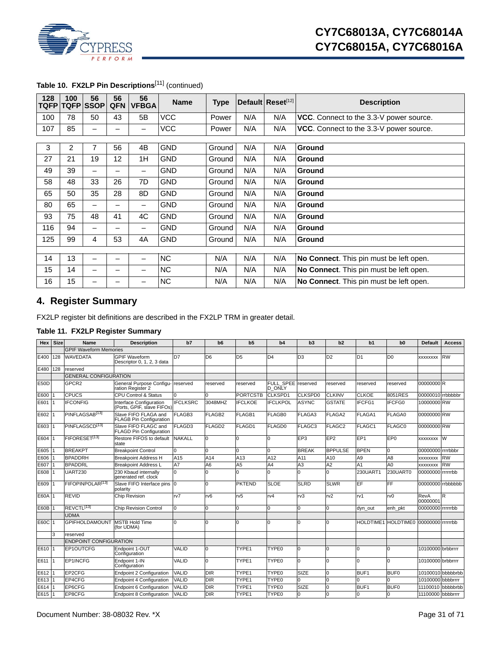

| 128<br>TQFP | 100 | 56<br><b>TQFP</b> SSOP | 56<br><b>QFN</b> | 56<br><b>VFBGA</b> | <b>Name</b> | <b>Type</b> |     | Default Reset[12] | <b>Description</b>                      |
|-------------|-----|------------------------|------------------|--------------------|-------------|-------------|-----|-------------------|-----------------------------------------|
| 100         | 78  | 50                     | 43               | 5B                 | <b>VCC</b>  | Power       | N/A | N/A               | VCC. Connect to the 3.3-V power source. |
| 107         | 85  | -                      |                  |                    | <b>VCC</b>  | Power       | N/A | N/A               | VCC. Connect to the 3.3-V power source. |
|             |     |                        |                  |                    |             |             |     |                   |                                         |
| 3           | 2   | 7                      | 56               | 4B                 | <b>GND</b>  | Ground      | N/A | N/A               | Ground                                  |
| 27          | 21  | 19                     | 12               | 1H                 | <b>GND</b>  | Ground      | N/A | N/A               | <b>Ground</b>                           |
| 49          | 39  | —                      |                  |                    | <b>GND</b>  | Ground      | N/A | N/A               | Ground                                  |
| 58          | 48  | 33                     | 26               | 7D                 | <b>GND</b>  | Ground      | N/A | N/A               | <b>Ground</b>                           |
| 65          | 50  | 35                     | 28               | 8D                 | <b>GND</b>  | Ground      | N/A | N/A               | Ground                                  |
| 80          | 65  | -                      |                  |                    | <b>GND</b>  | Ground      | N/A | N/A               | Ground                                  |
| 93          | 75  | 48                     | 41               | 4C                 | <b>GND</b>  | Ground      | N/A | N/A               | <b>Ground</b>                           |
| 116         | 94  | —                      |                  |                    | <b>GND</b>  | Ground      | N/A | N/A               | Ground                                  |
| 125         | 99  | 4                      | 53               | 4A                 | <b>GND</b>  | Ground      | N/A | N/A               | <b>Ground</b>                           |
|             |     |                        |                  |                    |             |             |     |                   |                                         |
| 14          | 13  |                        | -                |                    | <b>NC</b>   | N/A         | N/A | N/A               | No Connect. This pin must be left open. |
| 15          | 14  | -                      |                  |                    | <b>NC</b>   | N/A         | N/A | N/A               | No Connect. This pin must be left open. |
| 16          | 15  | -                      |                  |                    | <b>NC</b>   | N/A         | N/A | N/A               | No Connect. This pin must be left open. |

# Table 10. FX2LP Pin Descriptions<sup>[11]</sup> (continued)

# <span id="page-30-0"></span>**4. Register Summary**

FX2LP register bit definitions are described in the FX2LP TRM in greater detail.

### **Table 11. FX2LP Register Summary**

| <b>Hex</b>  | <b>Size</b> | Name                          | <b>Description</b>                                     | b7              | b <sub>6</sub>     | b <sub>5</sub>    | b4                                  | b3              | b2                 | b <sub>1</sub>   | b0                                    | <b>Default</b>    | <b>Access</b>     |
|-------------|-------------|-------------------------------|--------------------------------------------------------|-----------------|--------------------|-------------------|-------------------------------------|-----------------|--------------------|------------------|---------------------------------------|-------------------|-------------------|
|             |             | <b>GPIF Waveform Memories</b> |                                                        |                 |                    |                   |                                     |                 |                    |                  |                                       |                   |                   |
| E400        | 128         | <b>WAVEDATA</b>               | <b>GPIF Waveform</b><br>Descriptor 0, 1, 2, 3 data     | D7              | D <sub>6</sub>     | $\overline{D5}$   | D <sub>4</sub>                      | D <sub>3</sub>  | D <sub>2</sub>     | D <sub>1</sub>   | D <sub>0</sub>                        | XXXXXXXX          | <b>RW</b>         |
| E480        | 128         | reserved                      |                                                        |                 |                    |                   |                                     |                 |                    |                  |                                       |                   |                   |
|             |             | <b>GENERAL CONFIGURATION</b>  |                                                        |                 |                    |                   |                                     |                 |                    |                  |                                       |                   |                   |
| <b>E50D</b> |             | GPCR <sub>2</sub>             | General Purpose Configu-<br>ration Register 2          | reserved        | reserved           | reserved          | FULL SPEE reserved<br><b>D</b> ONLY |                 | reserved           | reserved         | reserved                              | 00000000 R        |                   |
| E600        |             | <b>CPUCS</b>                  | <b>CPU Control &amp; Status</b>                        |                 |                    | <b>PORTCSTB</b>   | CLKSPD1                             | CLKSPD0         | <b>CLKINV</b>      | <b>CLKOE</b>     | 8051RES                               | 00000010 rrbbbbbr |                   |
| E601        |             | <b>IFCONFIG</b>               | Interface Configuration<br>(Ports, GPIF, slave FIFOs)  | <b>IFCLKSRC</b> | 3048MHZ            | <b>IFCLKOE</b>    | <b>IFCLKPOL</b>                     | <b>ASYNC</b>    | <b>GSTATE</b>      | IFCFG1           | <b>IFCFG0</b>                         | 10000000 RW       |                   |
| E602        |             | PINFLAGSAB <sup>[13]</sup>    | Slave FIFO FLAGA and<br><b>FLAGB Pin Configuration</b> | FLAGB3          | FLAGB <sub>2</sub> | FLAGB1            | FLAGB0                              | FLAGA3          | FLAGA2             | FLAGA1           | FLAGA0                                | 00000000 RW       |                   |
| E603        |             | PINFLAGSCD <sup>[13]</sup>    | Slave FIFO FLAGC and<br>FLAGD Pin Configuration        | FLAGD3          | FLAGD <sub>2</sub> | FLAGD1            | <b>FLAGD0</b>                       | FLAGC3          | FLAGC <sub>2</sub> | FLAGC1           | <b>FLAGC0</b>                         | 00000000 RW       |                   |
| E604        |             | FIFORESET <sup>[13]</sup>     | Restore FIFOS to default<br>state                      | <b>NAKALL</b>   |                    |                   | n                                   | EP <sub>3</sub> | EP <sub>2</sub>    | EP <sub>1</sub>  | EP <sub>0</sub>                       | <b>XXXXXXXX</b>   | W                 |
| E605        |             | <b>BREAKPT</b>                | <b>Breakpoint Control</b>                              | 0               | O                  | n                 | $\Omega$                            | <b>BREAK</b>    | <b>BPPULSE</b>     | <b>BPEN</b>      | 0                                     | 00000000 rrrrbbbr |                   |
| E606        |             | <b>BPADDRH</b>                | <b>Breakpoint Address H</b>                            | A15             | A14                | A13               | A12                                 | A11             | A10                | A <sub>9</sub>   | A <sub>8</sub>                        | <b>XXXXXXXX</b>   | <b>RW</b>         |
| E607        |             | <b>BPADDRL</b>                | <b>Breakpoint Address L</b>                            | A7              | A6                 | A <sub>5</sub>    | A4                                  | A3              | A <sub>2</sub>     | A <sub>1</sub>   | A <sub>0</sub>                        | <b>XXXXXXXX</b>   | <b>RW</b>         |
| E608        |             | <b>UART230</b>                | 230 Kbaud internally<br>generated ref. clock           | U               |                    |                   | n                                   | $\Omega$        | $\Omega$           | 230UART1         | 230UART0                              | 00000000 rrrrrrbb |                   |
| E609        |             | FIFOPINPOLAR <sup>[13]</sup>  | Slave FIFO Interface pins 0<br>polarity                |                 | U                  | <b>PKTEND</b>     | <b>SLOE</b>                         | <b>SLRD</b>     | <b>SLWR</b>        | EF               | FF                                    | 00000000 rrbbbbbb |                   |
| <b>E60A</b> |             | <b>REVID</b>                  | Chip Revision                                          | rv7             | rv <sub>6</sub>    | rv5               | rv4                                 | rv3             | rv <sub>2</sub>    | rv1              | rv <sub>0</sub>                       | RevA<br>00000001  | R                 |
| E60B        |             | REVCTL <sup>[13]</sup>        | <b>Chip Revision Control</b>                           | $\Omega$        | O                  | $\Omega$          | $\Omega$                            | O               | $\overline{0}$     | dyn out          | enh pkt                               | 00000000 rrrrrrbb |                   |
|             |             | <b>UDMA</b>                   |                                                        |                 |                    |                   |                                     |                 |                    |                  |                                       |                   |                   |
| E60C 1      |             | <b>GPIFHOLDAMOUNT</b>         | <b>MSTB Hold Time</b><br>(for UDMA)                    |                 | U                  |                   | n                                   | $\Omega$        | l0                 |                  | HOLDTIME1 HOLDTIME0 00000000 rrrrrrbb |                   |                   |
|             | 3           | reserved                      |                                                        |                 |                    |                   |                                     |                 |                    |                  |                                       |                   |                   |
|             |             | <b>ENDPOINT CONFIGURATION</b> |                                                        |                 |                    |                   |                                     |                 |                    |                  |                                       |                   |                   |
| E610        | 11          | EP1OUTCFG                     | Endpoint 1-OUT<br>Configuration                        | VALID           | n                  | TYPE1             | TYPE <sub>0</sub>                   | <sup>o</sup>    | $\Omega$           | $\Omega$         | $\Omega$                              | 10100000 brbbrrrr |                   |
| E611        | I 1         | EP1INCFG                      | Endpoint 1-IN<br>Configuration                         | VALID           | O                  | TYPE <sub>1</sub> | TYPE0                               | $\overline{0}$  | l0                 | $\Omega$         | $\overline{0}$                        | 10100000 brbbrrrr |                   |
| E612        |             | EP2CFG                        | <b>Endpoint 2 Configuration</b>                        | VALID           | <b>DIR</b>         | TYPE1             | TYPE0                               | <b>SIZE</b>     | lo.                | BUF <sub>1</sub> | <b>BUF0</b>                           |                   | 10100010 bbbbbrbb |
| E613        |             | EP4CFG                        | <b>Endpoint 4 Configuration</b>                        | <b>VALID</b>    | <b>DIR</b>         | TYPE1             | TYPE0                               | <sup>o</sup>    | $\Omega$           | $\Omega$         | $\Omega$                              | 10100000 bbbbrrrr |                   |
| E614        |             | EP6CFG                        | Endpoint 6 Configuration                               | <b>VALID</b>    | $\overline{DIR}$   | TYPE1             | TYPE0                               | <b>SIZE</b>     | $\Omega$           | BUF <sub>1</sub> | BUF <sub>0</sub>                      | 11100010          | bbbbbrbb          |
| E615        |             | EP8CFG                        | Endpoint 8 Configuration                               | <b>VALID</b>    | <b>DIR</b>         | TYPE1             | TYPE0                               | <sup>o</sup>    | <sup>0</sup>       | $\Omega$         | 0                                     | 11100000 bbbbrrrr |                   |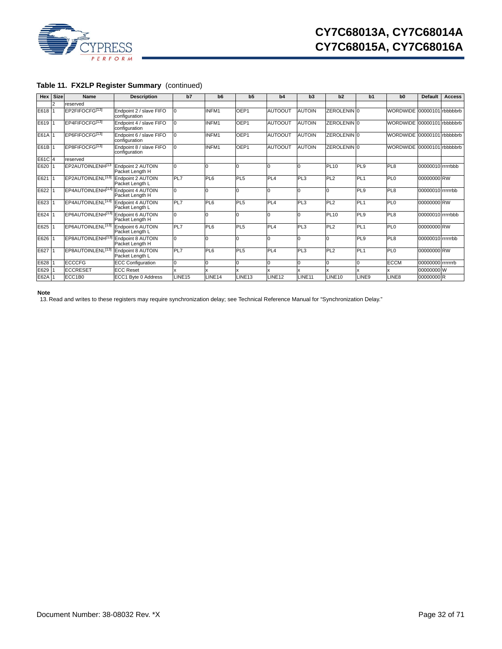

|  |  |  |  | Table 11. FX2LP Register Summary (continued) |
|--|--|--|--|----------------------------------------------|
|--|--|--|--|----------------------------------------------|

| Hex    | <b>Size</b>    | Name                                            | <b>Description</b>                          | b7                 | b <sub>6</sub>     | b <sub>5</sub>     | b4                 | b3                 | b2                     | b <sub>1</sub>  | b <sub>0</sub>             | Default           | <b>Access</b> |
|--------|----------------|-------------------------------------------------|---------------------------------------------|--------------------|--------------------|--------------------|--------------------|--------------------|------------------------|-----------------|----------------------------|-------------------|---------------|
|        | $\overline{2}$ | reserved                                        |                                             |                    |                    |                    |                    |                    |                        |                 |                            |                   |               |
| E618   |                | EP2FIFOCFG[13]                                  | Endpoint 2 / slave FIFO<br>configuration    | $\Omega$           | INFM1              | OEP1               | <b>AUTOOUT</b>     | <b>AUTOIN</b>      | ZEROLENIN 0            |                 | WORDWIDE 00000101 rbbbbbrb |                   |               |
| E619   |                | EP4FIFOCFG[13]                                  | Endpoint 4 / slave FIFO<br>configuration    | $\Omega$           | INFM1              | OEP1               | <b>AUTOOUT</b>     | <b>AUTOIN</b>      | ZEROLENIN 0            |                 | WORDWIDE 00000101 rbbbbbrb |                   |               |
| E61A   |                | EP6FIFOCFG[13]                                  | Endpoint 6 / slave FIFO<br>configuration    | l0                 | INFM1              | OEP1               | <b>AUTOOUT</b>     | <b>AUTOIN</b>      | ZEROLENIN <sup>0</sup> |                 | WORDWIDE 00000101 rbbbbbrb |                   |               |
| E61B 1 |                | EP8FIFOCFG[13]                                  | Endpoint 8 / slave FIFO<br>configuration    | $\Omega$           | INFM1              | OEP1               | <b>AUTOOUT</b>     | <b>AUTOIN</b>      | ZEROLENIN 0            |                 | WORDWIDE 00000101 rbbbbbrb |                   |               |
| E61C 4 |                | reserved                                        |                                             |                    |                    |                    |                    |                    |                        |                 |                            |                   |               |
| E620   |                | EP2AUTOINLENH <sup>[13</sup>                    | Endpoint 2 AUTOIN<br>Packet Length H        | $\Omega$           |                    |                    | In                 | 0                  | PL10                   | PL9             | PL8                        | 00000010 rrrrrbbb |               |
| E621   |                | EP2AUTOINLENL <sup>[13]</sup> Endpoint 2 AUTOIN | Packet Length L                             | PL7                | PL6                | PL <sub>5</sub>    | PL <sub>4</sub>    | PL3                | PL2                    | PL <sub>1</sub> | PL <sub>0</sub>            | 00000000 RW       |               |
| E622   |                | EP4AUTOINLENH <sup>[13]</sup>                   | Endpoint 4 AUTOIN<br>Packet Length H        | $\Omega$           | n                  | $\Omega$           | lo                 | $\Omega$           | $\Omega$               | PL <sub>9</sub> | PL <sub>8</sub>            | 00000010 rrrrrrbb |               |
| E623   |                | EP4AUTOINLENL <sup>[13]</sup> Endpoint 4 AUTOIN | Packet Length L                             | <b>PL7</b>         | PL6                | PL <sub>5</sub>    | PL <sub>4</sub>    | PL3                | PL <sub>2</sub>        | PL <sub>1</sub> | PL <sub>0</sub>            | 00000000 RW       |               |
| E624   |                | EP6AUTOINLENH <sup>[13]</sup> Endpoint 6 AUTOIN | Packet Length H                             | $\Omega$           |                    | $\Omega$           | lO                 | $\Omega$           | <b>PL10</b>            | PL <sub>9</sub> | PL <sub>8</sub>            | 00000010 rrrrrbbb |               |
| E625   |                | EP6AUTOINLENL <sup>[13]</sup> Endpoint 6 AUTOIN | Packet Length L                             | <b>PL7</b>         | PL6                | PL <sub>5</sub>    | PL <sub>4</sub>    | PL <sub>3</sub>    | PL2                    | PL <sub>1</sub> | PL <sub>0</sub>            | 00000000 RW       |               |
| E626   |                | EP8AUTOINLENH[13]                               | <b>Endpoint 8 AUTOIN</b><br>Packet Length H | $\Omega$           | n                  | $\Omega$           | lo                 | $\Omega$           | $\Omega$               | PL <sub>9</sub> | PL <sub>8</sub>            | 00000010 rrrrrrbb |               |
| E627   |                | EP8AUTOINLENL <sup>[13]</sup>                   | Endpoint 8 AUTOIN<br>Packet Length L        | <b>PL7</b>         | PL6                | PL <sub>5</sub>    | PL <sub>4</sub>    | PL3                | PL <sub>2</sub>        | PL <sub>1</sub> | PL <sub>0</sub>            | 00000000 RW       |               |
| E628   |                | <b>ECCCFG</b>                                   | <b>ECC Configuration</b>                    | l0                 | 0                  | l0                 | 0                  | 0                  | 0                      | 0               | <b>ECCM</b>                | 00000000 rrrrrrrb |               |
| E629   |                | <b>ECCRESET</b>                                 | <b>ECC Reset</b>                            |                    |                    |                    |                    | x                  | $\mathbf{x}$           | x               |                            | 00000000 W        |               |
| E62A   |                | ECC1B0                                          | ECC1 Byte 0 Address                         | LINE <sub>15</sub> | LINE <sub>14</sub> | LINE <sub>13</sub> | LINE <sub>12</sub> | LINE <sub>11</sub> | LINE10                 | LINE9           | LINE8                      | 00000000 R        |               |

**Note**

<span id="page-31-0"></span>13. Read and writes to these registers may require synchronization delay; see Technical Reference Manual for "Synchronization Delay."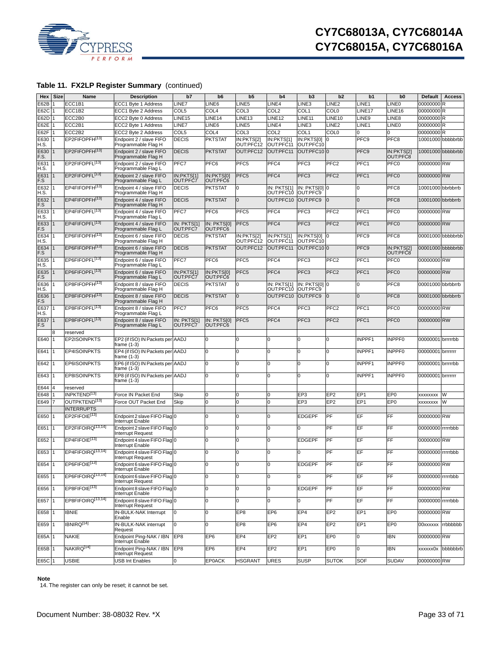

| Hex          | <b>Size</b>    | Name                                           | <b>Description</b>                                                    | b7                      | b <sub>6</sub>          | b <sub>5</sub>          | b4                                          | b3                        | b2                 | b1                 | b <sub>0</sub>         | <b>Default</b>    | <b>Access</b>     |
|--------------|----------------|------------------------------------------------|-----------------------------------------------------------------------|-------------------------|-------------------------|-------------------------|---------------------------------------------|---------------------------|--------------------|--------------------|------------------------|-------------------|-------------------|
| E62B         |                | ECC1B1                                         | ECC1 Byte 1 Address                                                   | LINE7                   | LINE6                   | LINE5                   | LINE4                                       | LINE3                     | LINE <sub>2</sub>  | LINE <sub>1</sub>  | LINE <sub>0</sub>      | 00000000 R        |                   |
| E62C         |                | ECC1B2                                         | ECC1 Byte 2 Address                                                   | COL5                    | COL4                    | COL3                    | COL2                                        | COL1                      | <b>COL0</b>        | LINE <sub>17</sub> | LINE <sub>16</sub>     | 00000000 R        |                   |
| E62D         |                | ECC2B0                                         | ECC2 Byte 0 Address                                                   | LINE <sub>15</sub>      | LINE <sub>14</sub>      | LINE <sub>13</sub>      | INE12                                       | LINE <sub>11</sub>        | LINE <sub>10</sub> | LINE9              | LINE8                  | 00000000R         |                   |
| E62E         |                | ECC2B1                                         | ECC2 Byte 1 Address                                                   | LINE7                   | LINE6                   | LINE5                   | _INE4                                       | LINE3                     | LINE <sub>2</sub>  | LINE <sub>1</sub>  | LINE <sub>0</sub>      | 00000000R         |                   |
| E62F         |                | ECC2B2                                         | ECC2 Byte 2 Address                                                   | COL5                    | COL <sub>4</sub>        | COL3                    | COL <sub>2</sub>                            | COL1                      | COL <sub>0</sub>   | O                  | $\Omega$               | 00000000R         |                   |
| E630<br>H.S. |                | EP2FIFOPFH <sup>[13]</sup>                     | Endpoint 2 / slave FIFO<br>Programmable Flag H                        | <b>DECIS</b>            | <b>PKTSTAT</b>          | IN:PKTS[2]<br>OUT:PFC12 | $\overline{\text{IN:PKTS}}[1]$<br>OUT:PFC11 | IN:PKTS[0]<br>OUT:PFC10   | 0                  | PFC <sub>9</sub>   | PFC8                   |                   | 10001000 bbbbbrbb |
| E630<br>F.S. |                | EP2FIFOPFH <sup>[13]</sup>                     | Endpoint 2 / slave FIFO<br>Programmable Flag H                        | <b>DECIS</b>            | <b>PKTSTAT</b>          | OUT:PFC12               | OUT:PFC11                                   | OUT:PFC100                |                    | PFC <sub>9</sub>   | IN:PKTS[2]<br>OUT:PFC8 |                   | 10001000 bbbbbrbb |
| E631<br>H.S. |                | EP2FIFOPFL <sup>[13]</sup>                     | Endpoint 2 / slave FIFO<br>Programmable Flag L                        | PFC7                    | PFC6                    | PFC5                    | PFC4                                        | PFC <sub>3</sub>          | PFC <sub>2</sub>   | PFC <sub>1</sub>   | PFC <sub>0</sub>       | 00000000 RW       |                   |
| E631<br>F.S  |                | EP2FIFOPFL <sup>[13]</sup>                     | Endpoint 2 / slave FIFO<br>Programmable Flag L                        | IN:PKTS[1]<br>OUT:PFC7  | IN:PKTS[0]<br>OUT:PFC6  | PFC <sub>5</sub>        | PFC4                                        | PFC <sub>3</sub>          | PFC <sub>2</sub>   | PFC1               | PFC0                   | 00000000 RW       |                   |
| E632<br>H.S. |                | EP4FIFOPFH <sup>[13]</sup>                     | Endpoint 4 / slave FIFO<br>Programmable Flag H                        | <b>DECIS</b>            | <b>PKTSTAT</b>          | 0                       | IN: PKTS[1]<br>OUT:PFC10                    | IN: PKTS[0] 0<br>OUT:PFC9 |                    | 0                  | PFC8                   | 10001000 bbrbbrrb |                   |
| E632<br>F.S  |                | EP4FIFOPFH[13]                                 | Endpoint 4 / slave FIFO<br>Programmable Flag H                        | <b>DECIS</b>            | <b>PKTSTAT</b>          | $\mathbf{0}$            | OUT:PFC10 OUT:PFC9                          |                           | l0                 | $\Omega$           | PFC8                   | 10001000 bbrbbrrb |                   |
| E633<br>H.S. |                | EP4FIFOPFL <sup>[13]</sup>                     | Endpoint 4 / slave FIFO<br>Programmable Flag L                        | PFC7                    | PFC6                    | PFC <sub>5</sub>        | PFC4                                        | PFC <sub>3</sub>          | PFC <sub>2</sub>   | PFC <sub>1</sub>   | PFC <sub>0</sub>       | 00000000 RW       |                   |
| E633<br>F.S  |                | EP4FIFOPFL <sup>[13]</sup>                     | Endpoint 4 / slave FIFO<br>Programmable Flag L                        | IN: PKTS[1]<br>OUT:PFC7 | IN: PKTS[0]<br>OUT:PFC6 | PFC <sub>5</sub>        | PFC4                                        | PFC <sub>3</sub>          | PFC <sub>2</sub>   | PFC1               | PFC0                   | 00000000 RW       |                   |
| E634<br>H.S. |                | EP6FIFOPFH <sup>[13]</sup>                     | Endpoint 6 / slave FIFO<br>Programmable Flag H                        | <b>DECIS</b>            | <b>PKTSTAT</b>          | IN:PKTS[2]<br>OUT:PFC12 | IN:PKTS[1]<br>OUT:PFC11                     | IN:PKTS[0] 0<br>OUT:PFC10 |                    | PFC9               | PFC8                   |                   | 00001000 bbbbbrbb |
| E634<br>F.S  |                | EP6FIFOPFH[13]                                 | Endpoint 6 / slave FIFO<br>Programmable Flag H                        | <b>DECIS</b>            | <b>PKTSTAT</b>          | OUT:PFC12               | OUT:PFC11                                   | OUT:PFC100                |                    | PFC <sub>9</sub>   | IN:PKTS[2]<br>OUT:PFC8 |                   | 00001000 bbbbbrbb |
| E635<br>H.S. |                | EP6FIFOPFL <sup>[13]</sup>                     | Endpoint 6 / slave FIFO<br>Programmable Flag L                        | PFC7                    | PFC6                    | PFC5                    | PFC4                                        | PFC <sub>3</sub>          | PFC <sub>2</sub>   | PFC1               | PFC <sub>0</sub>       | 00000000 RW       |                   |
| E635<br>F.S  |                | EP6FIFOPFL <sup>[13]</sup>                     | Endpoint 6 / slave FIFO<br>Programmable Flag L                        | IN:PKTS[1]<br>OUT:PFC7  | IN:PKTS[0]<br>OUT:PFC6  | PFC <sub>5</sub>        | PFC4                                        | PFC <sub>3</sub>          | PFC <sub>2</sub>   | PFC <sub>1</sub>   | PFC <sub>0</sub>       | 00000000 RW       |                   |
| E636<br>H.S. |                | EP8FIFOPFH <sup>13]</sup>                      | Endpoint 8 / slave FIFO<br>Programmable Flag H                        | <b>DECIS</b>            | <b>PKTSTAT</b>          | 0                       | IN: PKTS[1]<br>OUT:PFC10                    | IN: PKTS[0] 0<br>OUT:PFC9 |                    | 0                  | PFC8                   | 00001000 bbrbbrrb |                   |
| E636<br>F.S  |                | EP8FIFOPFH <sup>[13]</sup>                     | Endpoint 8 / slave FIFO<br>Programmable Flag H                        | <b>DECIS</b>            | <b>PKTSTAT</b>          | $\mathbf{0}$            | OUT:PFC10                                   | OUT:PFC9                  | $\Omega$           | $\Omega$           | PFC8                   | 00001000 bbrbbrrb |                   |
| E637<br>H.S. |                | EP8FIFOPFL <sup>[13]</sup>                     | Endpoint 8 / slave FIFO<br>Programmable Flag L                        | PFC7                    | PFC6                    | PFC5                    | PFC <sub>4</sub>                            | PFC3                      | PFC <sub>2</sub>   | PFC1               | PFC0                   | 00000000 RW       |                   |
| E637<br>F.S  |                | EP8FIFOPFL <sup>[13]</sup>                     | Endpoint 8 / slave FIFO<br>Programmable Flag L                        | IN: PKTS[1]<br>OUT:PFC7 | IN: PKTS[0]<br>OUT:PFC6 | PFC <sub>5</sub>        | PFC4                                        | PFC <sub>3</sub>          | PFC <sub>2</sub>   | PFC1               | PFC <sub>0</sub>       | 00000000 RW       |                   |
|              | 8              | reserved                                       |                                                                       |                         |                         |                         |                                             |                           |                    |                    |                        |                   |                   |
| E640         |                | EP2ISOINPKTS                                   | EP2 (if ISO) IN Packets per AADJ<br>frame (1-3)                       |                         |                         | $\Omega$                | n                                           | 0                         | 0                  | INPPF1             | <b>INPPF0</b>          | 00000001 brrrrrbb |                   |
| E641         |                | <b>EP4ISOINPKTS</b>                            | EP4 (if ISO) IN Packets per AADJ<br>frame (1-3)                       |                         | U                       | 0                       | n                                           | 0                         | 0                  | INPPF1             | INPPF0                 | 00000001 brrrrrrr |                   |
| E642         | 1              | <b>EP6ISOINPKTS</b>                            | EP6 (if ISO) IN Packets per AADJ<br>frame (1-3)                       |                         | <sup>0</sup>            | 0                       | 0                                           | 0                         | 0                  | INPPF1             | <b>INPPF0</b>          | 00000001 brrrrrbb |                   |
| E643         |                | <b>EP8ISOINPKTS</b>                            | EP8 (if ISO) IN Packets per AADJ<br>frame (1-3)                       |                         | $\Omega$                | O                       | <sup>0</sup>                                | 0                         | 0                  | INPPF1             | <b>INPPF0</b>          | 00000001 brrrrrrr |                   |
| E644         | 4              | reserved                                       |                                                                       |                         |                         |                         |                                             |                           |                    |                    |                        |                   |                   |
| E648         |                | INPKTEND <sup>[13]</sup>                       | Force IN Packet End                                                   | Skip                    | $\Omega$                | 0                       | 0                                           | EP <sub>3</sub>           | EP <sub>2</sub>    | EP <sub>1</sub>    | EP <sub>0</sub>        | XXXXXXXX          | W                 |
| E649         |                | OUTPKTEND <sup>[13]</sup>                      | Force OUT Packet End                                                  | Skip                    | n                       | 0                       |                                             | EP3                       | EP <sub>2</sub>    | EP <sub>1</sub>    | EP <sub>0</sub>        | XXXXXXXX          | W                 |
| E650         |                | <b>INTERRUPTS</b><br>EP2FIFOIE <sup>[13]</sup> | Endpoint 2 slave FIFO Flag 0                                          |                         | O                       | $\Omega$                |                                             | <b>EDGEPF</b>             | PF                 | EF                 | FF                     | 00000000 RW       |                   |
| E651         |                | EP2FIFOIRQ <sup>[13,14]</sup>                  | Interrupt Enable<br>Endpoint 2 slave FIFO Flag 0                      |                         | O                       | 0                       | n                                           |                           | PF                 | EF                 | FF                     | 00000000 rrrrrbbb |                   |
| E652         |                | EP4FIFOIE <sup>[13]</sup>                      | Interrupt Request<br>Endpoint 4 slave FIFO Flag 0<br>Interrupt Enable |                         | $\Omega$                | $\Omega$                | O                                           | <b>EDGEPF</b>             | PF                 | EF                 | FF                     | 00000000 RW       |                   |
| E653         |                | EP4FIFOIRQ <sup>[13,14]</sup>                  | Endpoint 4 slave FIFO Flag 0<br><b>Interrupt Request</b>              |                         |                         | $\Omega$                |                                             | <sup>0</sup>              | PF                 | EF                 | FF                     | 00000000 rrrrrbbb |                   |
| E654 1       |                | EP6FIFOIE <sup>[13]</sup>                      | Endpoint 6 slave FIFO Flag 0<br>Interrupt Enable                      |                         | 0                       | 0                       | O                                           | <b>EDGEPF</b>             | PF                 | EF                 | FF                     | 00000000 RW       |                   |
| E655         |                | EP6FIFOIRQ <sup>[13,14]</sup>                  | Endpoint 6 slave FIFO Flag 0<br>Interrupt Request                     |                         | 0                       | 0                       | 0                                           | 0                         | PF                 | EF                 | FF                     | 00000000 rrrrrbbb |                   |
| E656         |                | EP8FIFOIE <sup>[13]</sup>                      | Endpoint 8 slave FIFO Flag 0<br>Interrupt Enable                      |                         | 0                       | O                       | O                                           | <b>EDGEPF</b>             | PF                 | EF                 | $\overline{FF}$        | 00000000 RW       |                   |
| E657         | 1              | EP8FIFOIRQ <sup>[13,14]</sup>                  | Endpoint 8 slave FIFO Flag 0<br>Interrupt Request                     |                         | 0                       | O                       | O                                           | 0                         | PF                 | EF                 | FF                     | 00000000 rrrrrbbb |                   |
| E658         |                | <b>IBNIE</b>                                   | IN-BULK-NAK Interrupt<br>Enable                                       | 0                       | 0                       | EP8                     | EP <sub>6</sub>                             | EP4                       | EP <sub>2</sub>    | EP <sub>1</sub>    | EP <sub>0</sub>        | 00000000 RW       |                   |
| E659         | $\overline{1}$ | <b>IBNIRQ</b> [14]                             | IN-BULK-NAK interrupt<br>Request                                      | 0                       | 0                       | EP8                     | EP <sub>6</sub>                             | EP4                       | EP <sub>2</sub>    | EP <sub>1</sub>    | EP <sub>0</sub>        |                   | 00xxxxxx rrbbbbbb |
| E65A         | 1              | <b>NAKIE</b>                                   | Endpoint Ping-NAK / IBN<br>Interrupt Enable                           | EP8                     | EP <sub>6</sub>         | EP <sub>4</sub>         | EP2                                         | EP <sub>1</sub>           | EP <sub>0</sub>    | 0                  | <b>IBN</b>             | 00000000 RW       |                   |
| E65B 1       |                | NAKIRO <sup>[14]</sup>                         | Endpoint Ping-NAK / IBN<br>Interrupt Request                          | EP8                     | EP <sub>6</sub>         | EP4                     | EP <sub>2</sub>                             | EP <sub>1</sub>           | EP <sub>0</sub>    | 0                  | <b>IBN</b>             | xxxxxx0x          | bbbbbbrb          |
| E65C 1       |                | <b>USBIE</b>                                   | <b>USB Int Enables</b>                                                | 0                       | <b>EP0ACK</b>           | <b>HSGRANT</b>          | URES                                        | <b>SUSP</b>               | <b>SUTOK</b>       | SOF                | <b>SUDAV</b>           | 00000000 RW       |                   |

#### **Note**

<span id="page-32-0"></span>14. The register can only be reset; it cannot be set.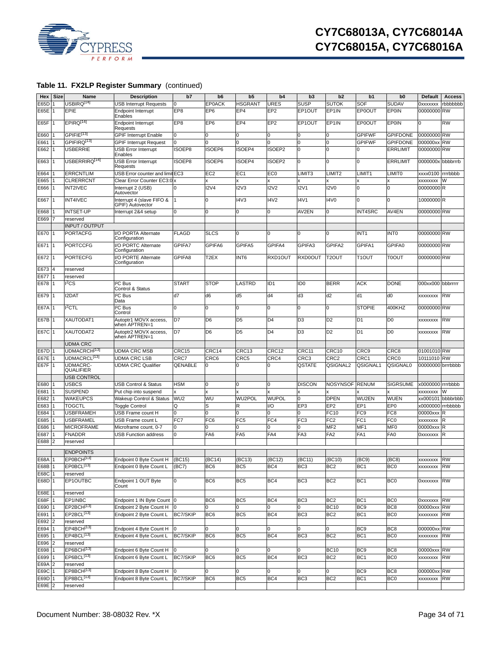

| Hex         | Size           | Name                                | <b>Description</b>                                   | b7              | b <sub>6</sub>  | b <sub>5</sub>  | b4                 | b <sub>3</sub>     | b2                 | b1                 | b <sub>0</sub>  | Default           | <b>Access</b> |
|-------------|----------------|-------------------------------------|------------------------------------------------------|-----------------|-----------------|-----------------|--------------------|--------------------|--------------------|--------------------|-----------------|-------------------|---------------|
| E65D        |                | USBIRQ <sup>[14]</sup>              | <b>USB Interrupt Requests</b>                        | 0               | <b>EP0ACK</b>   | HSGRANT         | URES               | <b>SUSP</b>        | <b>SUTOK</b>       | <b>SOF</b>         | SUDAV           | <b>OXXXXXXX</b>   | rbbbbbbb      |
| E65E        | l 1            | EPIE                                |                                                      | EP8             | EP <sub>6</sub> | EP <sub>4</sub> | EP <sub>2</sub>    | EP1OUT             | EP1IN              | <b>EP0OUT</b>      | EPOIN           | 00000000 RW       |               |
|             |                |                                     | <b>Endpoint Interrupt</b><br>Enables                 |                 |                 |                 |                    |                    |                    |                    |                 |                   |               |
| E65F        |                | EPIRO <sup>[14]</sup>               | Endpoint Interrupt<br>Requests                       | EP8             | EP <sub>6</sub> | EP <sub>4</sub> | EP <sub>2</sub>    | EP1OUT             | EP1IN              | <b>EP0OUT</b>      | EPOIN           | O                 | <b>RW</b>     |
| E660        |                | GPIFIE <sup>[13]</sup>              | <b>GPIF Interrupt Enable</b>                         | 0               | O               |                 | 0                  | 0                  | 0                  | <b>GPIFWF</b>      | <b>GPIFDONE</b> | 00000000 RW       |               |
| E661        |                | GPIFIRQ <sup>[13]</sup>             | <b>GPIF Interrupt Request</b>                        | $\Omega$        |                 |                 |                    | 0                  | $\mathbf 0$        | <b>GPIFWF</b>      | <b>GPIFDONE</b> | 000000xx          | <b>RW</b>     |
| E662        |                | <b>USBERRIE</b>                     | <b>USB Error Interrupt</b><br>Enables                | ISOEP8          | ISOEP6          | ISOEP4          | ISOEP <sub>2</sub> | $\Omega$           | $\Omega$           | U                  | <b>ERRLIMIT</b> | 00000000 RW       |               |
| E663        |                | USBERRIRQ <sup>[14]</sup>           | <b>USB Error Interrupt</b><br>Requests               | ISOEP8          | SOEP6           | ISOEP4          | ISOEP2             | 0                  | 0                  | $\Omega$           | <b>ERRLIMIT</b> | 0000000x bbbbrrrb |               |
| E664        |                | <b>ERRCNTLIM</b>                    | USB Error counter and limit EC3                      |                 | EC <sub>2</sub> | EC <sub>1</sub> | EC <sub>0</sub>    | LIMIT <sub>3</sub> | LIMIT <sub>2</sub> | LIMIT1             | <b>LIMITO</b>   | xxxx0100          | rrrrbbbb      |
| E665        |                | <b>CLRERRCNT</b>                    | Clear Error Counter EC3:0                            |                 |                 |                 |                    |                    |                    |                    |                 | <b>XXXXXXXX</b>   | W             |
| E666        |                | <b>INT2IVEC</b>                     | Interrupt 2 (USB)<br>Autovector                      | <sup>0</sup>    | 12V4            | 12V3            | <b>I2V2</b>        | 12V1               | <b>I2V0</b>        | 0                  | $\Omega$        | 00000000R         |               |
| E667        |                | <b>INT4IVEC</b>                     | Interrupt 4 (slave FIFO &<br><b>GPIF)</b> Autovector |                 | 0               | <b>I4V3</b>     | <b>I4V2</b>        | <b>I4V1</b>        | <b>I4V0</b>        | 0                  | $\Omega$        | 10000000 R        |               |
| E668        |                | <b>INTSET-UP</b>                    | Interrupt 2&4 setup                                  | O               | $\Omega$        | 0               | O                  | AV2EN              | 0                  | <b>INT4SRC</b>     | AV4EN           | 00000000 RW       |               |
| E669        |                | reserved                            |                                                      |                 |                 |                 |                    |                    |                    |                    |                 |                   |               |
|             |                | INPUT / OUTPUT                      |                                                      |                 |                 |                 |                    |                    |                    |                    |                 |                   |               |
| E670        |                | <b>PORTACFG</b>                     | I/O PORTA Alternate<br>Configuration                 | <b>FLAGD</b>    | <b>SLCS</b>     |                 | $\Omega$           | $\Omega$           | 0                  | INT <sub>1</sub>   | <b>INTO</b>     | 00000000 RW       |               |
| E671        |                | <b>PORTCCFG</b>                     | I/O PORTC Alternate<br>Configuration                 | GPIFA7          | GPIFA6          | GPIFA5          | GPIFA4             | GPIFA3             | GPIFA2             | GPIFA1             | GPIFA0          | 00000000 RW       |               |
| E672        | 11             | <b>PORTECFG</b>                     | I/O PORTE Alternate<br>Configuration                 | GPIFA8          | T2EX            | INT6            | RXD1OUT            | RXD0OUT            | T <sub>2</sub> OUT | T <sub>1</sub> OUT | <b>TOOUT</b>    | 00000000 RW       |               |
| E673        | $\overline{4}$ | reserved                            |                                                      |                 |                 |                 |                    |                    |                    |                    |                 |                   |               |
| E677        |                | reserved                            |                                                      |                 |                 |                 |                    |                    |                    |                    |                 |                   |               |
| E678        | l 1            | 12CS                                | <sup>2</sup> C Bus<br>Control & Status               | <b>START</b>    | <b>STOP</b>     | LASTRD          | ID <sub>1</sub>    | ID <sub>0</sub>    | <b>BERR</b>        | <b>ACK</b>         | <b>DONE</b>     | 000xx000 bbbrrrrr |               |
| E679        |                | <b>I2DAT</b>                        | <sup>2</sup> C Bus<br>Data                           | d7              | d6              | d5              | d4                 | d3                 | d2                 | d <sub>1</sub>     | d0              | XXXXXXXX          | <b>RW</b>     |
| <b>E67A</b> |                | $I2$ CTL                            | <sup>2</sup> C Bus<br>Control                        | O               | 0               | 0               | O                  | 0                  | 0                  | <b>STOPIE</b>      | 400KHZ          | 00000000 RW       |               |
| E67B        |                | XAUTODAT1                           | Autoptr1 MOVX access,<br>when APTREN=1               | D7              | D <sub>6</sub>  | D <sub>5</sub>  | D <sub>4</sub>     | D <sub>3</sub>     | D <sub>2</sub>     | D <sub>1</sub>     | D <sub>0</sub>  | XXXXXXXX          | <b>RW</b>     |
| <b>E67C</b> | l 1            | XAUTODAT2                           | Autoptr2 MOVX access,<br>when APTREN=1               | D7              | D <sub>6</sub>  | D <sub>5</sub>  | D4                 | D <sub>3</sub>     | D <sub>2</sub>     | D <sub>1</sub>     | D <sub>0</sub>  | XXXXXXXX          | <b>RW</b>     |
|             |                | <b>UDMA CRC</b>                     |                                                      |                 |                 |                 |                    |                    |                    |                    |                 |                   |               |
|             |                |                                     |                                                      |                 |                 |                 |                    |                    |                    |                    |                 |                   |               |
| E67D        |                | UDMACRCH <sup>[13]</sup>            | <b>UDMA CRC MSB</b>                                  | CRC15           | CRC14           | CRC13           | CRC12              | CRC11              | CRC10              | CRC <sub>9</sub>   | CRC8            | 01001010 RW       |               |
| <b>E67E</b> |                | UDMACRCL <sup>[13]</sup>            | UDMA CRC LSB                                         | CRC7            | CRC6            | CRC5            | CRC4               | CRC <sub>3</sub>   | CRC <sub>2</sub>   | CRC1               | <b>CRC0</b>     | 10111010          | <b>RW</b>     |
| E67F        | <b>11</b>      | <b>UDMACRC-</b><br><b>QUALIFIER</b> | <b>UDMA CRC Qualifier</b>                            | <b>QENABLE</b>  | 0               | U               | 0                  | QSTATE             | QSIGNAL2           | QSIGNAL1           | QSIGNAL0        | 00000000 brrrbbbb |               |
|             |                | USB CONTROL                         |                                                      |                 |                 |                 |                    |                    |                    |                    |                 |                   |               |
| E680        |                | <b>USBCS</b>                        | <b>USB Control &amp; Status</b>                      | <b>HSM</b>      | 0               | 0               | $\Omega$           | <b>DISCON</b>      | <b>NOSYNSOF</b>    | <b>RENUM</b>       | <b>SIGRSUME</b> | x0000000 rrrrbbbb |               |
| E681        |                | <b>SUSPEND</b>                      | Put chip into suspend                                |                 |                 |                 |                    |                    |                    |                    |                 | XXXXXXXX          |               |
| E682        |                | <b>WAKEUPCS</b>                     | Wakeup Control & Status                              | WU <sub>2</sub> | WU              | WU2POL          | <b>WUPOL</b>       | 0                  | <b>DPEN</b>        | WU2EN              | <b>WUEN</b>     | xx000101 bbbbrbbb |               |
| E683        |                | TOGCTL                              | <b>Toggle Control</b>                                | Q               | S               | R               | 1/O                | EP <sub>3</sub>    | EP <sub>2</sub>    | EP <sub>1</sub>    | EP <sub>0</sub> | x0000000 rrrbbbbb |               |
| E684        |                | <b>USBFRAMEH</b>                    | USB Frame count H                                    | $\Omega$        | O               |                 |                    | 0                  | FC10               | FC <sub>9</sub>    | FC <sub>8</sub> | 00000xxx          | <b>R</b>      |
| E685        |                | <b>USBFRAMEL</b>                    | USB Frame count L                                    | FC7             | FC <sub>6</sub> | FC <sub>5</sub> | FC4                | FC <sub>3</sub>    | FC <sub>2</sub>    | FC <sub>1</sub>    | FC <sub>0</sub> | <b>XXXXXXXX</b>   |               |
| E686        |                | <b>MICROFRAME</b>                   | Microframe count, 0-7                                | 0               | n               |                 | O                  | 0                  | MF <sub>2</sub>    | MF <sub>1</sub>    | MF <sub>0</sub> | 00000xxx          | R             |
| E687        |                | <b>FNADDR</b>                       | <b>USB Function address</b>                          | 0               | FA <sub>6</sub> | FA <sub>5</sub> | FA4                | FA <sub>3</sub>    | FA <sub>2</sub>    | FA <sub>1</sub>    | FA <sub>0</sub> | <b>OXXXXXXX</b>   | R             |
| E688        | $\overline{2}$ | reserved                            |                                                      |                 |                 |                 |                    |                    |                    |                    |                 |                   |               |
|             |                | <b>ENDPOINTS</b>                    |                                                      |                 |                 |                 |                    |                    |                    |                    |                 |                   |               |
|             |                |                                     |                                                      |                 |                 |                 |                    |                    |                    |                    |                 |                   |               |
| E68A 1      |                | EP0BCH <sup>[1</sup>                | Endpoint 0 Byte Count H (BC15)                       |                 | (BC14)          | (BC13)          | (BC12)             | (BC11)             | (BC10)             | (BC9)              | (BC8)           | xxxxxxxx RW       |               |
| E68B        |                | EP0BCL <sup>[13]</sup>              | Endpoint 0 Byte Count L                              | (BC7)           | BC6             | BC <sub>5</sub> | BC4                | BC <sub>3</sub>    | BC <sub>2</sub>    | BC <sub>1</sub>    | BC <sub>0</sub> | <b>XXXXXXX RW</b> |               |
| E68C        |                | reserved                            |                                                      |                 |                 |                 |                    |                    |                    |                    |                 |                   |               |
| E68D 1      |                | EP1OUTBC                            | Endpoint 1 OUT Byte<br>Count                         | 0               | BC6             | BC5             | BC4                | BC <sub>3</sub>    | BC <sub>2</sub>    | BC <sub>1</sub>    | BC <sub>0</sub> | 0xxxxxxx RW       |               |
| E68E        |                | reserved                            |                                                      |                 |                 |                 |                    |                    |                    |                    |                 |                   |               |
| E68F        |                | EP1INBC                             | Endpoint 1 IN Byte Count 0                           |                 | BC <sub>6</sub> | BC <sub>5</sub> | BC4                | BC <sub>3</sub>    | BC <sub>2</sub>    | BC <sub>1</sub>    | BC <sub>0</sub> | 0xxxxxxx RW       |               |
| E690        |                | EP2BCH <sup>[13]</sup>              | Endpoint 2 Byte Count H                              | Iо              | 0               |                 | 0                  | 0                  | <b>BC10</b>        | BC <sub>9</sub>    | BC <sub>8</sub> | 00000xxx RW       |               |
| E691        |                | EP2BCL <sup>[13]</sup>              | Endpoint 2 Byte Count L                              | BC7/SKIP        | BC <sub>6</sub> | BC <sub>5</sub> | BC4                | BC <sub>3</sub>    | BC <sub>2</sub>    | BC <sub>1</sub>    | BC0             | xxxxxxxx          | <b>RW</b>     |
| E692        | 2              | reserved                            |                                                      |                 |                 |                 |                    |                    |                    |                    |                 |                   |               |
| E694        |                | EP4BCH <sup>[13]</sup>              | Endpoint 4 Byte Count H                              | 10              |                 |                 | 0                  | 0                  | 0                  | BC <sub>9</sub>    | BC <sub>8</sub> | 000000xx RW       |               |
| E695        |                | EP4BCL <sup>[13]</sup>              | Endpoint 4 Byte Count L                              | BC7/SKIP        | BC6             | BC <sub>5</sub> | BC4                | BC <sub>3</sub>    | BC <sub>2</sub>    | BC <sub>1</sub>    | BC <sub>0</sub> | xxxxxxxx          | <b>RW</b>     |
| E696        |                | reserved                            |                                                      |                 |                 |                 |                    |                    |                    |                    |                 |                   |               |
| E698        |                | EP6BCH <sup>[13]</sup>              | Endpoint 6 Byte Count H                              | 0               | 0               | 0               | 0                  | 0                  | <b>BC10</b>        | BC <sub>9</sub>    | BC8             | 00000xxx RW       |               |
| E699        |                | EP6BCL <sup>[13]</sup>              | Endpoint 6 Byte Count L                              | <b>BC7/SKIP</b> | BC <sub>6</sub> | BC5             | BC4                | BC <sub>3</sub>    | BC <sub>2</sub>    | BC <sub>1</sub>    | BC <sub>0</sub> | XXXXXXXX          | <b>RW</b>     |
| E69A        |                | reserved                            |                                                      |                 |                 |                 |                    |                    |                    |                    |                 |                   |               |
| E69C        |                | EP8BCH <sup>[13]</sup>              | Endpoint 8 Byte Count H                              | Iо              | 0               |                 | 0                  | 0                  | 0                  | BC <sub>9</sub>    | BC <sub>8</sub> | 000000xx RW       |               |
| E69D 1      |                | EP8BCL <sup>[13]</sup>              | Endpoint 8 Byte Count L                              | BC7/SKIP        | BC <sub>6</sub> | BC5             | BC4                | BC <sub>3</sub>    | BC <sub>2</sub>    | BC <sub>1</sub>    | BC0             | xxxxxxx RW        |               |
| E69E 2      |                | reserved                            |                                                      |                 |                 |                 |                    |                    |                    |                    |                 |                   |               |
|             |                |                                     |                                                      |                 |                 |                 |                    |                    |                    |                    |                 |                   |               |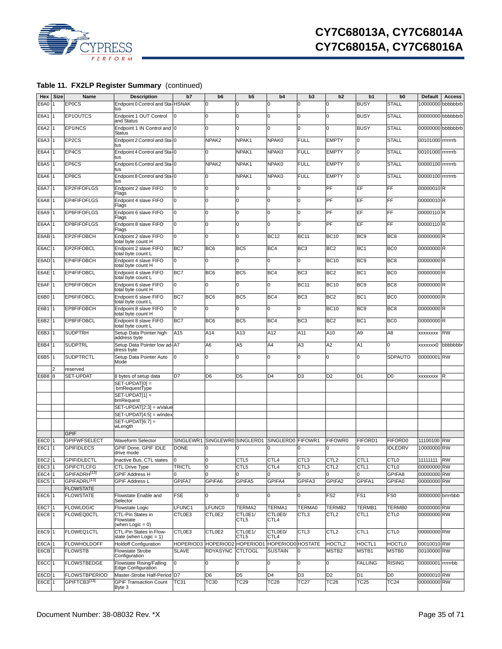

| Hex               | <b>Size</b> | Name                     | <b>Description</b>                                                | b7            | b <sub>6</sub>  | b <sub>5</sub>      | b4                          | b <sub>3</sub>  | b2                | b1               | b <sub>0</sub>   | Default           | <b>Access</b>     |
|-------------------|-------------|--------------------------|-------------------------------------------------------------------|---------------|-----------------|---------------------|-----------------------------|-----------------|-------------------|------------------|------------------|-------------------|-------------------|
| E6A0              |             | <b>EPOCS</b>             | Endpoint 0 Control and Sta-HSNAK<br>tus                           |               | 0               |                     | O                           | 0               | 0                 | <b>BUSY</b>      | <b>STALL</b>     |                   | d1000000 bbbbbbrb |
| E6A1              |             | EP1OUTCS                 | Endpoint 1 OUT Control<br>and Status                              |               | $\Omega$        | $\Omega$            | $\Omega$                    | 0               | 0                 | <b>BUSY</b>      | <b>STALL</b>     |                   | 00000000 bbbbbbrb |
| E6A2              |             | EP1INCS                  | Endpoint 1 IN Control and 0<br><b>Status</b>                      |               | $\Omega$        | U                   | O                           | 0               | 0                 | <b>BUSY</b>      | <b>STALL</b>     |                   | 00000000 bbbbbbrb |
| E6A3              |             | EP2CS                    | Endpoint 2 Control and Sta-0<br>tus                               |               | NPAK2           | NPAK1               | NPAK0                       | <b>FULL</b>     | <b>EMPTY</b>      | 0                | <b>STALL</b>     | 00101000 rrrrrrrb |                   |
| E6A4              |             | EP4CS                    | Endpoint 4 Control and Sta-0<br>tus                               |               | 0               | NPAK1               | NPAK0                       | <b>FULL</b>     | <b>EMPTY</b>      | 0                | <b>STALL</b>     | 00101000 rrrrrrrb |                   |
| E6A5              |             | EP6CS                    | Endpoint 6 Control and Sta-0<br>tus                               |               | NPAK2           | NPAK1               | NPAK0                       | <b>FULL</b>     | <b>EMPTY</b>      | $\overline{0}$   | <b>STALL</b>     | 00000100 rrrrrrrb |                   |
| E6A6              | l 1         | EP8CS                    | Endpoint 8 Control and Sta-0<br>tus                               |               | 0               | NPAK1               | NPAK0                       | <b>FULL</b>     | <b>EMPTY</b>      | $\mathbf 0$      | <b>STALL</b>     | 00000100 rrrrrrrb |                   |
| <b>E6A7</b>       |             | EP2FIFOFLGS              | Endpoint 2 slave FIFO<br>Flags                                    | 0             | 0               | 0                   | O                           | 0               | PF                | EF               | FF               | 00000010R         |                   |
| E6A8              |             | <b>EP4FIFOFLGS</b>       | Endpoint 4 slave FIFO<br>Flags                                    | 0             | 0               | $\Omega$            | 0                           | l0              | PF                | EF               | FF               | 00000010R         |                   |
| E6A9              |             | EP6FIFOFLGS              | Endpoint 6 slave FIFO<br>Flags                                    | 0             | 0               | 0                   | 0                           | 0               | PF                | EF               | $\overline{FF}$  | 00000110R         |                   |
| E6AA              |             | EP8FIFOFLGS              | Endpoint 8 slave FIFO<br>Flags                                    | 0             | 0               | 0                   | l0                          | O               | PF                | EF               | <b>FF</b>        | 00000110R         |                   |
| E6AB              |             | EP2FIFOBCH               | Endpoint 2 slave FIFO<br>total byte count H                       | O             | $\Omega$        | 0                   | <b>BC12</b>                 | <b>BC11</b>     | <b>BC10</b>       | BC <sub>9</sub>  | BC <sub>8</sub>  | 00000000 R        |                   |
| E6AC              |             | EP2FIFOBCL               | Endpoint 2 slave FIFO<br>total byte count L                       | BC7           | BC <sub>6</sub> | BC <sub>5</sub>     | BC4                         | BC <sub>3</sub> | BC <sub>2</sub>   | BC <sub>1</sub>  | BC <sub>0</sub>  | 00000000 R        |                   |
| E6AD <sub>1</sub> |             | EP4FIFOBCH               | Endpoint 4 slave FIFO<br>total byte count H                       | 0             | 0               | $\Omega$            | 0                           | 0               | <b>BC10</b>       | BC <sub>9</sub>  | BC <sub>8</sub>  | 00000000R         |                   |
| E6AE              |             | EP4FIFOBCL               | Endpoint 4 slave FIFO<br>total byte count L                       | BC7           | BC <sub>6</sub> | BC <sub>5</sub>     | BC4                         | BC <sub>3</sub> | BC <sub>2</sub>   | BC <sub>1</sub>  | BC <sub>0</sub>  | 00000000R         |                   |
| E6AF              | l 1         | EP6FIFOBCH               | Endpoint 6 slave FIFO<br>total byte count H                       | O             | 0               | 0                   | l0                          | <b>BC11</b>     | <b>BC10</b>       | BC <sub>9</sub>  | BC <sub>8</sub>  | 00000000R         |                   |
| E6B0              |             | EP6FIFOBCL               | Endpoint 6 slave FIFO<br>total byte count L                       | BC7           | BC <sub>6</sub> | BC <sub>5</sub>     | BC4                         | BC <sub>3</sub> | BC <sub>2</sub>   | BC <sub>1</sub>  | BC <sub>0</sub>  | 00000000 R        |                   |
| E6B1              |             | EP8FIFOBCH               | Endpoint 8 slave FIFO                                             | $\Omega$      | 0               | U                   | 0                           | 0               | <b>BC10</b>       | BC <sub>9</sub>  | BC <sub>8</sub>  | 00000000 R        |                   |
| E6B2              |             | EP8FIFOBCL               | total byte count H<br>Endpoint 8 slave FIFO<br>total byte count L | BC7           | BC <sub>6</sub> | BC <sub>5</sub>     | BC4                         | BC <sub>3</sub> | BC <sub>2</sub>   | BC <sub>1</sub>  | BC <sub>0</sub>  | 00000000R         |                   |
| E6B3              |             | <b>SUDPTRH</b>           | Setup Data Pointer high                                           | A15           | A14             | A <sub>13</sub>     | A12                         | A11             | A10               | A <sub>9</sub>   | A8               | XXXXXXXX          | <b>RW</b>         |
| E6B4              |             | <b>SUDPTRL</b>           | address byte<br>Setup Data Pointer low ad-A7<br>dress byte        |               | A6              | A5                  | A4                          | A3              | A <sub>2</sub>    | A1               | $\Omega$         | xxxxxxx0          | bbbbbbbr          |
| E6B5              | l 1         | <b>SUDPTRCTL</b>         | Setup Data Pointer Auto<br>Mode                                   | O             | 0               | $\Omega$            | l0                          | O               | l0                | 0                | SDPAUTO          | 00000001 RW       |                   |
|                   |             | reserved                 |                                                                   |               |                 |                     |                             |                 |                   |                  |                  |                   |                   |
| E6B8              | 8           | SET-UPDAT                | 8 bytes of setup data                                             | D7            | D <sub>6</sub>  | D <sub>5</sub>      | D <sub>4</sub>              | D <sub>3</sub>  | D <sub>2</sub>    | D <sub>1</sub>   | D <sub>0</sub>   | XXXXXXXX          | R                 |
|                   |             |                          | SET-UPDAT[0] =                                                    |               |                 |                     |                             |                 |                   |                  |                  |                   |                   |
|                   |             |                          | bmRequestType                                                     |               |                 |                     |                             |                 |                   |                  |                  |                   |                   |
|                   |             |                          | $SET-UPDAT[1] =$<br>bmRequest                                     |               |                 |                     |                             |                 |                   |                  |                  |                   |                   |
|                   |             |                          | SET-UPDAT[2:3] = wValue                                           |               |                 |                     |                             |                 |                   |                  |                  |                   |                   |
|                   |             |                          | SET-UPDAT[4:5] = windex                                           |               |                 |                     |                             |                 |                   |                  |                  |                   |                   |
|                   |             |                          | $SET-UPDAT[6:7] =$                                                |               |                 |                     |                             |                 |                   |                  |                  |                   |                   |
|                   |             | <b>GPIF</b>              | wLength                                                           |               |                 |                     |                             |                 |                   |                  |                  |                   |                   |
| E6C0              |             | <b>GPIFWFSELECT</b>      | Waveform Selector                                                 | SINGLEWR1     |                 | SINGLEWR0 SINGLERD1 | SINGLERD0 FIFOWR1           |                 | FIFOWR0           | FIFORD1          | FIFORD0          | 11100100 RW       |                   |
| E6C1 1            |             | <b>GPIFIDLECS</b>        | GPIF Done, GPIF IDLE<br>drive mode                                | <b>DONE</b>   |                 |                     |                             |                 | $\mathbf 0$       | $\Omega$         | <b>IDLEDRV</b>   | 10000000 RW       |                   |
| E6C2 1            |             | <b>GPIFIDLECTL</b>       | Inactive Bus, CTL states                                          | Iо            |                 | CTL5                | CTL4                        | CTL3            | CTL <sub>2</sub>  | CTL <sub>1</sub> | CTL <sub>0</sub> | 11111111 RW       |                   |
| E6C3 1            |             | <b>GPIFCTLCFG</b>        | CTL Drive Type                                                    | <b>TRICTL</b> | 0               | CTL5                | CTL4                        | CTL3            | CTL <sub>2</sub>  | CTL <sub>1</sub> | CTL <sub>0</sub> | 00000000 RW       |                   |
| E6C4              |             | GPIFADRH <sup>[13]</sup> | <b>GPIF Address H</b>                                             |               | $\Omega$        |                     |                             | 0               | 0                 | $\Omega$         | GPIFA8           | 00000000 RW       |                   |
| E6C5 1            |             | GPIFADRL <sup>[13]</sup> | <b>GPIF Address L</b>                                             | GPIFA7        | GPIFA6          | GPIFA5              | GPIFA4                      | GPIFA3          | GPIFA2            | GPIFA1           | GPIFA0           | 00000000 RW       |                   |
|                   |             | <b>FLOWSTATE</b>         |                                                                   |               |                 |                     |                             |                 |                   |                  |                  |                   |                   |
| E6C6 1            |             | <b>FLOWSTATE</b>         | Flowstate Enable and<br>Selector                                  | <b>FSE</b>    | 0               | 0                   | 0                           | 0               | FS <sub>2</sub>   | FS <sub>1</sub>  | FS0              | 00000000 brrrrbbb |                   |
| E6C7 1            |             | <b>FLOWLOGIC</b>         | Flowstate Logic                                                   | LFUNC1        | LFUNC0          | TERMA2              | TERMA1                      | TERMA0          | TERMB2            | TERMB1           | TERMB0           | 00000000 RW       |                   |
| E6C8 <sub>1</sub> |             | <b>FLOWEQ0CTL</b>        | CTL-Pin States in<br>Flowstate<br>(when Logic = $0$ )             | CTL0E3        | CTL0E2          | CTL0E1/<br>CTL5     | CTL0E0/<br>CTL <sub>4</sub> | CTL3            | CTL <sub>2</sub>  | CTL <sub>1</sub> | CTL <sub>0</sub> | 00000000 RW       |                   |
| E6C9 1            |             | FLOWEQ1CTL               | CTL-Pin States in Flow-<br>state (when Logic = 1)                 | CTL0E3        | CTL0E2          | CTL0E1/<br>CTL5     | CTL0E0/<br>CTL <sub>4</sub> | CTL3            | CTL <sub>2</sub>  | CTL <sub>1</sub> | <b>CTLO</b>      | 00000000 RW       |                   |
| E6CA              |             | <b>FLOWHOLDOFF</b>       | <b>Holdoff Configuration</b>                                      | HOPERIOD3     | HOPERIOD:       | HOPERIOD1           | HOPERIOD0 HOSTATE           |                 | HOCTL2            | HOCTL1           | <b>HOCTL0</b>    | 00010010 RW       |                   |
| E6CB <sub>1</sub> |             | <b>FLOWSTB</b>           | Flowstate Strobe<br>Configuration                                 | <b>SLAVE</b>  | <b>RDYASYNC</b> | <b>CTLTOGL</b>      | <b>SUSTAIN</b>              | O               | MSTB <sub>2</sub> | MSTB1            | MSTB0            | 00100000 RW       |                   |
| <b>E6CC</b> 1     |             | <b>FLOWSTBEDGE</b>       | Flowstate Rising/Falling<br>Edge Configuration                    | 0             | 0               | 0                   | 0                           | 0               | 0                 | <b>FALLING</b>   | <b>RISING</b>    | 00000001 rrrrrrbb |                   |
| E6CD <sub>1</sub> |             | <b>FLOWSTBPERIOD</b>     | Master-Strobe Half-Period D7                                      |               | D6              | D5                  | D <sub>4</sub>              | D3              | D <sub>2</sub>    | D1               | D <sub>0</sub>   | 00000010 RW       |                   |
| E6CE <sub>1</sub> |             | GPIFTCB3[13]             | <b>GPIF Transaction Count</b><br>Byte 3                           | TC31          | TC30            | TC29                | TC28                        | <b>TC27</b>     | TC26              | TC25             | TC24             | 00000000 RW       |                   |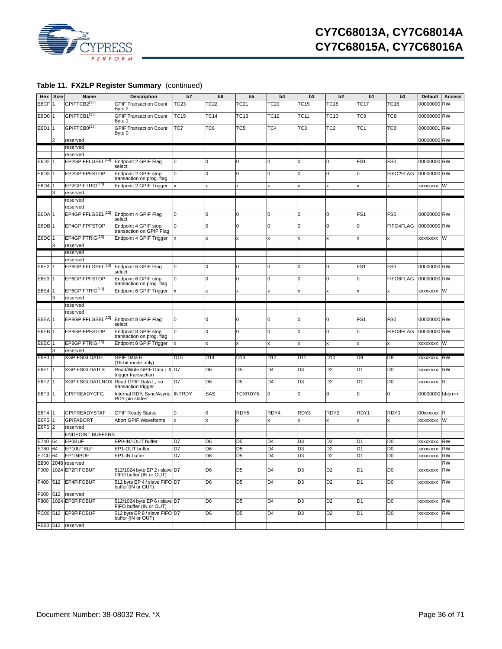

| Hex               | <b>Size</b>    | Name                          | <b>Description</b>                                       | b7              | b <sub>6</sub> | b <sub>5</sub>  | b4               | b <sub>3</sub>  | b2               | b1              | b <sub>0</sub>  | <b>Default</b>    | <b>Access</b> |
|-------------------|----------------|-------------------------------|----------------------------------------------------------|-----------------|----------------|-----------------|------------------|-----------------|------------------|-----------------|-----------------|-------------------|---------------|
| E6CF              |                | GPIFTCB2[13]                  | <b>GPIF Transaction Count</b>                            | TC23            | TC22           | TC21            | TC <sub>20</sub> | TC19            | TC18             | <b>TC17</b>     | TC16            | 00000000 RW       |               |
|                   |                |                               | Byte 2                                                   |                 |                |                 |                  |                 |                  |                 |                 |                   |               |
| E6D0              |                | GPIFTCB1 <sup>[13]</sup>      | <b>GPIF Transaction Count</b><br>Byte 1                  | TC15            | TC14           | TC13            | <b>TC12</b>      | TC11            | TC10             | TC9             | TC <sub>8</sub> | 00000000 RW       |               |
| E6D1 1            |                | GPIFTCB0[13]                  | <b>GPIF Transaction Count</b><br>Byte 0                  | TC7             | TC6            | TC5             | TC4              | TC3             | TC <sub>2</sub>  | TC <sub>1</sub> | TC <sub>0</sub> | 00000001 RW       |               |
|                   | 2              | reserved                      |                                                          |                 |                |                 |                  |                 |                  |                 |                 | 00000000 RW       |               |
|                   |                | reserved                      |                                                          |                 |                |                 |                  |                 |                  |                 |                 |                   |               |
|                   |                | reserved                      |                                                          |                 |                |                 |                  |                 |                  |                 |                 |                   |               |
| E6D <sub>2</sub>  |                | EP2GPIFFLGSEL <sup>[13]</sup> | Endpoint 2 GPIF Flag                                     | 0               | 0              | $\Omega$        | 0                | 0               | 0                | FS <sub>1</sub> | FS <sub>0</sub> | 00000000 RW       |               |
|                   |                |                               | select                                                   | l0              | <sup>0</sup>   | l0              | 0                |                 |                  | $\Omega$        |                 |                   |               |
| E6D3              |                | EP2GPIFPFSTOP                 | Endpoint 2 GPIF stop<br>transaction on prog. flag        |                 |                |                 |                  | 0               | 0                |                 | FIFO2FLAG       | 00000000 RW       |               |
| E6D4              |                | EP2GPIFTRIG <sup>[13]</sup>   | Endpoint 2 GPIF Trigger                                  |                 | x              | x               | Ιx               | x               | X                | x               |                 | XXXXXXXX          | W             |
|                   | 3              | reserved                      |                                                          |                 |                |                 |                  |                 |                  |                 |                 |                   |               |
|                   |                | reserved                      |                                                          |                 |                |                 |                  |                 |                  |                 |                 |                   |               |
|                   |                | reserved                      |                                                          |                 |                |                 |                  |                 |                  |                 |                 |                   |               |
| E6DA <sub>1</sub> |                | EP4GPIFFLGSEL <sup>[13]</sup> | Endpoint 4 GPIF Flag<br>select                           | 0               | 0              | l0              | 0                | 0               | 0                | FS <sub>1</sub> | FS <sub>0</sub> | 00000000 RW       |               |
| E6DB              |                | EP4GPIFPFSTOP                 | Endpoint 4 GPIF stop<br>transaction on GPIF Flag         | 0               | 0              | 0               | 0                | 0               | 0                | 0               | FIFO4FLAG       | 00000000 RW       |               |
| E6DC              |                | EP4GPIFTRIG <sup>[13]</sup>   | Endpoint 4 GPIF Trigger                                  |                 | x              | x               | lx               | x               | X                | x               |                 | <b>XXXXXXXX</b>   | W             |
|                   | 3              | reserved                      |                                                          |                 |                |                 |                  |                 |                  |                 |                 |                   |               |
|                   |                | reserved                      |                                                          |                 |                |                 |                  |                 |                  |                 |                 |                   |               |
|                   |                | reserved                      |                                                          |                 |                |                 |                  |                 |                  |                 |                 |                   |               |
| E6E2              |                | EP6GPIFFLGSEL <sup>[13]</sup> | Endpoint 6 GPIF Flag<br>select                           | 0               | 0              | 0               | 0                | 0               | 0                | FS <sub>1</sub> | FS <sub>0</sub> | 00000000 RW       |               |
| E6E3 1            |                | EP6GPIFPFSTOP                 | Endpoint 6 GPIF stop<br>transaction on prog. flag        | 0               | 0              | l0              | l0               | 0               | 0                | 0               | FIFO6FLAG       | 00000000 RW       |               |
| E6E4              |                | EP6GPIFTRIG <sup>[13]</sup>   | Endpoint 6 GPIF Trigger                                  |                 | X              | x               | Ιx               | x               | X                | x               |                 | XXXXXXXX          | W             |
|                   | 3              | reserved                      |                                                          |                 |                |                 |                  |                 |                  |                 |                 |                   |               |
|                   |                | reserved                      |                                                          |                 |                |                 |                  |                 |                  |                 |                 |                   |               |
|                   |                | reserved                      |                                                          |                 |                |                 |                  |                 |                  |                 |                 |                   |               |
| E6EA <sub>1</sub> |                | EP8GPIFFLGSEL <sup>[13]</sup> | Endpoint 8 GPIF Flag<br>select                           | 0               | 0              | l0              | 0                | 0               | 0                | FS <sub>1</sub> | FS <sub>0</sub> | 00000000 RW       |               |
| E6EB              |                | EP8GPIFPFSTOP                 | Endpoint 8 GPIF stop<br>transaction on prog. flag        | 0               | 0              | l0              | <sup>o</sup>     | 0               | 0                | $\Omega$        | FIFO8FLAG       | 00000000 RW       |               |
| E6EC              |                | EP8GPIFTRIG <sup>[13]</sup>   | Endpoint 8 GPIF Trigger                                  |                 |                |                 |                  | X               | X                |                 |                 | XXXXXXXX          | W             |
|                   | 3              | reserved                      |                                                          |                 |                |                 |                  |                 |                  |                 |                 |                   |               |
| E6F0 1            |                | XGPIFSGLDATH                  | GPIF Data H                                              | D <sub>15</sub> | D14            | D <sub>13</sub> | D <sub>12</sub>  | D <sub>11</sub> | D <sub>10</sub>  | D9              | D <sub>8</sub>  | XXXXXXXX          | <b>RW</b>     |
|                   |                |                               | (16-bit mode only)                                       |                 |                |                 |                  |                 |                  |                 |                 |                   |               |
| E6F1              |                | <b>XGPIFSGLDATLX</b>          | Read/Write GPIF Data L & D7<br>trigger transaction       |                 | D <sub>6</sub> | D <sub>5</sub>  | D <sub>4</sub>   | D <sub>3</sub>  | D <sub>2</sub>   | D <sub>1</sub>  | D <sub>0</sub>  | XXXXXXXX          | <b>RW</b>     |
| E6F2              |                | XGPIFSGLDATLNOX               | Read GPIF Data L, no<br>transaction trigger              | D7              | D <sub>6</sub> | D <sub>5</sub>  | D <sub>4</sub>   | D <sub>3</sub>  | D <sub>2</sub>   | D <sub>1</sub>  | D <sub>0</sub>  | XXXXXXXX          | R             |
| E6F3              |                | <b>GPIFREADYCFG</b>           | Internal RDY, Sync/Async, INTRDY<br>RDY pin states       |                 | <b>SAS</b>     | TCXRDY5         | 0                | 0               | 0                | 0               | 0               | 00000000 bbbrrrrr |               |
|                   |                |                               |                                                          |                 |                |                 |                  |                 |                  |                 |                 |                   |               |
| E6F4              |                | <b>GPIFREADYSTAT</b>          | <b>GPIF Ready Status</b>                                 | 0               | 0              | RDY5            | RDY4             | RDY3            | RDY <sub>2</sub> | RDY1            | RDY0            | 00xxxxxx          | R             |
| E6F5              |                | <b>GPIFABORT</b>              | Abort GPIF Waveforms                                     | x               | x              |                 |                  | x               |                  |                 |                 | <b>XXXXXXXX</b>   | W             |
| E6F6              | $\overline{2}$ | reserved                      |                                                          |                 |                |                 |                  |                 |                  |                 |                 |                   |               |
|                   |                | <b>ENDPOINT BUFFERS</b>       |                                                          |                 |                |                 |                  |                 |                  |                 |                 |                   |               |
| E740              | 64             | <b>EP0BUF</b>                 | EP0-IN/-OUT buffer                                       | D7              | D <sub>6</sub> | D <sub>5</sub>  | D <sub>4</sub>   | D <sub>3</sub>  | D <sub>2</sub>   | D <sub>1</sub>  | D <sub>0</sub>  | XXXXXXXX          | <b>RW</b>     |
| E780              | 64             | EP10UTBUF                     | EP1-OUT buffer                                           | D7              | D <sub>6</sub> | D <sub>5</sub>  | D <sub>4</sub>   | D <sub>3</sub>  | D <sub>2</sub>   | D <sub>1</sub>  | D <sub>0</sub>  | <b>XXXXXXXX</b>   | <b>RW</b>     |
| <b>E7C0</b>       | 64             | EP1INBUF                      | EP1-IN buffer                                            | D7              | D <sub>6</sub> | D <sub>5</sub>  | D <sub>4</sub>   | D <sub>3</sub>  | D <sub>2</sub>   | D <sub>1</sub>  | D <sub>0</sub>  | <b>XXXXXXXX</b>   | <b>RW</b>     |
| E800              |                | 2048 reserved                 |                                                          |                 |                |                 |                  |                 |                  |                 |                 |                   | <b>RW</b>     |
| F000              |                | 1024 EP2FIFOBUF               | 512/1024 byte EP 2 / slave D7<br>FIFO buffer (IN or OUT) |                 | D <sub>6</sub> | D <sub>5</sub>  | D <sub>4</sub>   | D <sub>3</sub>  | D <sub>2</sub>   | D1              | D <sub>0</sub>  | <b>XXXXXXXX</b>   | <b>RW</b>     |
| F400              |                | 512 EP4FIFOBUF                | 512 byte EP 4 / slave FIFO D7<br>buffer (IN or OUT)      |                 | D <sub>6</sub> | D <sub>5</sub>  | D <sub>4</sub>   | D <sub>3</sub>  | D <sub>2</sub>   | D <sub>1</sub>  | D <sub>0</sub>  | xxxxxxxx          | <b>RW</b>     |
| F600              |                | 512 reserved                  |                                                          |                 |                |                 |                  |                 |                  |                 |                 |                   |               |
| F800              |                | 1024 EP6FIFOBUF               | 512/1024 byte EP 6 / slave D7<br>FIFO buffer (IN or OUT) |                 | D <sub>6</sub> | D <sub>5</sub>  | D <sub>4</sub>   | D <sub>3</sub>  | D <sub>2</sub>   | D <sub>1</sub>  | D <sub>0</sub>  | <b>XXXXXXXX</b>   | <b>RW</b>     |
| FC00 512          |                | EP8FIFOBUF                    | 512 byte EP 8 / slave FIFO D7<br>buffer (IN or OUT)      |                 | D <sub>6</sub> | D <sub>5</sub>  | D <sub>4</sub>   | D <sub>3</sub>  | D <sub>2</sub>   | D <sub>1</sub>  | D <sub>0</sub>  | xxxxxxxx          | <b>RW</b>     |
|                   |                | FE00 512 reserved             |                                                          |                 |                |                 |                  |                 |                  |                 |                 |                   |               |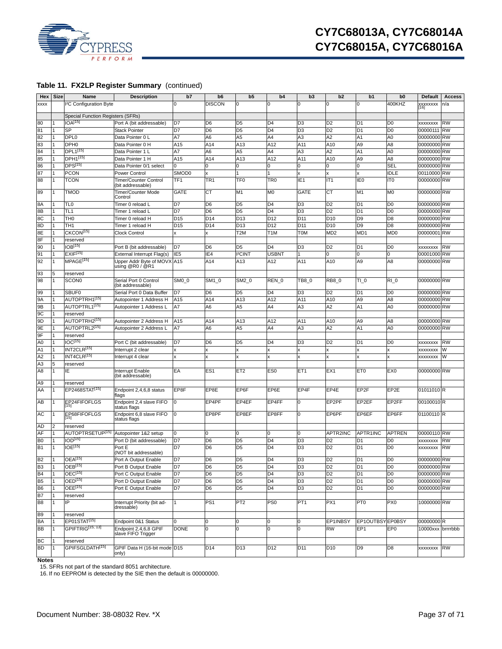

|                 | <b>Hex</b> Size | Name                              | <b>Description</b>                             | b7               | b <sub>6</sub>  | b <sub>5</sub>   | b4               | b3              | b2              | b1               | b <sub>0</sub>              | <b>Default</b>    | <b>Access</b> |
|-----------------|-----------------|-----------------------------------|------------------------------------------------|------------------|-----------------|------------------|------------------|-----------------|-----------------|------------------|-----------------------------|-------------------|---------------|
| <b>XXXX</b>     |                 | <sup>2</sup> C Configuration Byte |                                                | 0                | <b>DISCON</b>   | ŋ                | $\Omega$         | 0               | 0               | 0                | 400KHZ                      | XXXXXXXX<br>[16]  | n/a           |
|                 |                 |                                   |                                                |                  |                 |                  |                  |                 |                 |                  |                             |                   |               |
|                 |                 | Special Function Registers (SFRs) |                                                |                  |                 |                  |                  |                 |                 |                  |                             |                   |               |
| 80              |                 | IOA <sup>[15]</sup>               | Port A (bit addressable)                       | D7               | D <sub>6</sub>  | D <sub>5</sub>   | D <sub>4</sub>   | D <sub>3</sub>  | D <sub>2</sub>  | D <sub>1</sub>   | D <sub>0</sub>              | <b>XXXXXXXX</b>   | <b>RW</b>     |
| 81              |                 | SP                                | <b>Stack Pointer</b>                           | D7               | D <sub>6</sub>  | D <sub>5</sub>   | D <sub>4</sub>   | D <sub>3</sub>  | D <sub>2</sub>  | D <sub>1</sub>   | D <sub>0</sub>              | 00000111          | <b>RW</b>     |
| 82              | 1               | DPL <sub>0</sub>                  | Data Pointer 0 L                               | A7               | A6              | A <sub>5</sub>   | A4               | A <sub>3</sub>  | A <sub>2</sub>  | A <sub>1</sub>   | A <sub>0</sub>              | 00000000 RW       |               |
| 83              |                 | DPH <sub>0</sub>                  | Data Pointer 0 H                               | A15              | A14             | A13              | A12              | A11             | A10             | A <sub>9</sub>   | A <sub>8</sub>              | 00000000 RW       |               |
| 84              |                 | DPL1[15]                          | Data Pointer 1 L                               | Α7               | A6              | A <sub>5</sub>   | A4               | A3              | A2              | A <sub>1</sub>   | A <sub>0</sub>              | 00000000 RW       |               |
| 85              | 1               | DPH1[15]                          | Data Pointer 1 H                               | A15              | A14             | A13              | A12              | A11             | A10             | A <sub>9</sub>   | A <sub>8</sub>              | 00000000 RW       |               |
| 86              |                 | DPS <sup>[15]</sup>               | Data Pointer 0/1 select                        | 0                |                 | 0                | 0                | 0               | 0               | $\mathbf{0}$     | SEL                         | 00000000 RW       |               |
| 87              | 1               | <b>PCON</b>                       | Power Control                                  | SMOD0            |                 |                  |                  | x               | x               | $\mathbf{x}$     | <b>IDLE</b>                 | 00110000 RW       |               |
| 88              | $\mathbf{1}$    | <b>TCON</b>                       | Timer/Counter Control                          | TF <sub>1</sub>  | TR <sub>1</sub> | TF <sub>0</sub>  | TR <sub>0</sub>  | IE <sub>1</sub> | IT <sub>1</sub> | IE <sub>0</sub>  | IT <sub>0</sub>             | 00000000 RW       |               |
|                 |                 |                                   | (bit addressable)                              |                  |                 |                  |                  |                 |                 |                  |                             |                   |               |
| 89              | $\mathbf{1}$    | TMOD                              | Timer/Counter Mode<br>Control                  | <b>GATE</b>      | СT              | M1               | M <sub>0</sub>   | <b>GATE</b>     | <b>CT</b>       | M1               | M <sub>0</sub>              | 00000000 RW       |               |
| 8A              |                 | TL <sub>0</sub>                   | Timer 0 reload L                               | D7               | D <sub>6</sub>  | D <sub>5</sub>   | D <sub>4</sub>   | D <sub>3</sub>  | D <sub>2</sub>  | D <sub>1</sub>   | D <sub>0</sub>              | 00000000 RW       |               |
| 8B              |                 | TL <sub>1</sub>                   | Timer 1 reload L                               | D7               | D <sub>6</sub>  | D <sub>5</sub>   | D <sub>4</sub>   | D <sub>3</sub>  | D <sub>2</sub>  | D <sub>1</sub>   | D <sub>0</sub>              | 00000000 RW       |               |
| 8C              | 1               | TH <sub>0</sub>                   | Timer 0 reload H                               | D <sub>15</sub>  | D <sub>14</sub> | D <sub>13</sub>  | D <sub>12</sub>  | D <sub>11</sub> | D <sub>10</sub> | D <sub>9</sub>   | D <sub>8</sub>              | 00000000 RW       |               |
| 8D              | 1               | TH <sub>1</sub>                   | Timer 1 reload H                               | D <sub>15</sub>  | D <sub>14</sub> | D <sub>13</sub>  | D <sub>12</sub>  | D <sub>11</sub> | D <sub>10</sub> | D <sub>9</sub>   | D <sub>8</sub>              | 00000000 RW       |               |
| 8E              |                 | CKCON <sup>[15]</sup>             | <b>Clock Control</b>                           |                  |                 | T <sub>2</sub> M | T <sub>1</sub> M | <b>TOM</b>      | MD <sub>2</sub> | MD <sub>1</sub>  | M <sub>D</sub> <sub>0</sub> | 00000001 RW       |               |
| 8F              | 1               | reserved                          |                                                |                  |                 |                  |                  |                 |                 |                  |                             |                   |               |
| 90              |                 | IOB <sup>[15]</sup>               | Port B (bit addressable)                       | D7               | D <sub>6</sub>  | D <sub>5</sub>   | D <sub>4</sub>   | D <sub>3</sub>  | D <sub>2</sub>  | D <sub>1</sub>   | D <sub>0</sub>              | XXXXXXXX          | <b>RW</b>     |
| 91              | 1               | EXIF <sup>[15]</sup>              |                                                | IE <sub>5</sub>  | IE <sub>4</sub> | <b>PCINT</b>     | <b>USBNT</b>     |                 | $\Omega$        | $\Omega$         | 0                           | 00001000 RW       |               |
| 92              |                 |                                   | External Interrupt Flag(s)                     |                  |                 |                  |                  |                 |                 |                  |                             |                   |               |
|                 | $\mathbf{1}$    | MPAGE <sup>[15]</sup>             | Upper Addr Byte of MOVX A15<br>using @R0 / @R1 |                  | A14             | A13              | A12              | A11             | A10             | A <sub>9</sub>   | A <sub>8</sub>              | 00000000 RW       |               |
| 93              | 5               | reserved                          |                                                |                  |                 |                  |                  |                 |                 |                  |                             |                   |               |
| 98              | $\mathbf{1}$    | <b>SCON0</b>                      | Serial Port 0 Control<br>(bit addressable)     | SMO <sub>0</sub> | SM1 0           | SM2 0            | REN 0            | TB8 0           | <b>RB8 0</b>    | TI <sub>0</sub>  | RI <sub>0</sub>             | 00000000 RW       |               |
| 99              |                 | <b>SBUF0</b>                      | Serial Port 0 Data Buffer                      | D7               | D <sub>6</sub>  | D <sub>5</sub>   | D <sub>4</sub>   | D <sub>3</sub>  | D <sub>2</sub>  | D <sub>1</sub>   | D <sub>0</sub>              | 00000000 RW       |               |
| 9A              |                 | AUTOPTRH1 <sup>[15]</sup>         | Autopointer 1 Address H                        | A15              | A14             | A13              | A12              | A11             | A10             | A <sub>9</sub>   | A8                          | 00000000 RW       |               |
| 9B              |                 | AUTOPTRL1 <sup>[15]</sup>         |                                                | A7               |                 | A <sub>5</sub>   | A4               |                 | A <sub>2</sub>  | A <sub>1</sub>   | A <sub>0</sub>              | 00000000 RW       |               |
|                 |                 |                                   | Autopointer 1 Address L                        |                  | A6              |                  |                  | A3              |                 |                  |                             |                   |               |
| 9C              |                 | reserved                          |                                                |                  |                 |                  |                  |                 |                 |                  |                             |                   |               |
| 9D              |                 | AUTOPTRH2 <sup>[15]</sup>         | Autopointer 2 Address H                        | A15              | A14             | A13              | A12              | A11             | A10             | A <sub>9</sub>   | A8                          | 00000000 RW       |               |
| 9E              |                 | AUTOPTRL2 <sup>[15]</sup>         | Autopointer 2 Address L                        | A7               | A6              | A <sub>5</sub>   | A4               | A3              | A <sub>2</sub>  | A <sub>1</sub>   | A <sub>0</sub>              | 00000000 RW       |               |
| 9F              | 1               | reserved                          |                                                |                  |                 |                  |                  |                 |                 |                  |                             |                   |               |
| A <sub>0</sub>  |                 | IC <sup>[15]</sup>                | Port C (bit addressable)                       | D7               | D <sub>6</sub>  | D <sub>5</sub>   | D <sub>4</sub>   | D <sub>3</sub>  | D <sub>2</sub>  | D <sub>1</sub>   | D <sub>0</sub>              | XXXXXXXX          | <b>RW</b>     |
| A <sub>1</sub>  |                 | INT2CLR <sup>[15]</sup>           | Interrupt 2 clear                              | $\pmb{\times}$   |                 |                  |                  |                 |                 | x                |                             | xxxxxxxx          | W             |
| A <sub>2</sub>  |                 | INT4CLR <sup>[15]</sup>           | Interrupt 4 clear                              |                  |                 |                  |                  |                 |                 | x                |                             | <b>XXXXXXXX</b>   | W             |
| A <sub>3</sub>  | 5               | reserved                          |                                                |                  |                 |                  |                  |                 |                 |                  |                             |                   |               |
| A <sub>8</sub>  | $\mathbf{1}$    | IE                                | Interrupt Enable<br>(bit addressable)          | EA               | ES <sub>1</sub> | ET <sub>2</sub>  | ES <sub>0</sub>  | ET <sub>1</sub> | EX <sub>1</sub> | ET <sub>0</sub>  | EX <sub>0</sub>             | 00000000 RW       |               |
| A <sub>9</sub>  |                 | reserved                          |                                                |                  |                 |                  |                  |                 |                 |                  |                             |                   |               |
| AA              | $\mathbf{1}$    | EP2468STAT <sup>[15]</sup>        | Endpoint 2,4,6,8 status                        | EP8F             | EP8E            | EP6F             | EP6E             | EP4F            | EP4E            | EP <sub>2F</sub> | EP2E                        | 01011010 R        |               |
|                 |                 |                                   | flags                                          |                  |                 |                  |                  |                 |                 |                  |                             |                   |               |
| AB              | $\mathbf{1}$    | FP <sub>24FIFOFLGS</sub>          | Endpoint 2,4 slave FIFO<br>status flags        | l0               | EP4PF           | EP4EF            | EP4FF            | 0               | EP2PF           | EP2EF            | EP2FF                       | 00100010R         |               |
| AC              |                 | EP68FIFOFLGS                      | Endpoint 6,8 slave FIFO<br>status flags        | l0               | EP8PF           | EP8EF            | EP8FF            | $\Omega$        | EP6PF           | EP6EF            | EP6FF                       | 01100110 R        |               |
| AD              | 2               | reserved                          |                                                |                  |                 |                  |                  |                 |                 |                  |                             |                   |               |
| AF              |                 | AUTOPTRSETUP <sup>[15]</sup>      | Autopointer 1&2 setup                          | 0                |                 |                  | O                | 0               | APTR2INC        | APTR1INC         | <b>APTREN</b>               | 00000110 RW       |               |
| B <sub>0</sub>  |                 | $IOD^{[15]}$                      | Port D (bit addressable)                       | D7               | D <sub>6</sub>  | D <sub>5</sub>   | D <sub>4</sub>   | D <sub>3</sub>  | D <sub>2</sub>  | D <sub>1</sub>   | D <sub>0</sub>              | <b>XXXXXXXX</b>   | <b>RW</b>     |
| B1              | $\mathbf{1}$    | IOE <sup>[15]</sup>               | Port E                                         | D7               | D <sub>6</sub>  | D <sub>5</sub>   | D <sub>4</sub>   | D3              | D <sub>2</sub>  | D <sub>1</sub>   | D <sub>0</sub>              | <b>XXXXXXXX</b>   | <b>RW</b>     |
|                 | $\vert$ 1       |                                   | (NOT bit addressable)                          |                  |                 |                  |                  |                 |                 |                  |                             |                   |               |
|                 |                 | OEA <sup>[15]</sup>               | Port A Output Enable                           | D7               | D6              | D <sub>5</sub>   | D <sub>4</sub>   | D <sub>3</sub>  | D <sub>2</sub>  | D <sub>1</sub>   | D <sub>0</sub>              | 00000000 RW       |               |
| B2<br>B3<br>B4  | $\mathbf{1}$    | $OEB^{[15]}$                      | Port B Output Enable                           | D7               | D <sub>6</sub>  | D <sub>5</sub>   | D <sub>4</sub>   | D <sub>3</sub>  | D <sub>2</sub>  | D <sub>1</sub>   | D <sub>0</sub>              | 00000000 RW       |               |
|                 |                 | $OEC^{[15]}$                      | Port C Output Enable                           | D7               | D <sub>6</sub>  | D <sub>5</sub>   | D <sub>4</sub>   | D <sub>3</sub>  | D <sub>2</sub>  | D <sub>1</sub>   | $\overline{D0}$             | 00000000 RW       |               |
| B <sub>5</sub>  |                 | OED <sup>[15]</sup>               | Port D Output Enable                           | D7               | D6              | D <sub>5</sub>   | D <sub>4</sub>   | D <sub>3</sub>  | D <sub>2</sub>  | D <sub>1</sub>   | D <sub>0</sub>              | 00000000 RW       |               |
| B <sub>6</sub>  | $\overline{1}$  | OEE <sup>[15]</sup>               | Port E Output Enable                           | D7               | D6              | D <sub>5</sub>   | D <sub>4</sub>   | D <sub>3</sub>  | D <sub>2</sub>  | D <sub>1</sub>   | D <sub>0</sub>              | 00000000 RW       |               |
| <b>B7</b>       |                 | reserved                          |                                                |                  |                 |                  |                  |                 |                 |                  |                             |                   |               |
| B <sub>8</sub>  | $\mathbf{1}$    | IP                                | Interrupt Priority (bit ad-<br>dressable)      | 1                | PS <sub>1</sub> | PT <sub>2</sub>  | PS <sub>0</sub>  | PT <sub>1</sub> | PX1             | PT <sub>0</sub>  | PX <sub>0</sub>             | 10000000 RW       |               |
| B <sub>9</sub>  |                 | reserved                          |                                                |                  |                 |                  |                  |                 |                 |                  |                             |                   |               |
| BA              |                 | EP01STAT <sup>[15]</sup>          | Endpoint 0&1 Status                            | 0                |                 | 0                | 0                | 0               | EP1INBSY        | EP1OUTBSYEP0BSY  |                             | 00000000R         |               |
| BB              |                 | GPIFTRIG <sup>[15, 13]</sup>      | Endpoint 2,4,6,8 GPIF<br>slave FIFO Trigger    | <b>DONE</b>      |                 | 0                | $\Omega$         | 0               | <b>RW</b>       | EP <sub>1</sub>  | EP <sub>0</sub>             | 10000xxx brrrrbbb |               |
|                 |                 | reserved                          |                                                |                  |                 |                  |                  |                 |                 |                  |                             |                   |               |
| BC<br><b>BD</b> | $\overline{1}$  | GPIFSGLDATH <sup>[15]</sup>       | GPIF Data H (16-bit mode D15                   |                  | D14             | D13              | D <sub>12</sub>  | D11             | D <sub>10</sub> | D <sub>9</sub>   | D8                          | xxxxxxxx RW       |               |
|                 |                 |                                   | only)                                          |                  |                 |                  |                  |                 |                 |                  |                             |                   |               |

**Notes**

<span id="page-36-1"></span>15. SFRs not part of the standard 8051 architecture.

<span id="page-36-0"></span>16. If no EEPROM is detected by the SIE then the default is 00000000.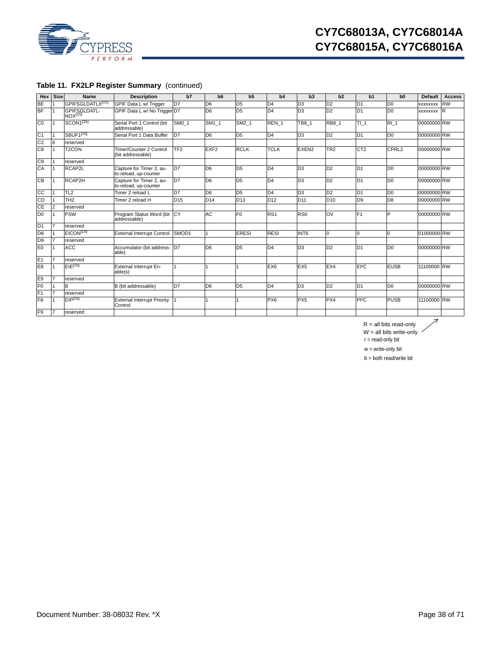

# **CY7C68013A, CY7C68014A CY7C68015A, CY7C68016A**

# **Table 11. FX2LP Register Summary** (continued)

| Hex             | <b>Size</b>    | Name                                | <b>Description</b>                                | b7                        | b <sub>6</sub>      | b <sub>5</sub>  | b4               | b3                | b2              | b1                | b0                | <b>Default</b>  | <b>Access</b> |
|-----------------|----------------|-------------------------------------|---------------------------------------------------|---------------------------|---------------------|-----------------|------------------|-------------------|-----------------|-------------------|-------------------|-----------------|---------------|
| <b>BE</b>       |                | GPIFSGLDATLX <sup>[15]</sup>        | GPIF Data L w/ Trigger                            | D7                        | D <sub>6</sub>      | D <sub>5</sub>  | D <sub>4</sub>   | D <sub>3</sub>    | D <sub>2</sub>  | D <sub>1</sub>    | D <sub>0</sub>    | <b>XXXXXXXX</b> | <b>RW</b>     |
| <b>BF</b>       |                | GPIFSGLDATL-<br>NOX <sup>[15]</sup> | GPIF Data L w/ No Trigger D7                      |                           | D <sub>6</sub>      | D <sub>5</sub>  | D <sub>4</sub>   | D <sub>3</sub>    | D <sub>2</sub>  | D <sub>1</sub>    | D <sub>0</sub>    | <b>XXXXXXXX</b> | R             |
| $\overline{C}0$ |                | SCON <sub>1[15]</sub>               | Serial Port 1 Control (bit<br>addressable)        | $\overline{\text{SM}}0$ 1 | $\overline{SM}$ 1 1 | SM2 1           | REN <sub>1</sub> | TB8_1             | <b>RB8 1</b>    | $\overline{11}$ 1 | R11               | 00000000 RW     |               |
| C <sub>1</sub>  |                | SBUF1 <sup>[15]</sup>               | Serial Port 1 Data Buffer                         | D7                        | D <sub>6</sub>      | D <sub>5</sub>  | D <sub>4</sub>   | D <sub>3</sub>    | D <sub>2</sub>  | D <sub>1</sub>    | D <sub>0</sub>    | 00000000 RW     |               |
| C <sub>2</sub>  | 6              | reserved                            |                                                   |                           |                     |                 |                  |                   |                 |                   |                   |                 |               |
| C <sub>8</sub>  |                | T <sub>2</sub> CON                  | Timer/Counter 2 Control<br>(bit addressable)      | TF <sub>2</sub>           | EXF <sub>2</sub>    | <b>RCLK</b>     | <b>TCLK</b>      | EXEN <sub>2</sub> | TR <sub>2</sub> | CT <sub>2</sub>   | CPRL <sub>2</sub> | 00000000 RW     |               |
| C <sub>0</sub>  |                | reserved                            |                                                   |                           |                     |                 |                  |                   |                 |                   |                   |                 |               |
| CA              |                | RCAP2L                              | Capture for Timer 2, au-<br>to-reload, up-counter | D <sub>7</sub>            | D <sub>6</sub>      | D <sub>5</sub>  | D <sub>4</sub>   | D <sub>3</sub>    | D <sub>2</sub>  | D <sub>1</sub>    | D <sub>0</sub>    | 00000000 RW     |               |
| CB              |                | RCAP2H                              | Capture for Timer 2, au-<br>to-reload, up-counter | D7                        | D <sub>6</sub>      | D <sub>5</sub>  | D <sub>4</sub>   | D <sub>3</sub>    | D <sub>2</sub>  | D <sub>1</sub>    | D <sub>0</sub>    | 00000000 RW     |               |
| cc              |                | TL <sub>2</sub>                     | Timer 2 reload L                                  | D7                        | D <sub>6</sub>      | D <sub>5</sub>  | D <sub>4</sub>   | D <sub>3</sub>    | D <sub>2</sub>  | D <sub>1</sub>    | D <sub>0</sub>    | 00000000 RW     |               |
| CD              |                | TH <sub>2</sub>                     | Timer 2 reload H                                  | D <sub>15</sub>           | D <sub>14</sub>     | D <sub>13</sub> | D <sub>12</sub>  | D <sub>11</sub>   | D <sub>10</sub> | D <sub>9</sub>    | D <sub>8</sub>    | 00000000 RW     |               |
| СE              | $\overline{c}$ | reserved                            |                                                   |                           |                     |                 |                  |                   |                 |                   |                   |                 |               |
| D <sub>0</sub>  |                | <b>PSW</b>                          | Program Status Word (bit CY<br>addressable)       |                           | AC                  | F <sub>0</sub>  | RS <sub>1</sub>  | R <sub>S0</sub>   | <b>OV</b>       | F <sub>1</sub>    | P                 | 00000000 RW     |               |
| D <sub>1</sub>  | 7              | reserved                            |                                                   |                           |                     |                 |                  |                   |                 |                   |                   |                 |               |
| D <sub>8</sub>  |                | EICON <sup>[15]</sup>               | <b>External Interrupt Control</b>                 | SMOD1                     |                     | <b>ERESI</b>    | <b>RESI</b>      | INT <sub>6</sub>  | 0               | 0                 | O                 | 01000000 RW     |               |
| D <sub>9</sub>  |                | reserved                            |                                                   |                           |                     |                 |                  |                   |                 |                   |                   |                 |               |
| E <sub>0</sub>  |                | <b>ACC</b>                          | Accumulator (bit address-<br>able)                | D7                        | D <sub>6</sub>      | D <sub>5</sub>  | D <sub>4</sub>   | D <sub>3</sub>    | D <sub>2</sub>  | D <sub>1</sub>    | D <sub>0</sub>    | 00000000 RW     |               |
| E1              |                | reserved                            |                                                   |                           |                     |                 |                  |                   |                 |                   |                   |                 |               |
| E <sub>8</sub>  |                | $EIE^{[15]}$                        | External Interrupt En-<br>able(s)                 |                           |                     |                 | EX <sub>6</sub>  | EX <sub>5</sub>   | EX4             | $E^{2}C$          | <b>EUSB</b>       | 11100000 RW     |               |
| E <sub>9</sub>  | 7              | reserved                            |                                                   |                           |                     |                 |                  |                   |                 |                   |                   |                 |               |
| F <sub>0</sub>  |                | B                                   | B (bit addressable)                               | D7                        | D <sub>6</sub>      | D <sub>5</sub>  | D4               | D <sub>3</sub>    | D <sub>2</sub>  | D <sub>1</sub>    | D <sub>0</sub>    | 00000000 RW     |               |
| F <sub>1</sub>  |                | reserved                            |                                                   |                           |                     |                 |                  |                   |                 |                   |                   |                 |               |
| F <sub>8</sub>  |                | $EIP^{[15]}$                        | <b>External Interrupt Priority</b><br>Control     |                           |                     |                 | PX6              | PX <sub>5</sub>   | PX4             | P <sub>12</sub> C | <b>PUSB</b>       | 11100000 RW     |               |
| F <sub>9</sub>  | $\overline{7}$ | reserved                            |                                                   |                           |                     |                 |                  |                   |                 |                   |                   |                 |               |

 $R =$  all bits read-only

 $\overline{\mathcal{A}}$ 

 $W =$  all bits write-only  $\sim$ 

r = read-only bit

 $w =$  write-only bit

b = both read/write bit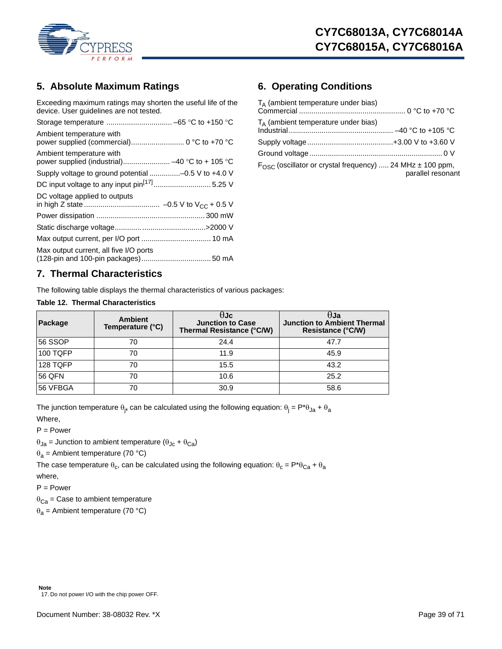

# <span id="page-38-0"></span>**5. Absolute Maximum Ratings**

Exceeding maximum ratings may shorten the useful life of the device. User guidelines are not tested.

| Ambient temperature with                                                   |
|----------------------------------------------------------------------------|
| Ambient temperature with<br>power supplied (industrial) -40 °C to + 105 °C |
| Supply voltage to ground potential -0.5 V to +4.0 V                        |
|                                                                            |
| DC voltage applied to outputs                                              |
|                                                                            |
|                                                                            |
|                                                                            |
| Max output current, all five I/O ports                                     |

# <span id="page-38-1"></span>**6. Operating Conditions**

| $T_A$ (ambient temperature under bias)                                                      |  |
|---------------------------------------------------------------------------------------------|--|
| $T_A$ (ambient temperature under bias)                                                      |  |
|                                                                                             |  |
|                                                                                             |  |
| $F_{\rm OSC}$ (oscillator or crystal frequency)  24 MHz $\pm$ 100 ppm,<br>parallel resonant |  |

# <span id="page-38-2"></span>**7. Thermal Characteristics**

The following table displays the thermal characteristics of various packages:

### <span id="page-38-4"></span>**Table 12. Thermal Characteristics**

| Package  | <b>Ambient</b><br>Temperature (°C) | HJc<br><b>Junction to Case</b><br>Thermal Resistance (°C/W) | θJa<br><b>Junction to Ambient Thermal</b><br><b>Resistance (°C/W)</b> |
|----------|------------------------------------|-------------------------------------------------------------|-----------------------------------------------------------------------|
| l56 SSOP | 70                                 | 24.4                                                        | 47.7                                                                  |
| 100 TQFP | 70                                 | 11.9                                                        | 45.9                                                                  |
| 128 TQFP | 70                                 | 15.5                                                        | 43.2                                                                  |
| 56 QFN   | 70                                 | 10.6                                                        | 25.2                                                                  |
| 56 VFBGA | 70                                 | 30.9                                                        | 58.6                                                                  |

The junction temperature  $\theta_j$ , can be calculated using the following equation:  $\theta_j = \mathsf{P}^*\theta_{\mathsf{Ja}} + \theta_{\mathsf{a}}$ Where,

P = Power

 $\theta_{Ja}$  = Junction to ambient temperature ( $\theta_{Jc}$  +  $\theta_{Ca}$ )

 $\theta_a$  = Ambient temperature (70 °C)

The case temperature  $\theta_c$ , can be calculated using the following equation:  $\theta_c = P^* \theta_{Ca} + \theta_a$ where,

 $P = Power$ 

 $\theta_{\text{Ca}}$  = Case to ambient temperature

<span id="page-38-3"></span> $\theta_a$  = Ambient temperature (70 °C)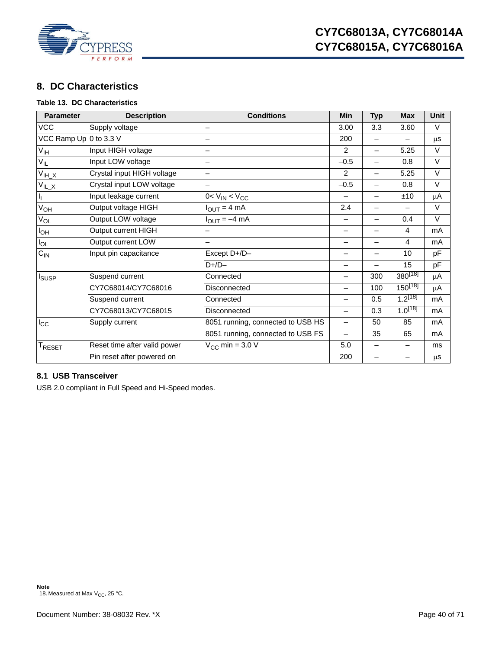

# <span id="page-39-0"></span>**8. DC Characteristics**

# <span id="page-39-3"></span>**Table 13. DC Characteristics**

| <b>Parameter</b>                   | <b>Description</b>           | <b>Conditions</b>                 | Min                      | <b>Typ</b>               | <b>Max</b>      | <b>Unit</b> |
|------------------------------------|------------------------------|-----------------------------------|--------------------------|--------------------------|-----------------|-------------|
| <b>VCC</b>                         | Supply voltage               |                                   | 3.00                     | 3.3                      | 3.60            | V           |
| VCC Ramp Up 0 to 3.3 V             |                              |                                   | 200                      |                          |                 | μS          |
| $V_{\text{IH}}$                    | Input HIGH voltage           |                                   | 2                        | $\overline{\phantom{0}}$ | 5.25            | V           |
| $V_{IL}$                           | Input LOW voltage            |                                   | $-0.5$                   | $\overline{\phantom{0}}$ | 0.8             | $\vee$      |
| $V_{IH\underline{\phantom{A}}X}$   | Crystal input HIGH voltage   |                                   | 2                        | $\overline{\phantom{0}}$ | 5.25            | $\vee$      |
| $\overline{V}_{\underline{\mu_X}}$ | Crystal input LOW voltage    |                                   | $-0.5$                   | $\overline{\phantom{0}}$ | 0.8             | $\vee$      |
| ı,                                 | Input leakage current        | $0 < V_{IN} < V_{CC}$             |                          | —                        | ±10             | μA          |
| $V_{OH}$                           | Output voltage HIGH          | $I_{OUT} = 4 mA$                  | 2.4                      | —                        | $\qquad \qquad$ | V           |
| V <sub>OL</sub>                    | Output LOW voltage           | $I_{\text{OUT}} = -4 \text{ mA}$  |                          | $\overline{\phantom{0}}$ | 0.4             | $\vee$      |
| l <sub>ОН</sub>                    | Output current HIGH          |                                   |                          | -                        | 4               | mA          |
| $I_{OL}$                           | Output current LOW           |                                   | $\overline{\phantom{0}}$ | $\overline{\phantom{0}}$ | 4               | mA          |
| $C_{IN}$                           | Input pin capacitance        | Except D+/D-                      |                          | $\overline{\phantom{0}}$ | 10              | pF          |
|                                    |                              | $D+/D-$                           | —                        | $\overline{\phantom{0}}$ | 15              | pF          |
| <b>I</b> SUSP                      | Suspend current              | Connected                         | $\overline{\phantom{0}}$ | 300                      | $380^{[18]}$    | $\mu$ A     |
|                                    | CY7C68014/CY7C68016          | Disconnected                      | —                        | 100                      | $150^{[18]}$    | μA          |
|                                    | Suspend current              | Connected                         |                          | 0.5                      | $1.2^{[18]}$    | mA          |
|                                    | CY7C68013/CY7C68015          | Disconnected                      | —                        | 0.3                      | $1.0^{[18]}$    | mA          |
| $I_{\rm CC}$                       | Supply current               | 8051 running, connected to USB HS | $\overline{\phantom{0}}$ | 50                       | 85              | mA          |
|                                    |                              | 8051 running, connected to USB FS | $\overline{\phantom{0}}$ | 35                       | 65              | mA          |
| $T_{\sf RESET}$                    | Reset time after valid power | $V_{CC}$ min = 3.0 V              | 5.0                      | $\overline{\phantom{0}}$ |                 | ms          |
|                                    | Pin reset after powered on   |                                   | 200                      | —                        |                 | μS          |

# <span id="page-39-1"></span>**8.1 USB Transceiver**

<span id="page-39-2"></span>USB 2.0 compliant in Full Speed and Hi-Speed modes.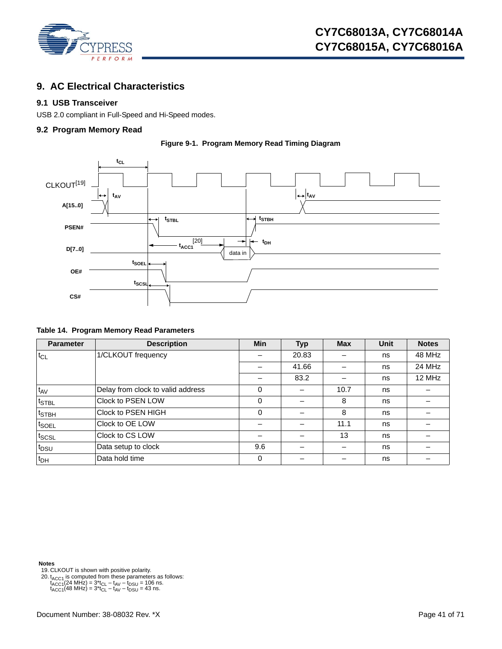

# <span id="page-40-0"></span>**9. AC Electrical Characteristics**

### <span id="page-40-1"></span>**9.1 USB Transceiver**

USB 2.0 compliant in Full-Speed and Hi-Speed modes.

### <span id="page-40-2"></span>**9.2 Program Memory Read**





### **Table 14. Program Memory Read Parameters**

| <b>Parameter</b>                | <b>Description</b>                | <b>Min</b> | <b>Typ</b> | <b>Max</b> | <b>Unit</b> | <b>Notes</b> |
|---------------------------------|-----------------------------------|------------|------------|------------|-------------|--------------|
| $t_{CL}$                        | 1/CLKOUT frequency                |            | 20.83      |            | ns          | 48 MHz       |
|                                 |                                   |            | 41.66      |            | ns          | 24 MHz       |
|                                 |                                   |            | 83.2       |            | ns          | 12 MHz       |
| $t_{AV}$                        | Delay from clock to valid address | 0          |            | 10.7       | ns          |              |
| t <sub>STBL</sub>               | Clock to PSEN LOW                 | 0          |            | 8          | ns          |              |
| $t_{\scriptstyle{\text{STBH}}}$ | Clock to PSEN HIGH                | $\Omega$   |            | 8          | ns          |              |
| <sup>t</sup> SOEL               | Clock to OE LOW                   |            |            | 11.1       | ns          |              |
| tscsL                           | Clock to CS LOW                   |            |            | 13         | ns          |              |
| t <sub>DSU</sub>                | Data setup to clock               | 9.6        |            |            | ns          |              |
| $t_{DH}$                        | Data hold time                    | 0          |            |            | ns          |              |

**Notes**

<span id="page-40-3"></span>19. CLKOUT is shown with positive polarity.

<span id="page-40-4"></span>20.  $t_{\text{ACC1}}$  is computed from these parameters as follows:<br>  $t_{\text{ACC1}}$ (24 MHz) =  $3$ \* $t_{\text{CL}} - t_{\text{AV}} - t_{\text{DSU}} = 106$  ns.<br>  $t_{\text{ACC1}}$ (48 MHz) =  $3$ \* $t_{\text{CL}} - t_{\text{AV}} - t_{\text{DSU}} = 43$  ns.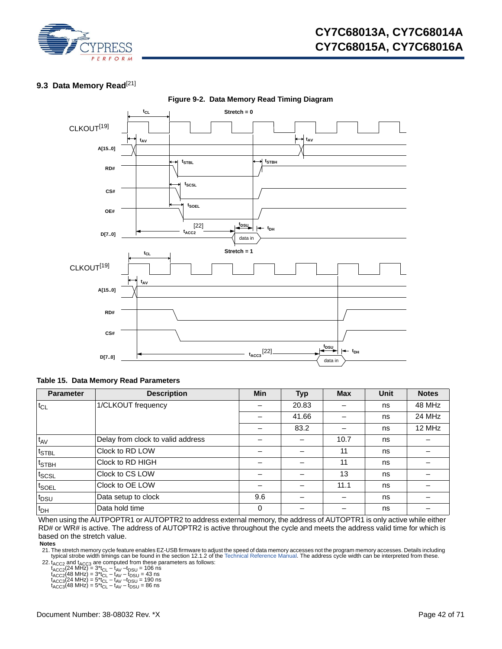

# <span id="page-41-3"></span><span id="page-41-0"></span>**9.3 Data Memory Read**<sup>[[21\]](#page-41-2)</sup>



### **Figure 9-2. Data Memory Read Timing Diagram**

### **Table 15. Data Memory Read Parameters**

| <b>Parameter</b>                | <b>Description</b>                | <b>Min</b> | <b>Typ</b> | <b>Max</b> | Unit | <b>Notes</b> |
|---------------------------------|-----------------------------------|------------|------------|------------|------|--------------|
| $t_{CL}$                        | 1/CLKOUT frequency                | -          | 20.83      |            | ns   | 48 MHz       |
|                                 |                                   |            | 41.66      |            | ns   | 24 MHz       |
|                                 |                                   |            | 83.2       |            | ns   | 12 MHz       |
| $t_{AV}$                        | Delay from clock to valid address |            |            | 10.7       | ns   |              |
| $t_{\text{STBL}}$               | Clock to RD LOW                   |            |            | 11         | ns   |              |
| $t_{\scriptstyle{\text{STBH}}}$ | Clock to RD HIGH                  |            |            | 11         | ns   |              |
| $t_{\text{SCSL}}$               | Clock to CS LOW                   |            |            | 13         | ns   |              |
| t <sub>SOEL</sub>               | Clock to OE LOW                   | -          |            | 11.1       | ns   |              |
| t <sub>DSU</sub>                | Data setup to clock               | 9.6        |            |            | ns   |              |
| $t_{DH}$                        | Data hold time                    | 0          |            |            | ns   |              |

When using the AUTPOPTR1 or AUTOPTR2 to address external memory, the address of AUTOPTR1 is only active while either RD# or WR# is active. The address of AUTOPTR2 is active throughout the cycle and meets the address valid time for which is based on the stretch value.

**Notes**

<span id="page-41-2"></span>21. The stretch memory cycle feature enables EZ-USB firmware to adjust the speed of data memory accesses not the program memory accesses. Details including typical strobe width timings can be found in the section 12.1.2 of the [Technical Reference Manual](http://www.cypress.com/?rID=38232). The address cycle width can be interpreted from these.

<span id="page-41-1"></span>22.  $t_{\text{ACC2}}$  and  $t_{\text{ACC3}}$  are computed from these parameters as follows:<br>  $t_{\text{ACC2}}$ (24 MHz) = 3\* $t_{\text{CL}} - t_{\text{AV}} - t_{\text{DSU}} = 106 \text{ ns}$ <br>  $t_{\text{ACC2}}$ (48 MHz) = 3\* $t_{\text{CL}} - t_{\text{AV}} - t_{\text{DSU}} = 43 \text{ ns}$ <br>  $t_{\text{ACC3}}$ (24 MHz) = 5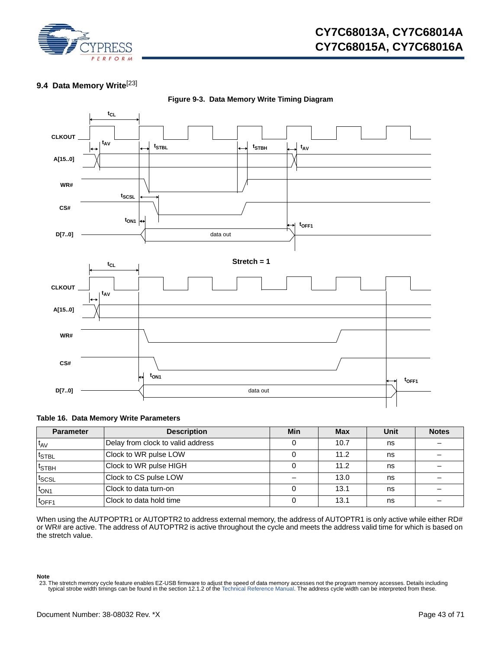

# **CY7C68013A, CY7C68014A CY7C68015A, CY7C68016A**

# <span id="page-42-0"></span>**9.4 Data Memory Write**[\[23](#page-42-1)]

<span id="page-42-2"></span>

**Figure 9-3. Data Memory Write Timing Diagram** 

### **Table 16. Data Memory Write Parameters**

| <b>Parameter</b>  | <b>Description</b>                | Min | <b>Max</b> | Unit | <b>Notes</b> |
|-------------------|-----------------------------------|-----|------------|------|--------------|
| $t_{AV}$          | Delay from clock to valid address |     | 10.7       | ns   |              |
| $t_{\sf STBL}$    | Clock to WR pulse LOW             |     | 11.2       | ns   |              |
| t <sub>STBH</sub> | Clock to WR pulse HIGH            |     | 11.2       | ns   |              |
| t <sub>SCSL</sub> | Clock to CS pulse LOW             |     | 13.0       | ns   |              |
| $t_{ON1}$         | Clock to data turn-on             |     | 13.1       | ns   |              |
| t <sub>OFF1</sub> | Clock to data hold time           |     | 13.1       | ns   |              |

When using the AUTPOPTR1 or AUTOPTR2 to address external memory, the address of AUTOPTR1 is only active while either RD# or WR# are active. The address of AUTOPTR2 is active throughout the cycle and meets the address valid time for which is based on the stretch value.

**Note**

<span id="page-42-1"></span><sup>23.</sup> The stretch memory cycle feature enables EZ-USB firmware to adjust the speed of data memory accesses not the program memory accesses. Details including typical strobe width timings can be found in the section 12.1.2 of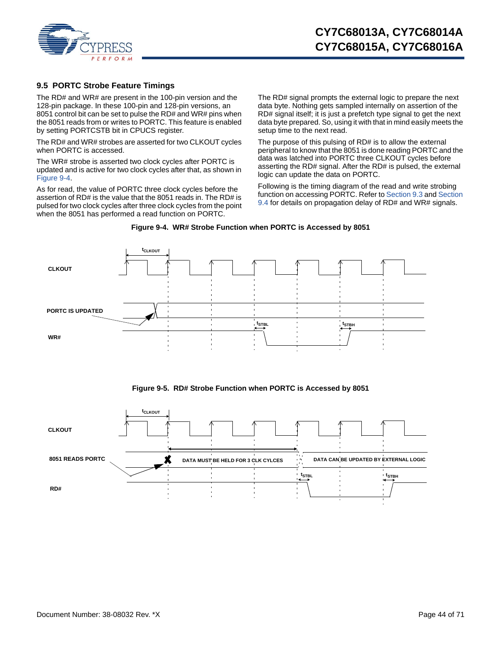

### <span id="page-43-0"></span>**9.5 PORTC Strobe Feature Timings**

The RD# and WR# are present in the 100-pin version and the 128-pin package. In these 100-pin and 128-pin versions, an 8051 control bit can be set to pulse the RD# and WR# pins when the 8051 reads from or writes to PORTC. This feature is enabled by setting PORTCSTB bit in CPUCS register.

The RD# and WR# strobes are asserted for two CLKOUT cycles when PORTC is accessed.

The WR# strobe is asserted two clock cycles after PORTC is updated and is active for two clock cycles after that, as shown in [Figure 9-4.](#page-43-1)

As for read, the value of PORTC three clock cycles before the assertion of RD# is the value that the 8051 reads in. The RD# is pulsed for two clock cycles after three clock cycles from the point when the 8051 has performed a read function on PORTC.

The RD# signal prompts the external logic to prepare the next data byte. Nothing gets sampled internally on assertion of the RD# signal itself; it is just a prefetch type signal to get the next data byte prepared. So, using it with that in mind easily meets the setup time to the next read.

The purpose of this pulsing of RD# is to allow the external peripheral to know that the 8051 is done reading PORTC and the data was latched into PORTC three CLKOUT cycles before asserting the RD# signal. After the RD# is pulsed, the external logic can update the data on PORTC.

Following is the timing diagram of the read and write strobing function on accessing PORTC. Refer to [Section 9.3](#page-41-0) and [Section](#page-42-0)  [9.4](#page-42-0) for details on propagation delay of RD# and WR# signals.



<span id="page-43-1"></span>



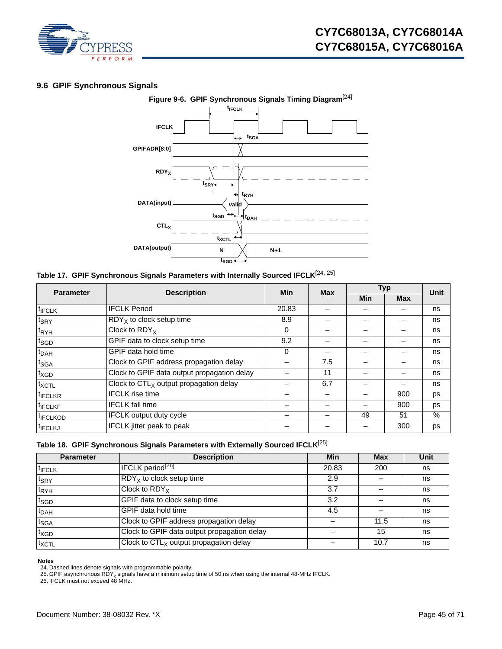

# <span id="page-44-0"></span>**9.6 GPIF Synchronous Signals**



# <span id="page-44-4"></span>**Table 17. GPIF Synchronous Signals Parameters with Internally Sourced IFCLK**[[24,](#page-44-1) [25\]](#page-44-2)

| <b>Parameter</b>     | <b>Description</b>                          | <b>Min</b> | <b>Max</b>               | <b>Typ</b> |            | <b>Unit</b> |
|----------------------|---------------------------------------------|------------|--------------------------|------------|------------|-------------|
|                      |                                             |            |                          | Min        | <b>Max</b> |             |
| <sup>t</sup> IFCLK   | <b>IFCLK Period</b>                         | 20.83      |                          |            |            | ns          |
| $t_{\text{SRY}}$     | $RDYX$ to clock setup time                  | 8.9        |                          |            |            | ns          |
| <sup>t</sup> RYH     | Clock to $RDY_X$                            | 0          | -                        |            |            | ns          |
| $t_{SGD}$            | GPIF data to clock setup time               | 9.2        |                          |            |            | ns          |
| $t_{DAH}$            | GPIF data hold time                         | 0          | $\overline{\phantom{0}}$ |            |            | ns          |
| t <sub>SGA</sub>     | Clock to GPIF address propagation delay     |            | 7.5                      |            |            | ns          |
| $t_{XGD}$            | Clock to GPIF data output propagation delay |            | 11                       |            |            | ns          |
| $t_{XCTL}$           | Clock to $CTL_X$ output propagation delay   |            | 6.7                      |            |            | ns          |
| <sup>t</sup> IFCLKR  | <b>IFCLK</b> rise time                      |            |                          |            | 900        | ps          |
| <sup>t</sup> IFCLKF  | <b>IFCLK</b> fall time                      |            |                          |            | 900        | ps          |
| <sup>t</sup> IFCLKOD | <b>IFCLK</b> output duty cycle              |            |                          | 49         | 51         | $\%$        |
| <sup>t</sup> IFCLKJ  | <b>IFCLK</b> jitter peak to peak            |            |                          |            | 300        | ps          |

|  |  |  | Table 18. GPIF Synchronous Signals Parameters with Externally Sourced IFCLK <sup>[25]</sup> |  |  |
|--|--|--|---------------------------------------------------------------------------------------------|--|--|
|--|--|--|---------------------------------------------------------------------------------------------|--|--|

| <b>Parameter</b>   | <b>Description</b>                          | Min   | Max  | Unit |
|--------------------|---------------------------------------------|-------|------|------|
| <sup>T</sup> IFCLK | IFCLK period <sup>[26]</sup>                | 20.83 | 200  | ns   |
| $t_{\sf SRY}$      | $RDYX$ to clock setup time                  | 2.9   |      | ns   |
| t <sub>RYH</sub>   | Clock to $RDY_X$                            | 3.7   |      | ns   |
| t <sub>SGD</sub>   | GPIF data to clock setup time               | 3.2   |      | ns   |
| <sup>t</sup> DAH   | GPIF data hold time                         | 4.5   |      | ns   |
| t <sub>SGA</sub>   | Clock to GPIF address propagation delay     |       | 11.5 | ns   |
| t <sub>XGD</sub>   | Clock to GPIF data output propagation delay |       | 15   | ns   |
| $t_{XCTL}$         | Clock to $CTLX$ output propagation delay    |       | 10.7 | ns   |

#### **Notes**

<span id="page-44-3"></span>

<span id="page-44-1"></span>

<span id="page-44-2"></span><sup>24.</sup> Dashed lines denote signals with programmable polarity.<br>25. GPIF asynchronous RDY<sub>x</sub> signals have a minimum setup time of 50 ns when using the internal 48-MHz IFCLK.<br>26. IFCLK must not exceed 48 MHz.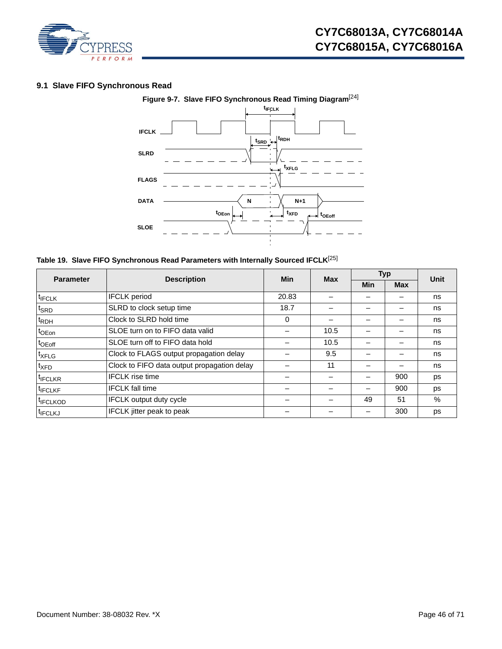

# <span id="page-45-0"></span>**9.1 Slave FIFO Synchronous Read**



<span id="page-45-1"></span>**Table 19. Slave FIFO Synchronous Read Parameters with Internally Sourced IFCLK**[\[25](#page-44-2)]

| <b>Parameter</b>     | <b>Description</b>                          | Min   | <b>Max</b> | <b>Typ</b> |            | Unit |
|----------------------|---------------------------------------------|-------|------------|------------|------------|------|
|                      |                                             |       |            | Min        | <b>Max</b> |      |
| $t$ <sub>IFCLK</sub> | <b>IFCLK</b> period                         | 20.83 |            |            |            | ns   |
| $t_{\sf SRD}$        | SLRD to clock setup time                    | 18.7  |            |            |            | ns   |
| <sup>t</sup> RDH     | Clock to SLRD hold time                     | 0     |            |            |            | ns   |
| <sup>t</sup> OEon    | SLOE turn on to FIFO data valid             |       | 10.5       |            |            | ns   |
| $t_{\text{OEoff}}$   | SLOE turn off to FIFO data hold             |       | 10.5       |            |            | ns   |
| <sup>t</sup> XFLG    | Clock to FLAGS output propagation delay     |       | 9.5        |            |            | ns   |
| $t_{\sf XFD}$        | Clock to FIFO data output propagation delay |       | 11         |            |            | ns   |
| <sup>t</sup> IFCLKR  | <b>IFCLK</b> rise time                      |       |            |            | 900        | ps   |
| <sup>t</sup> IFCLKF  | <b>IFCLK</b> fall time                      |       |            |            | 900        | ps   |
| <sup>t</sup> IFCLKOD | <b>IFCLK</b> output duty cycle              |       |            | 49         | 51         | $\%$ |
| <sup>I</sup> IFCLKJ  | <b>IFCLK</b> jitter peak to peak            |       |            |            | 300        | ps   |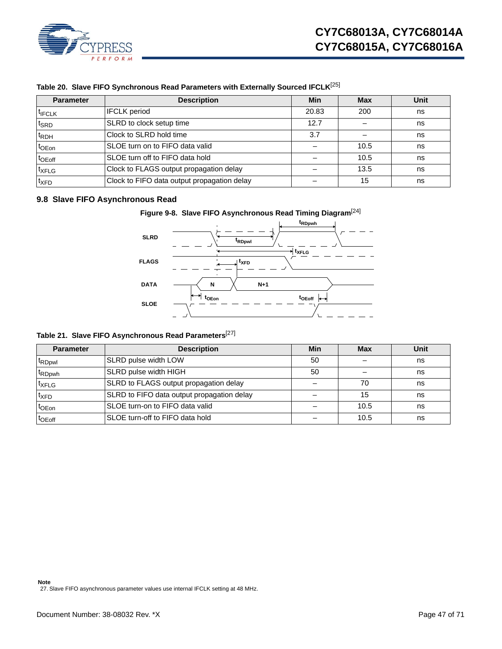

| <b>Parameter</b>   | <b>Description</b>                          | Min   | <b>Max</b> | Unit |
|--------------------|---------------------------------------------|-------|------------|------|
| <sup>t</sup> IFCLK | <b>IFCLK</b> period                         | 20.83 | 200        | ns   |
| $t_{\sf SRD}$      | SLRD to clock setup time                    | 12.7  |            | ns   |
| t <sub>RDH</sub>   | Clock to SLRD hold time                     | 3.7   |            | ns   |
| t <sub>OEon</sub>  | SLOE turn on to FIFO data valid             |       | 10.5       | ns   |
| $t_{\text{OEoff}}$ | SLOE turn off to FIFO data hold             |       | 10.5       | ns   |
| <sup>t</sup> XFLG  | Clock to FLAGS output propagation delay     |       | 13.5       | ns   |
| $t_{\text{XFD}}$   | Clock to FIFO data output propagation delay |       | 15         | ns   |

# **Table 20. Slave FIFO Synchronous Read Parameters with Externally Sourced IFCLK**[\[25](#page-44-2)]

### <span id="page-46-0"></span>**9.8 Slave FIFO Asynchronous Read**



**tOEon tOEoff**

# **Table 21. Slave FIFO Asynchronous Read Parameters**[\[27](#page-46-1)]

**SLOE**

<span id="page-46-1"></span>

| <b>Parameter</b>               | <b>Description</b>                         | Min | <b>Max</b> | Unit |
|--------------------------------|--------------------------------------------|-----|------------|------|
| <sup>t</sup> RD <sub>pwl</sub> | SLRD pulse width LOW                       | 50  |            | ns   |
| t <sub>RDpwh</sub>             | SLRD pulse width HIGH                      | 50  |            | ns   |
| txFLG                          | SLRD to FLAGS output propagation delay     |     | 70         | ns   |
| t <sub>XFD</sub>               | SLRD to FIFO data output propagation delay |     | 15         | ns   |
| $t_{\text{OEon}}$              | SLOE turn-on to FIFO data valid            |     | 10.5       | ns   |
| t <sub>OEoff</sub>             | SLOE turn-off to FIFO data hold            |     | 10.5       | ns   |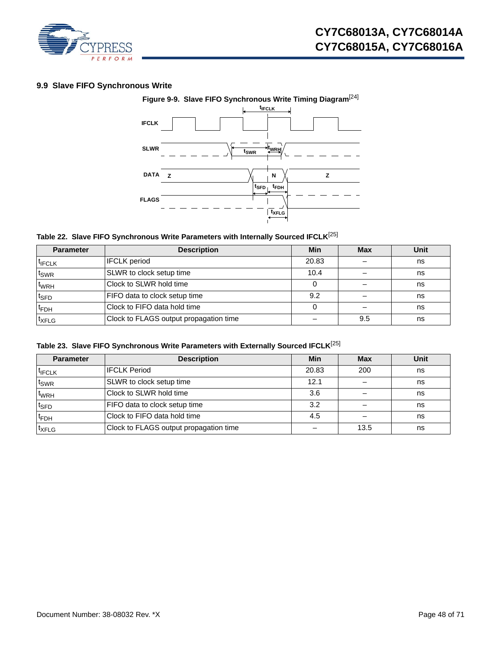

# <span id="page-47-1"></span><span id="page-47-0"></span>**9.9 Slave FIFO Synchronous Write**



# **Table 22. Slave FIFO Synchronous Write Parameters with Internally Sourced IFCLK**[[25\]](#page-44-2)

| <b>Parameter</b>   | <b>Description</b>                     | Min   | <b>Max</b> | Unit |
|--------------------|----------------------------------------|-------|------------|------|
| <sup>t</sup> IFCLK | <b>IFCLK</b> period                    | 20.83 |            | ns   |
| t <sub>SWR</sub>   | SLWR to clock setup time               | 10.4  |            | ns   |
| <sup>t</sup> wrh   | Clock to SLWR hold time                |       |            | ns   |
| <sup>t</sup> SFD   | FIFO data to clock setup time          | 9.2   |            | ns   |
| <sup>t</sup> FDH   | Clock to FIFO data hold time           |       |            | ns   |
| <sup>t</sup> XFLG  | Clock to FLAGS output propagation time |       | 9.5        | ns   |

# **Table 23. Slave FIFO Synchronous Write Parameters with Externally Sourced IFCLK**[[25\]](#page-44-2)

| <b>Parameter</b>   | <b>Description</b>                     | Min   | <b>Max</b> | Unit |
|--------------------|----------------------------------------|-------|------------|------|
| <sup>T</sup> IFCLK | <b>IFCLK Period</b>                    | 20.83 | 200        | ns   |
| t <sub>SWR</sub>   | SLWR to clock setup time               | 12.1  |            | ns   |
| <sup>t</sup> wrh   | Clock to SLWR hold time                | 3.6   |            | ns   |
| <sup>t</sup> SFD   | FIFO data to clock setup time          | 3.2   |            | ns   |
| <sup>T</sup> FDH   | Clock to FIFO data hold time           | 4.5   |            | ns   |
| <sup>t</sup> XFLG  | Clock to FLAGS output propagation time |       | 13.5       | ns   |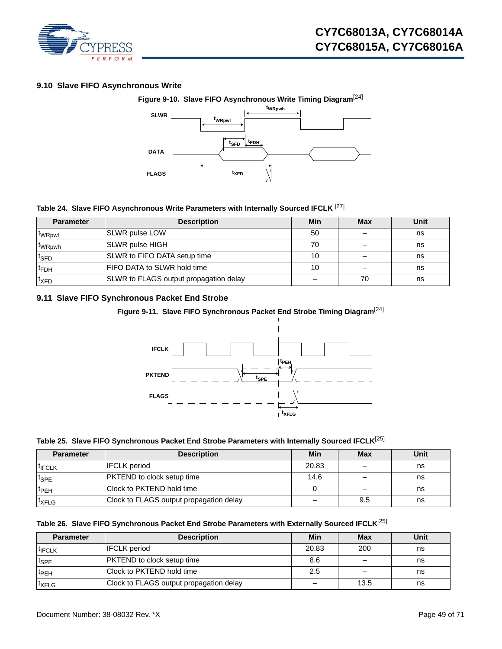

# <span id="page-48-0"></span>**9.10 Slave FIFO Asynchronous Write**



### **Table 24. Slave FIFO Asynchronous Write Parameters with Internally Sourced IFCLK** [[27](#page-46-1)]

| <b>Parameter</b>   | <b>Description</b>                     | Min | <b>Max</b> | Unit |
|--------------------|----------------------------------------|-----|------------|------|
| <b>WRpwl</b>       | SLWR pulse LOW                         | 50  |            | ns   |
| t <sub>WRpwh</sub> | <b>SLWR pulse HIGH</b>                 | 70  |            | ns   |
| <sup>t</sup> SFD   | SLWR to FIFO DATA setup time           | 10  |            | ns   |
| <sup>T</sup> FDH   | FIFO DATA to SLWR hold time            | 10  |            | ns   |
| <sup>t</sup> XFD   | SLWR to FLAGS output propagation delay |     | 70         | ns   |

# <span id="page-48-1"></span>**9.11 Slave FIFO Synchronous Packet End Strobe**

# **Figure 9-11. Slave FIFO Synchronous Packet End Strobe Timing Diagram**[\[24](#page-44-1)]



### **Table 25. Slave FIFO Synchronous Packet End Strobe Parameters with Internally Sourced IFCLK**[\[25](#page-44-2)]

| <b>Parameter</b>   | <b>Description</b>                      | Min   | <b>Max</b> | <b>Unit</b> |
|--------------------|-----------------------------------------|-------|------------|-------------|
| <sup>t</sup> IFCLK | <b>IFCLK</b> period                     | 20.83 |            | ns          |
| $t_{\text{SPE}}$   | <b>PKTEND</b> to clock setup time       | 14.6  |            | ns          |
| t <sub>PEH</sub>   | Clock to PKTEND hold time               |       |            | ns          |
| <sup>t</sup> XFLG  | Clock to FLAGS output propagation delay |       | 9.5        | ns          |

### **Table 26. Slave FIFO Synchronous Packet End Strobe Parameters with Externally Sourced IFCLK**[\[25](#page-44-2)]

| <b>Parameter</b>   | <b>Description</b>                      | Min   | <b>Max</b> | Unit |
|--------------------|-----------------------------------------|-------|------------|------|
| <sup>t</sup> IFCLK | <b>IFCLK</b> period                     | 20.83 | 200        | ns   |
| <sup>It</sup> SPE  | <b>PKTEND</b> to clock setup time       | 8.6   |            | ns   |
| t <sub>PEH</sub>   | Clock to PKTEND hold time               | 2.5   |            | ns   |
| <sup>t</sup> XFLG  | Clock to FLAGS output propagation delay |       | 13.5       | ns   |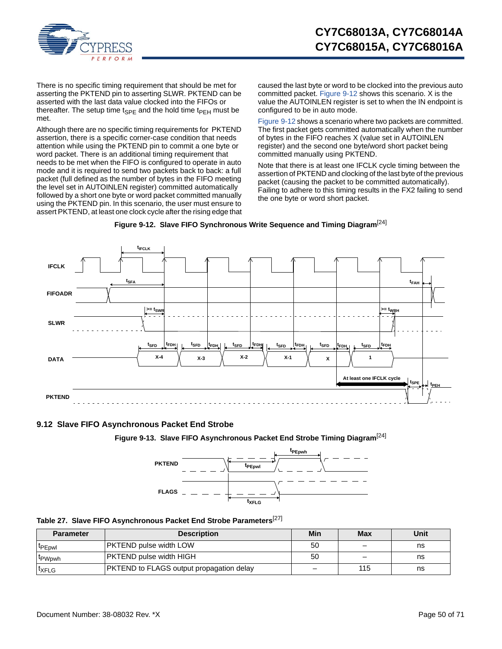

There is no specific timing requirement that should be met for asserting the PKTEND pin to asserting SLWR. PKTEND can be asserted with the last data value clocked into the FIFOs or thereafter. The setup time t<sub>SPF</sub> and the hold time t<sub>PFH</sub> must be met.

Although there are no specific timing requirements for PKTEND assertion, there is a specific corner-case condition that needs attention while using the PKTEND pin to commit a one byte or word packet. There is an additional timing requirement that needs to be met when the FIFO is configured to operate in auto mode and it is required to send two packets back to back: a full packet (full defined as the number of bytes in the FIFO meeting the level set in AUTOINLEN register) committed automatically followed by a short one byte or word packet committed manually using the PKTEND pin. In this scenario, the user must ensure to assert PKTEND, at least one clock cycle after the rising edge that caused the last byte or word to be clocked into the previous auto committed packet. [Figure 9-12](#page-49-1) shows this scenario. X is the value the AUTOINLEN register is set to when the IN endpoint is configured to be in auto mode.

[Figure 9-12](#page-49-1) shows a scenario where two packets are committed. The first packet gets committed automatically when the number of bytes in the FIFO reaches X (value set in AUTOINLEN register) and the second one byte/word short packet being committed manually using PKTEND.

Note that there is at least one IFCLK cycle timing between the assertion of PKTEND and clocking of the last byte of the previous packet (causing the packet to be committed automatically). Failing to adhere to this timing results in the FX2 failing to send the one byte or word short packet.

<span id="page-49-1"></span>

**Figure 9-12. Slave FIFO Synchronous Write Sequence and Timing Diagram**[[24\]](#page-44-1)

### <span id="page-49-0"></span>**9.12 Slave FIFO Asynchronous Packet End Strobe**

**Figure 9-13. Slave FIFO Asynchronous Packet End Strobe Timing Diagram**[\[24](#page-44-1)]



<span id="page-49-2"></span>

|  | Table 27. Slave FIFO Asynchronous Packet End Strobe Parameters <sup>[27]</sup> |  |  |
|--|--------------------------------------------------------------------------------|--|--|
|  |                                                                                |  |  |

| <b>Parameter</b>   | <b>Description</b>                              | Min | Max | Unit |
|--------------------|-------------------------------------------------|-----|-----|------|
| <b>IPEpwl</b>      | <b>PKTEND pulse width LOW</b>                   | 50  |     | ns   |
| <sup>L</sup> PWpwh | <b>PKTEND pulse width HIGH</b>                  | 50  |     | ns   |
| <sup>I</sup> XFLG  | <b>PKTEND to FLAGS output propagation delay</b> | –   | 115 | ns   |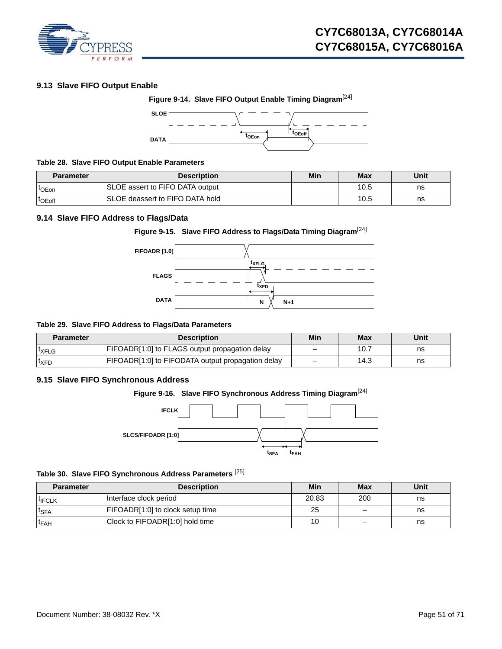

### <span id="page-50-0"></span>**9.13 Slave FIFO Output Enable**



### **Table 28. Slave FIFO Output Enable Parameters**

| <b>Parameter</b>   | <b>Description</b>               | Min | <b>Max</b> | Unit |
|--------------------|----------------------------------|-----|------------|------|
| t <sub>OEon</sub>  | SLOE assert to FIFO DATA output  |     | 10.5       | ns   |
| <sup>t</sup> OEoff | ISLOE deassert to FIFO DATA hold |     | 10.5       | ns   |

### <span id="page-50-1"></span>**9.14 Slave FIFO Address to Flags/Data**

# **Figure 9-15. Slave FIFO Address to Flags/Data Timing Diagram**[[24\]](#page-44-1)



### **Table 29. Slave FIFO Address to Flags/Data Parameters**

| Parameter         | <b>Description</b>                                | Min | <b>Max</b> | Unit |
|-------------------|---------------------------------------------------|-----|------------|------|
| <sup>I</sup> XFLG | FIFOADR[1:0] to FLAGS output propagation delay    | -   | 10.7       | ns   |
| <sup>t</sup> XFD  | FIFOADR[1:0] to FIFODATA output propagation delay |     | 14.3       | ns   |

### <span id="page-50-2"></span>**9.15 Slave FIFO Synchronous Address**

# **Figure 9-16. Slave FIFO Synchronous Address Timing Diagram**[\[24](#page-44-1)]



### **Table 30. Slave FIFO Synchronous Address Parameters** [\[25](#page-44-2)]

| <b>Parameter</b>   | <b>Description</b>               | Min   | Max | Unit |
|--------------------|----------------------------------|-------|-----|------|
| <sup>I</sup> IFCLK | Interface clock period           | 20.83 | 200 | ns   |
| <sup>t</sup> SFA   | FIFOADR[1:0] to clock setup time | 25    | -   | ns   |
| $t_{FAH}$          | Clock to FIFOADR[1:0] hold time  | 10    | _   | ns   |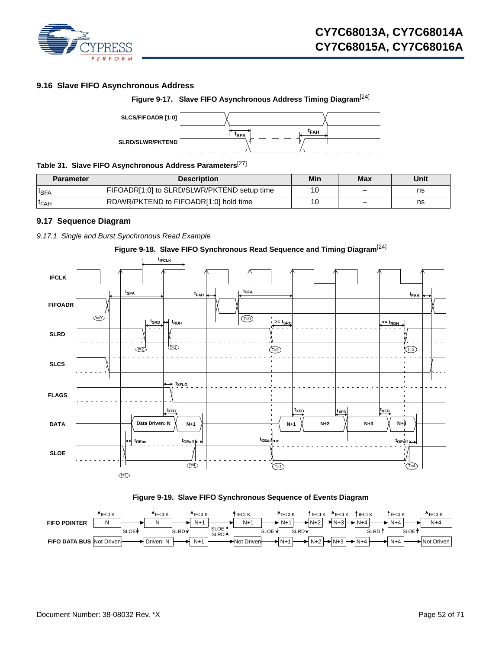

# <span id="page-51-0"></span>**9.16 Slave FIFO Asynchronous Address**





# **Table 31. Slave FIFO Asynchronous Address Parameters**[\[27](#page-46-1)]

| Parameter        | <b>Description</b>                          | Min | <b>Max</b> | Unit |
|------------------|---------------------------------------------|-----|------------|------|
| <b>ISFA</b>      | FIFOADR[1:0] to SLRD/SLWR/PKTEND setup time | 10  |            | ns   |
| <sup>I</sup> FAH | RD/WR/PKTEND to FIFOADR[1:0] hold time      | 10  |            | ns   |

### <span id="page-51-1"></span>**9.17 Sequence Diagram**

<span id="page-51-2"></span>*9.17.1 Single and Burst Synchronous Read Example* 







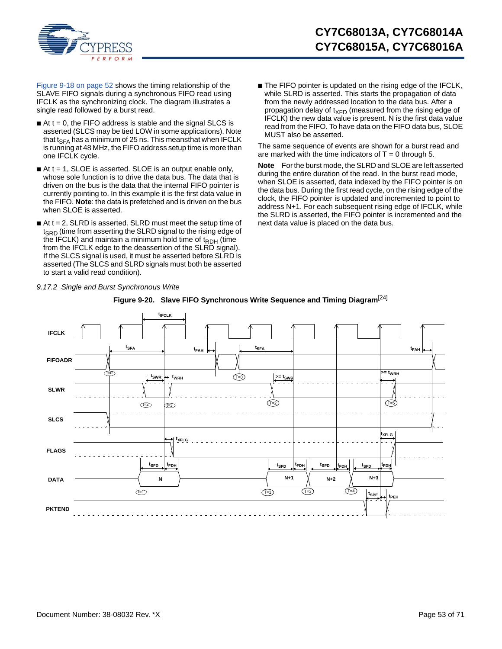

[Figure 9-18 on page 52](#page-51-2) shows the timing relationship of the SLAVE FIFO signals during a synchronous FIFO read using IFCLK as the synchronizing clock. The diagram illustrates a single read followed by a burst read.

- $\blacksquare$  At t = 0, the FIFO address is stable and the signal SLCS is asserted (SLCS may be tied LOW in some applications). Note that t<sub>SFA</sub> has a minimum of 25 ns. This meansthat when IFCLK is running at 48 MHz, the FIFO address setup time is more than one IFCLK cycle.
- $\blacksquare$  At t = 1, SLOE is asserted. SLOE is an output enable only, whose sole function is to drive the data bus. The data that is driven on the bus is the data that the internal FIFO pointer is currently pointing to. In this example it is the first data value in the FIFO. **Note**: the data is prefetched and is driven on the bus when SLOE is asserted.
- $\blacksquare$  At t = 2, SLRD is asserted. SLRD must meet the setup time of  $t<sub>SRD</sub>$  (time from asserting the SLRD signal to the rising edge of the IFCLK) and maintain a minimum hold time of  $t_{RDH}$  (time from the IFCLK edge to the deassertion of the SLRD signal). If the SLCS signal is used, it must be asserted before SLRD is asserted (The SLCS and SLRD signals must both be asserted to start a valid read condition).

■ The FIFO pointer is updated on the rising edge of the IFCLK, while SLRD is asserted. This starts the propagation of data from the newly addressed location to the data bus. After a propagation delay of  $t_{XFD}$  (measured from the rising edge of IFCLK) the new data value is present. N is the first data value read from the FIFO. To have data on the FIFO data bus, SLOE MUST also be asserted.

The same sequence of events are shown for a burst read and are marked with the time indicators of  $T = 0$  through 5.

**Note** For the burst mode, the SLRD and SLOE are left asserted during the entire duration of the read. In the burst read mode, when SLOE is asserted, data indexed by the FIFO pointer is on the data bus. During the first read cycle, on the rising edge of the clock, the FIFO pointer is updated and incremented to point to address N+1. For each subsequent rising edge of IFCLK, while the SLRD is asserted, the FIFO pointer is incremented and the next data value is placed on the data bus.

<span id="page-52-0"></span>

### <span id="page-52-1"></span>*9.17.2 Single and Burst Synchronous Write*

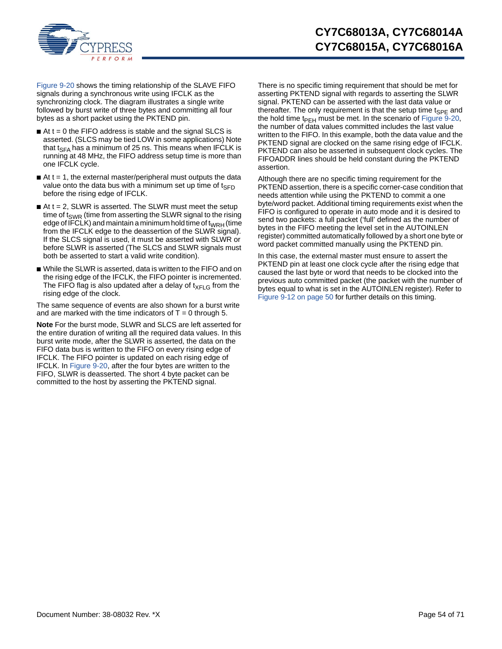

[Figure 9-20](#page-52-0) shows the timing relationship of the SLAVE FIFO signals during a synchronous write using IFCLK as the synchronizing clock. The diagram illustrates a single write followed by burst write of three bytes and committing all four bytes as a short packet using the PKTEND pin.

- $\blacksquare$  At t = 0 the FIFO address is stable and the signal SLCS is asserted. (SLCS may be tied LOW in some applications) Note that t<sub>SFA</sub> has a minimum of 25 ns. This means when IFCLK is running at 48 MHz, the FIFO address setup time is more than one IFCLK cycle.
- $\blacksquare$  At t = 1, the external master/peripheral must outputs the data value onto the data bus with a minimum set up time of  $t_{\text{SFD}}$ before the rising edge of IFCLK.
- $\blacksquare$  At t = 2, SLWR is asserted. The SLWR must meet the setup time of  $t<sub>SWR</sub>$  (time from asserting the SLWR signal to the rising edge of IFCLK) and maintain a minimum hold time of  $t_{WRH}$  (time from the IFCLK edge to the deassertion of the SLWR signal). If the SLCS signal is used, it must be asserted with SLWR or before SLWR is asserted (The SLCS and SLWR signals must both be asserted to start a valid write condition).
- While the SLWR is asserted, data is written to the FIFO and on the rising edge of the IFCLK, the FIFO pointer is incremented. The FIFO flag is also updated after a delay of  $t_{XFLG}$  from the rising edge of the clock.

The same sequence of events are also shown for a burst write and are marked with the time indicators of  $T = 0$  through 5.

**Note** For the burst mode, SLWR and SLCS are left asserted for the entire duration of writing all the required data values. In this burst write mode, after the SLWR is asserted, the data on the FIFO data bus is written to the FIFO on every rising edge of IFCLK. The FIFO pointer is updated on each rising edge of IFCLK. In [Figure 9-20](#page-52-0), after the four bytes are written to the FIFO, SLWR is deasserted. The short 4 byte packet can be committed to the host by asserting the PKTEND signal.

There is no specific timing requirement that should be met for asserting PKTEND signal with regards to asserting the SLWR signal. PKTEND can be asserted with the last data value or thereafter. The only requirement is that the setup time  $t_{\text{SPE}}$  and the hold time t<sub>PEH</sub> must be met. In the scenario of [Figure 9-20](#page-52-0), the number of data values committed includes the last value written to the FIFO. In this example, both the data value and the PKTEND signal are clocked on the same rising edge of IFCLK. PKTEND can also be asserted in subsequent clock cycles. The FIFOADDR lines should be held constant during the PKTEND assertion.

Although there are no specific timing requirement for the PKTEND assertion, there is a specific corner-case condition that needs attention while using the PKTEND to commit a one byte/word packet. Additional timing requirements exist when the FIFO is configured to operate in auto mode and it is desired to send two packets: a full packet ('full' defined as the number of bytes in the FIFO meeting the level set in the AUTOINLEN register) committed automatically followed by a short one byte or word packet committed manually using the PKTEND pin.

In this case, the external master must ensure to assert the PKTEND pin at least one clock cycle after the rising edge that caused the last byte or word that needs to be clocked into the previous auto committed packet (the packet with the number of bytes equal to what is set in the AUTOINLEN register). Refer to [Figure 9-12 on page 50](#page-49-1) for further details on this timing.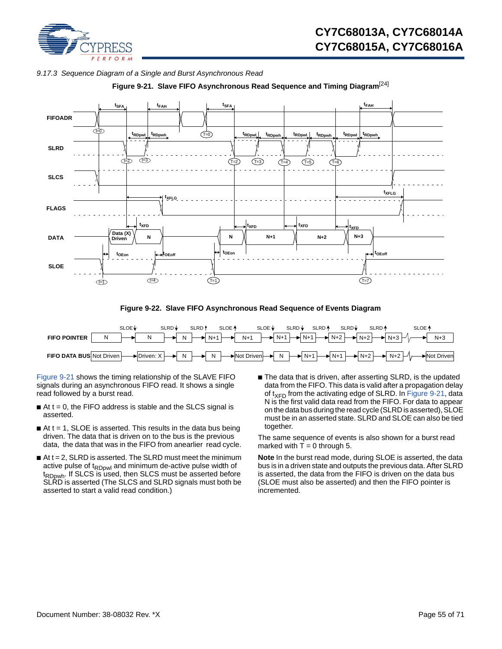

<span id="page-54-1"></span>

<span id="page-54-0"></span>

**Figure 9-21. Slave FIFO Asynchronous Read Sequence and Timing Diagram**[\[24](#page-44-1)]

**Figure 9-22. Slave FIFO Asynchronous Read Sequence of Events Diagram**



[Figure 9-21](#page-54-0) shows the timing relationship of the SLAVE FIFO signals during an asynchronous FIFO read. It shows a single read followed by a burst read.

- $\blacksquare$  At t = 0, the FIFO address is stable and the SLCS signal is asserted.
- $\blacksquare$  At t = 1, SLOE is asserted. This results in the data bus being driven. The data that is driven on to the bus is the previous data, the data that was in the FIFO from anearlier read cycle.
- $\blacksquare$  At t = 2, SLRD is asserted. The SLRD must meet the minimum active pulse of  $t_{\text{RDowl}}$  and minimum de-active pulse width of t<sub>RDpwh</sub>. If SLCS is used, then SLCS must be asserted before SLRD is asserted (The SLCS and SLRD signals must both be asserted to start a valid read condition.)
- The data that is driven, after asserting SLRD, is the updated data from the FIFO. This data is valid after a propagation delay of  $t_{\text{XFD}}$  from the activating edge of SLRD. In [Figure 9-21,](#page-54-0) data N is the first valid data read from the FIFO. For data to appear on the data bus during the read cycle (SLRD is asserted), SLOE must be in an asserted state. SLRD and SLOE can also be tied together.

The same sequence of events is also shown for a burst read marked with  $T = 0$  through 5.

**Note** In the burst read mode, during SLOE is asserted, the data bus is in a driven state and outputs the previous data. After SLRD is asserted, the data from the FIFO is driven on the data bus (SLOE must also be asserted) and then the FIFO pointer is incremented.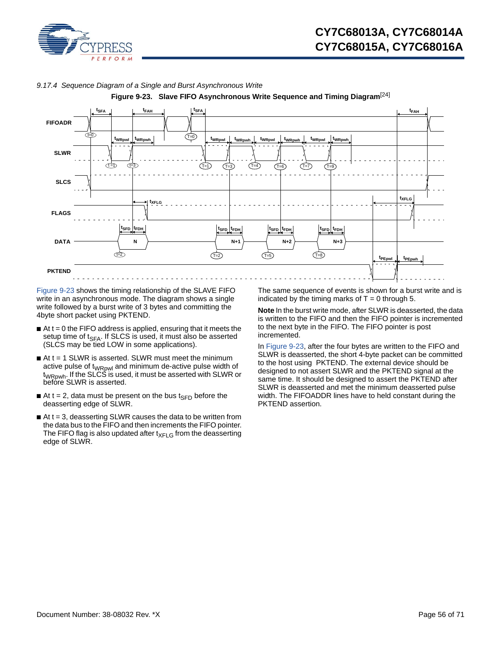

<span id="page-55-0"></span>



**Figure 9-23. Slave FIFO Asynchronous Write Sequence and Timing Diagram**[[24\]](#page-44-1)

[Figure 9-23](#page-55-0) shows the timing relationship of the SLAVE FIFO write in an asynchronous mode. The diagram shows a single write followed by a burst write of 3 bytes and committing the 4byte short packet using PKTEND.

- $\blacksquare$  At t = 0 the FIFO address is applied, ensuring that it meets the setup time of  $t_{SFA}$ . If SLCS is used, it must also be asserted (SLCS may be tied LOW in some applications).
- $\blacksquare$  At t = 1 SLWR is asserted. SLWR must meet the minimum active pulse of t<sub>WRpwl</sub> and minimum de-active pulse width of t<sub>WRpwh</sub>. If the SLCS is used, it must be asserted with SLWR or before SLWR is asserted.
- At t = 2, data must be present on the bus  $t_{\text{SFD}}$  before the deasserting edge of SLWR.
- $\blacksquare$  At t = 3, deasserting SLWR causes the data to be written from the data bus to the FIFO and then increments the FIFO pointer. The FIFO flag is also updated after  $t_{XFI}$  G from the deasserting edge of SLWR.

The same sequence of events is shown for a burst write and is indicated by the timing marks of  $T = 0$  through 5.

**Note** In the burst write mode, after SLWR is deasserted, the data is written to the FIFO and then the FIFO pointer is incremented to the next byte in the FIFO. The FIFO pointer is post incremented.

In [Figure 9-23,](#page-55-0) after the four bytes are written to the FIFO and SLWR is deasserted, the short 4-byte packet can be committed to the host using PKTEND. The external device should be designed to not assert SLWR and the PKTEND signal at the same time. It should be designed to assert the PKTEND after SLWR is deasserted and met the minimum deasserted pulse width. The FIFOADDR lines have to held constant during the PKTEND assertion.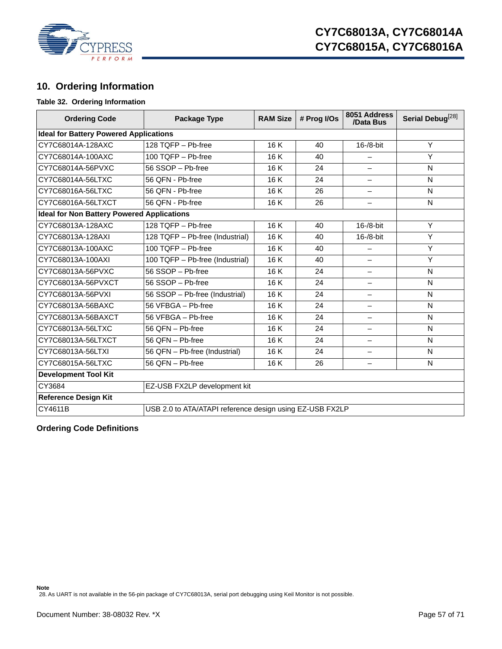

# <span id="page-56-0"></span>**10. Ordering Information**

### <span id="page-56-3"></span>**Table 32. Ordering Information**

| <b>Ordering Code</b>                              | Package Type                                             | <b>RAM Size</b> | # Prog I/Os | 8051 Address<br>/Data Bus | Serial Debug <sup>[28]</sup> |
|---------------------------------------------------|----------------------------------------------------------|-----------------|-------------|---------------------------|------------------------------|
| <b>Ideal for Battery Powered Applications</b>     |                                                          |                 |             |                           |                              |
| CY7C68014A-128AXC                                 | 128 TQFP - Pb-free                                       | 16 K            | 40          | 16-/8-bit                 | Y                            |
| CY7C68014A-100AXC                                 | 100 TQFP - Pb-free                                       | 16 K            | 40          | -                         | Y                            |
| CY7C68014A-56PVXC                                 | 56 SSOP - Pb-free                                        | 16 K            | 24          |                           | N                            |
| CY7C68014A-56LTXC                                 | 56 QFN - Pb-free                                         | 16K             | 24          | $\overline{\phantom{0}}$  | N                            |
| CY7C68016A-56LTXC                                 | 56 QFN - Pb-free                                         | 16 K            | 26          | $\overline{\phantom{0}}$  | N                            |
| CY7C68016A-56LTXCT                                | 56 QFN - Pb-free                                         | 16 K            | 26          | $\qquad \qquad -$         | N                            |
| <b>Ideal for Non Battery Powered Applications</b> |                                                          |                 |             |                           |                              |
| CY7C68013A-128AXC                                 | 128 TQFP - Pb-free                                       | 16 K            | 40          | $16 - 8 - bit$            | Y                            |
| CY7C68013A-128AXI                                 | 128 TQFP - Pb-free (Industrial)                          | 16K             | 40          | 16-/8-bit                 | Y                            |
| CY7C68013A-100AXC                                 | 100 TQFP - Pb-free                                       | 16K             | 40          | $\overline{\phantom{0}}$  | Y                            |
| CY7C68013A-100AXI                                 | 100 TQFP - Pb-free (Industrial)                          | 16K             | 40          | $\overline{\phantom{0}}$  | Y                            |
| CY7C68013A-56PVXC                                 | 56 SSOP - Pb-free                                        | 16 K            | 24          | $\qquad \qquad -$         | N                            |
| CY7C68013A-56PVXCT                                | 56 SSOP - Pb-free                                        | 16 K            | 24          |                           | N                            |
| CY7C68013A-56PVXI                                 | 56 SSOP - Pb-free (Industrial)                           | 16K             | 24          | $\overline{\phantom{0}}$  | N                            |
| CY7C68013A-56BAXC                                 | 56 VFBGA - Pb-free                                       | 16K             | 24          | $\overline{\phantom{0}}$  | N                            |
| CY7C68013A-56BAXCT                                | 56 VFBGA - Pb-free                                       | 16K             | 24          | $\qquad \qquad -$         | N                            |
| CY7C68013A-56LTXC                                 | 56 QFN - Pb-free                                         | 16K             | 24          | $\qquad \qquad -$         | N                            |
| CY7C68013A-56LTXCT                                | 56 QFN - Pb-free                                         | 16 K            | 24          | $\overline{\phantom{0}}$  | N                            |
| CY7C68013A-56LTXI                                 | 56 QFN - Pb-free (Industrial)                            | 16K             | 24          | -                         | N                            |
| CY7C68015A-56LTXC                                 | 56 QFN - Pb-free<br>16K<br>26                            |                 |             |                           | N                            |
| <b>Development Tool Kit</b>                       |                                                          |                 |             |                           |                              |
| CY3684                                            | EZ-USB FX2LP development kit                             |                 |             |                           |                              |
| <b>Reference Design Kit</b>                       |                                                          |                 |             |                           |                              |
| CY4611B                                           | USB 2.0 to ATA/ATAPI reference design using EZ-USB FX2LP |                 |             |                           |                              |

### <span id="page-56-1"></span>**Ordering Code Definitions**

<span id="page-56-2"></span>**Note** 28. As UART is not available in the 56-pin package of CY7C68013A, serial port debugging using Keil Monitor is not possible.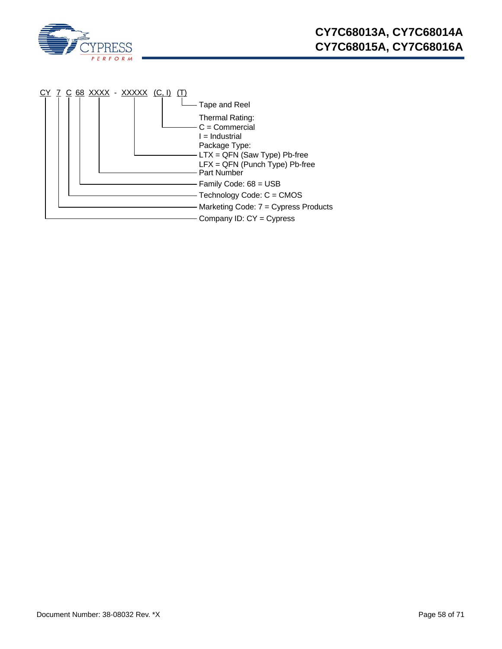

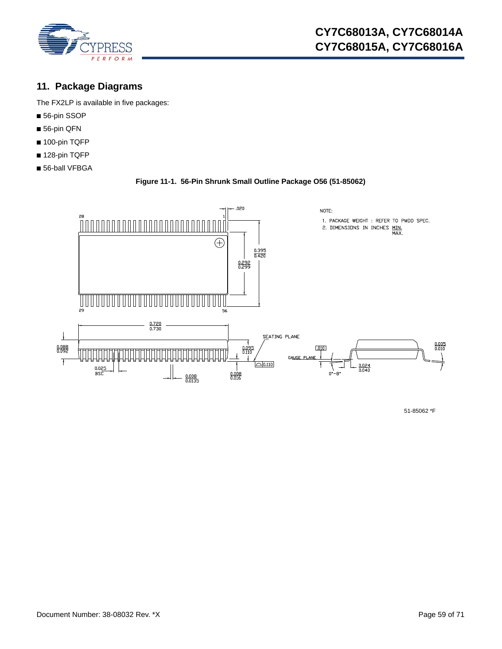

# <span id="page-58-0"></span>**11. Package Diagrams**

The FX2LP is available in five packages:

- 56-pin SSOP
- 56-pin QFN
- 100-pin TQFP
- 128-pin TQFP
- 56-ball VFBGA

**Figure 11-1. 56-Pin Shrunk Small Outline Package O56 (51-85062)**



51-85062 \*F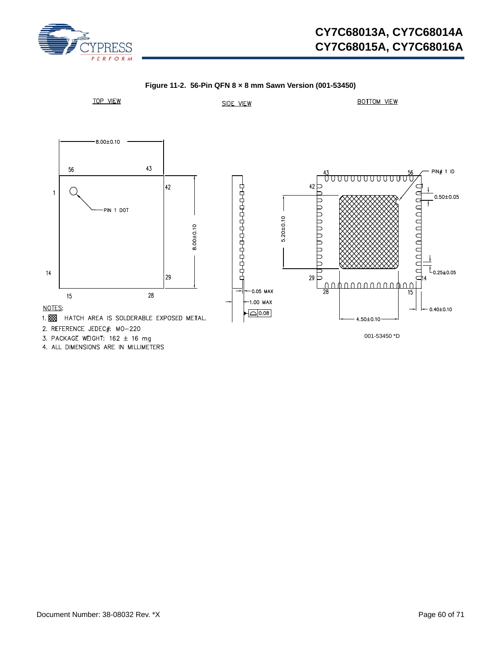

# **CY7C68013A, CY7C68014A CY7C68015A, CY7C68016A**

<span id="page-59-0"></span>

**Figure 11-2. 56-Pin QFN 8 × 8 mm Sawn Version (001-53450)**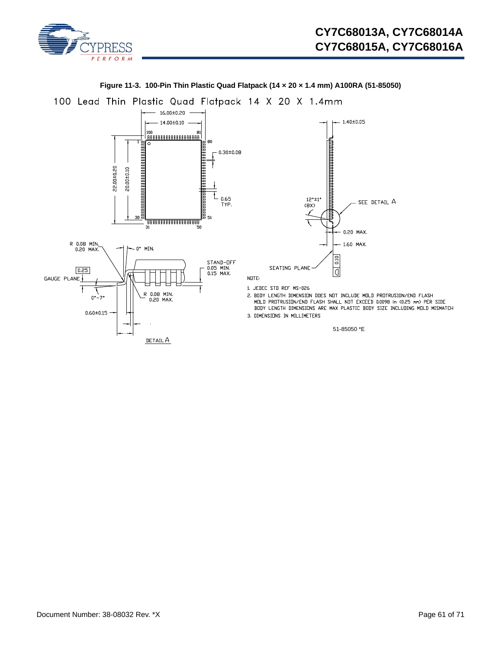

<span id="page-60-0"></span>

### **Figure 11-3. 100-Pin Thin Plastic Quad Flatpack (14 × 20 × 1.4 mm) A100RA (51-85050)**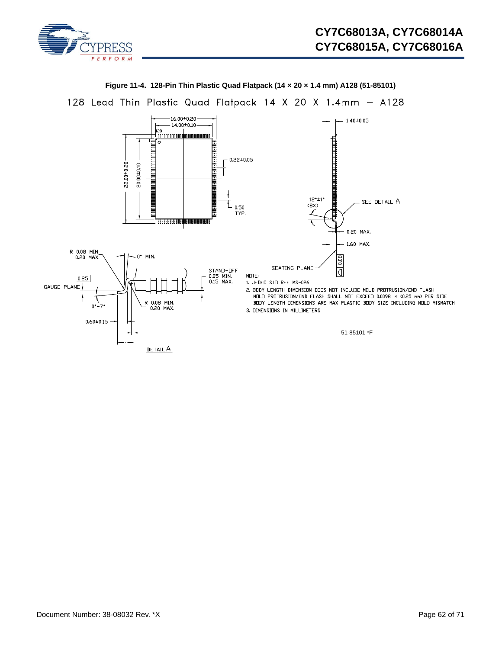

<span id="page-61-0"></span>

**Figure 11-4. 128-Pin Thin Plastic Quad Flatpack (14 × 20 × 1.4 mm) A128 (51-85101)**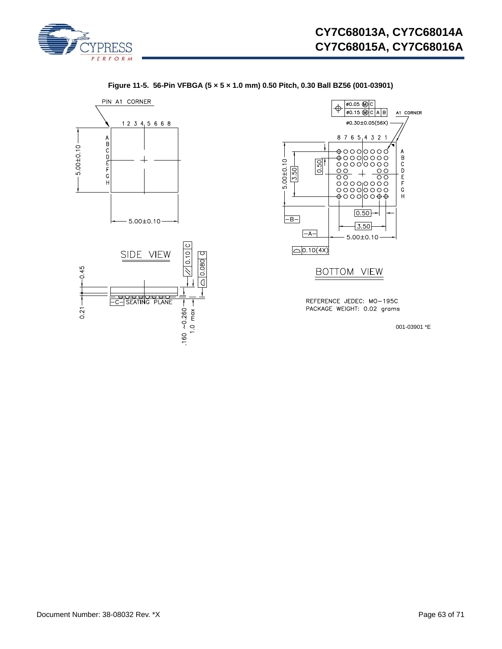

 $A1$  CORNER

ABCDEFGH

 $\circ$  $\circ$ 



**Figure 11-5. 56-Pin VFBGA (5 × 5 × 1.0 mm) 0.50 Pitch, 0.30 Ball BZ56 (001-03901)**

001-03901 \*E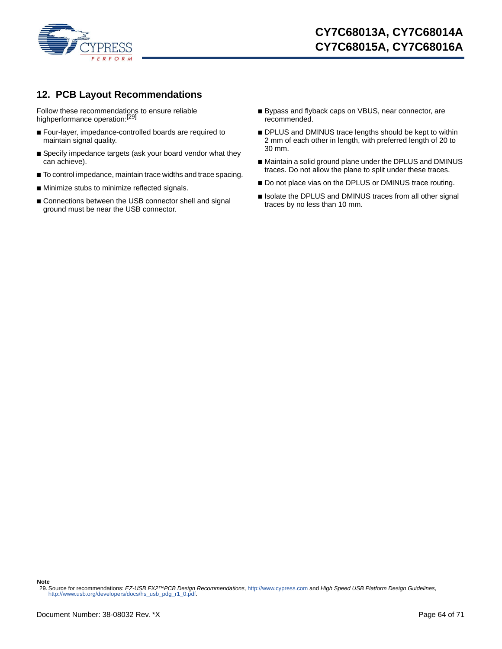

# <span id="page-63-0"></span>**12. PCB Layout Recommendations**

Follow these recommendations to ensure reliable highperformance operation:<sup>[[29\]](#page-63-1)</sup>

- Four-layer, impedance-controlled boards are required to maintain signal quality.
- Specify impedance targets (ask your board vendor what they can achieve).
- To control impedance, maintain trace widths and trace spacing.
- Minimize stubs to minimize reflected signals.
- Connections between the USB connector shell and signal ground must be near the USB connector.
- Bypass and flyback caps on VBUS, near connector, are recommended.
- DPLUS and DMINUS trace lengths should be kept to within 2 mm of each other in length, with preferred length of 20 to 30 mm.
- Maintain a solid ground plane under the DPLUS and DMINUS traces. Do not allow the plane to split under these traces.
- Do not place vias on the DPLUS or DMINUS trace routing.
- Isolate the DPLUS and DMINUS traces from all other signal traces by no less than 10 mm.

**Note**

<span id="page-63-1"></span><sup>29.</sup> Source for recommendations: *EZ-USB FX2™PCB Design Recommendations*,<http://www.cypress.com>and *High Speed USB Platform Design Guidelines*[,](http://www.usb.org/developers/docs/hs_usb_pdg_r1_0.pdf)  http://www.usb.org/developers/docs/hs\_usb\_pdg\_r1\_0.pdf.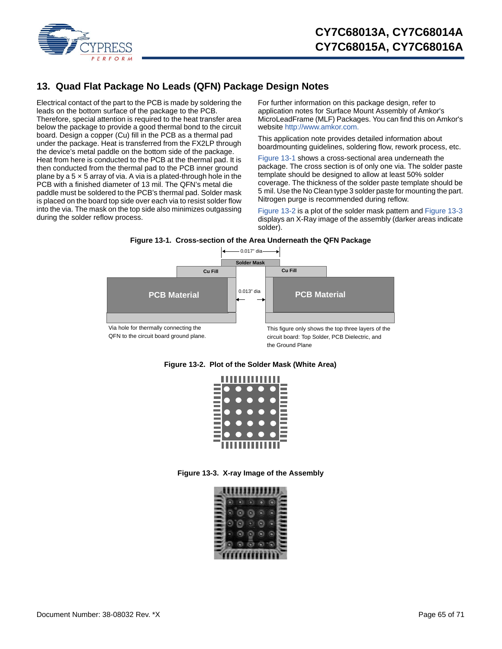

# <span id="page-64-0"></span>**13. Quad Flat Package No Leads (QFN) Package Design Notes**

Electrical contact of the part to the PCB is made by soldering the leads on the bottom surface of the package to the PCB. Therefore, special attention is required to the heat transfer area below the package to provide a good thermal bond to the circuit board. Design a copper (Cu) fill in the PCB as a thermal pad under the package. Heat is transferred from the FX2LP through the device's metal paddle on the bottom side of the package. Heat from here is conducted to the PCB at the thermal pad. It is then conducted from the thermal pad to the PCB inner ground plane by a  $5 \times 5$  array of via. A via is a plated-through hole in the PCB with a finished diameter of 13 mil. The QFN's metal die paddle must be soldered to the PCB's thermal pad. Solder mask is placed on the board top side over each via to resist solder flow into the via. The mask on the top side also minimizes outgassing during the solder reflow process.

For further information on this package design, refer to application notes for Surface Mount Assembly of Amkor's [MicroLeadFrame \(MLF\) Packages. You can find this on Amkor's](http://www.amkor.com)  [website h](http://www.amkor.com)ttp://www.amkor.com.

This application note provides detailed information about boardmounting guidelines, soldering flow, rework process, etc.

[Figure 13-1](#page-64-1) shows a cross-sectional area underneath the package. The cross section is of only one via. The solder paste template should be designed to allow at least 50% solder coverage. The thickness of the solder paste template should be 5 mil. Use the No Clean type 3 solder paste for mounting the part. Nitrogen purge is recommended during reflow.

[Figure 13-2](#page-64-2) is a plot of the solder mask pattern and [Figure 13-3](#page-64-3) displays an X-Ray image of the assembly (darker areas indicate solder).

#### **Figure 13-1. Cross-section of the Area Underneath the QFN Package**

<span id="page-64-1"></span>

the Ground Plane

### <span id="page-64-3"></span><span id="page-64-2"></span>**Figure 13-2. Plot of the Solder Mask (White Area)**



**Figure 13-3. X-ray Image of the Assembly**

|  | ,,,,,,, |   |  |
|--|---------|---|--|
|  |         |   |  |
|  |         | ۰ |  |
|  |         |   |  |
|  |         |   |  |
|  |         |   |  |
|  |         |   |  |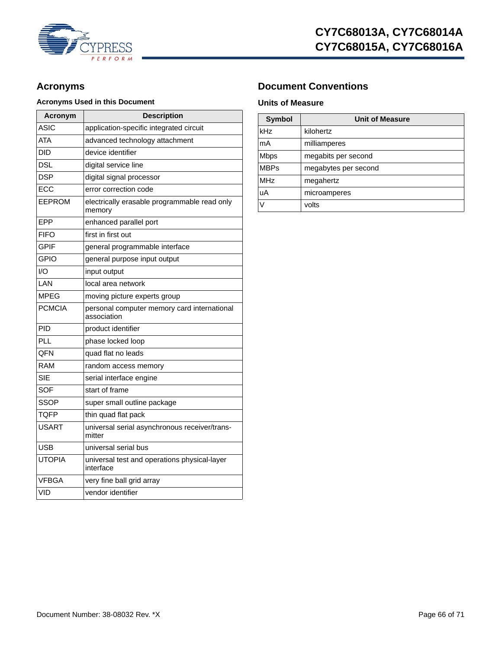

## **Acronyms Used in this Document Units of Measure**

| Acronym       | <b>Description</b>                                         |  |  |
|---------------|------------------------------------------------------------|--|--|
| ASIC          | application-specific integrated circuit                    |  |  |
| ATA           | advanced technology attachment                             |  |  |
| DID           | device identifier                                          |  |  |
| DSL           | digital service line                                       |  |  |
| DSP           | digital signal processor                                   |  |  |
| ECC           | error correction code                                      |  |  |
| EEPROM        | electrically erasable programmable read only<br>memory     |  |  |
| EPP           | enhanced parallel port                                     |  |  |
| FIFO          | first in first out                                         |  |  |
| <b>GPIF</b>   | general programmable interface                             |  |  |
| GPIO          | general purpose input output                               |  |  |
| I/O           | input output                                               |  |  |
| LAN           | local area network                                         |  |  |
| MPFG          | moving picture experts group                               |  |  |
| <b>PCMCIA</b> | personal computer memory card international<br>association |  |  |
| PID           | product identifier                                         |  |  |
| PLL           | phase locked loop                                          |  |  |
| <b>QFN</b>    | quad flat no leads                                         |  |  |
| RAM           | random access memory                                       |  |  |
| <b>SIE</b>    | serial interface engine                                    |  |  |
| SOF           | start of frame                                             |  |  |
| <b>SSOP</b>   | super small outline package                                |  |  |
| TOFP          | thin quad flat pack                                        |  |  |
| <b>USART</b>  | universal serial asynchronous receiver/trans-<br>mitter    |  |  |
| USB           | universal serial bus                                       |  |  |
| UTOPIA        | universal test and operations physical-layer<br>interface  |  |  |
| VFBGA         | very fine ball grid array                                  |  |  |
| VID           | vendor identifier                                          |  |  |

# Acronyms **Document Conventions**

| Symbol      | <b>Unit of Measure</b> |  |  |  |  |
|-------------|------------------------|--|--|--|--|
| kHz         | kilohertz              |  |  |  |  |
| mA          | milliamperes           |  |  |  |  |
| Mbps        | megabits per second    |  |  |  |  |
| <b>MBPs</b> | megabytes per second   |  |  |  |  |
| MHz         | megahertz              |  |  |  |  |
| uA          | microamperes           |  |  |  |  |
| V           | volts                  |  |  |  |  |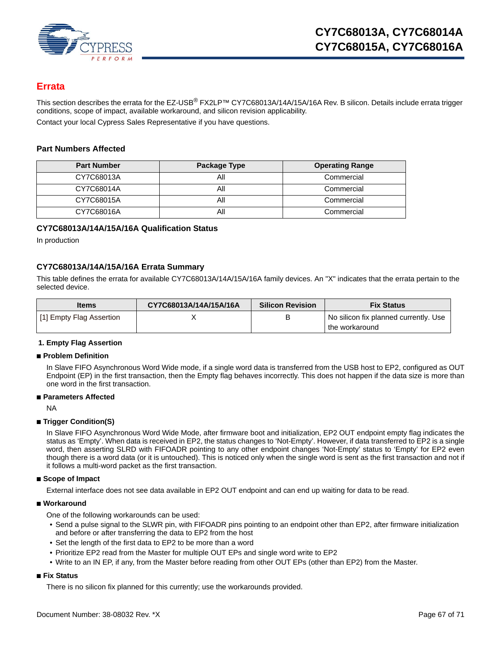

# <span id="page-66-0"></span>**Errata**

This section describes the errata for the EZ-USB<sup>®</sup> FX2LP™ CY7C68013A/14A/15A/16A Rev. B silicon. Details include errata trigger conditions, scope of impact, available workaround, and silicon revision applicability.

Contact your local Cypress Sales Representative if you have questions.

### **Part Numbers Affected**

| <b>Part Number</b> | Package Type | <b>Operating Range</b> |
|--------------------|--------------|------------------------|
| CY7C68013A         | All          | Commercial             |
| CY7C68014A         | All          | Commercial             |
| CY7C68015A         | ΑIΙ          | Commercial             |
| CY7C68016A         | Αll          | Commercial             |

### **CY7C68013A/14A/15A/16A Qualification Status**

In production

### **CY7C68013A/14A/15A/16A Errata Summary**

This table defines the errata for available CY7C68013A/14A/15A/16A family devices. An "X" indicates that the errata pertain to the selected device.

| <b>Items</b>             | CY7C68013A/14A/15A/16A | <b>Silicon Revision</b> | <b>Fix Status</b>                     |
|--------------------------|------------------------|-------------------------|---------------------------------------|
| [1] Empty Flag Assertion |                        |                         | No silicon fix planned currently. Use |
|                          |                        |                         | the workaround                        |

### **1. Empty Flag Assertion**

### ■ **Problem Definition**

In Slave FIFO Asynchronous Word Wide mode, if a single word data is transferred from the USB host to EP2, configured as OUT Endpoint (EP) in the first transaction, then the Empty flag behaves incorrectly. This does not happen if the data size is more than one word in the first transaction.

### ■ **Parameters Affected**

NA

### ■ **Trigger Condition(S)**

In Slave FIFO Asynchronous Word Wide Mode, after firmware boot and initialization, EP2 OUT endpoint empty flag indicates the status as 'Empty'. When data is received in EP2, the status changes to 'Not-Empty'. However, if data transferred to EP2 is a single word, then asserting SLRD with FIFOADR pointing to any other endpoint changes 'Not-Empty' status to 'Empty' for EP2 even though there is a word data (or it is untouched). This is noticed only when the single word is sent as the first transaction and not if it follows a multi-word packet as the first transaction.

### ■ **Scope of Impact**

External interface does not see data available in EP2 OUT endpoint and can end up waiting for data to be read.

### ■ Workaround

One of the following workarounds can be used:

- Send a pulse signal to the SLWR pin, with FIFOADR pins pointing to an endpoint other than EP2, after firmware initialization and before or after transferring the data to EP2 from the host
- Set the length of the first data to EP2 to be more than a word
- Prioritize EP2 read from the Master for multiple OUT EPs and single word write to EP2
- Write to an IN EP, if any, from the Master before reading from other OUT EPs (other than EP2) from the Master.

### ■ **Fix Status**

There is no silicon fix planned for this currently; use the workarounds provided.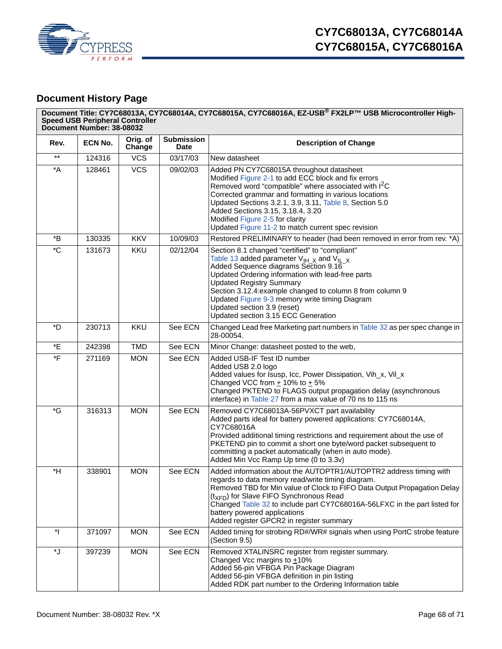

# <span id="page-67-0"></span>**Document History Page**

|                          | Document Title: CY7C68013A, CY7C68014A, CY7C68015A, CY7C68016A, EZ-USB® FX2LP™ USB Microcontroller High-<br><b>Speed USB Peripheral Controller</b><br>Document Number: 38-08032 |                    |                                  |                                                                                                                                                                                                                                                                                                                                                                                                                                         |  |  |
|--------------------------|---------------------------------------------------------------------------------------------------------------------------------------------------------------------------------|--------------------|----------------------------------|-----------------------------------------------------------------------------------------------------------------------------------------------------------------------------------------------------------------------------------------------------------------------------------------------------------------------------------------------------------------------------------------------------------------------------------------|--|--|
| Rev.                     | ECN No.                                                                                                                                                                         | Orig. of<br>Change | <b>Submission</b><br><b>Date</b> | <b>Description of Change</b>                                                                                                                                                                                                                                                                                                                                                                                                            |  |  |
| $^{\star\star}$          | 124316                                                                                                                                                                          | <b>VCS</b>         | 03/17/03                         | New datasheet                                                                                                                                                                                                                                                                                                                                                                                                                           |  |  |
| $^{\ast}$ A              | 128461                                                                                                                                                                          | <b>VCS</b>         | 09/02/03                         | Added PN CY7C68015A throughout datasheet<br>Modified Figure 2-1 to add ECC block and fix errors<br>Removed word "compatible" where associated with I <sup>2</sup> C<br>Corrected grammar and formatting in various locations<br>Updated Sections 3.2.1, 3.9, 3.11, Table 8, Section 5.0<br>Added Sections 3.15, 3.18.4, 3.20<br>Modified Figure 2-5 for clarity<br>Updated Figure 11-2 to match current spec revision                   |  |  |
| $*_{\mathsf{B}}$         | 130335                                                                                                                                                                          | <b>KKV</b>         | 10/09/03                         | Restored PRELIMINARY to header (had been removed in error from rev. *A)                                                                                                                                                                                                                                                                                                                                                                 |  |  |
| $^{\ast}$ C              | 131673                                                                                                                                                                          | KKU                | 02/12/04                         | Section 8.1 changed "certified" to "compliant"<br>Table 13 added parameter $V_{\text{IH }X}$ and $V_{\text{IL }X}$<br>Added Sequence diagrams Section 9.16<br>Updated Ordering information with lead-free parts<br><b>Updated Registry Summary</b><br>Section 3.12.4: example changed to column 8 from column 9<br>Updated Figure 9-3 memory write timing Diagram<br>Updated section 3.9 (reset)<br>Updated section 3.15 ECC Generation |  |  |
| *D                       | 230713                                                                                                                                                                          | <b>KKU</b>         | See ECN                          | Changed Lead free Marketing part numbers in Table 32 as per spec change in<br>28-00054.                                                                                                                                                                                                                                                                                                                                                 |  |  |
| $\,{}^{\star}\mathsf{E}$ | 242398                                                                                                                                                                          | <b>TMD</b>         | See ECN                          | Minor Change: datasheet posted to the web,                                                                                                                                                                                                                                                                                                                                                                                              |  |  |
| $\overline{F}$           | 271169                                                                                                                                                                          | <b>MON</b>         | See ECN                          | Added USB-IF Test ID number<br>Added USB 2.0 logo<br>Added values for Isusp, Icc, Power Dissipation, Vih_x, Vil_x<br>Changed VCC from $\pm$ 10% to $\pm$ 5%<br>Changed PKTEND to FLAGS output propagation delay (asynchronous<br>interface) in Table 27 from a max value of 70 ns to 115 ns                                                                                                                                             |  |  |
| $\mathbf{G}^*$           | 316313                                                                                                                                                                          | <b>MON</b>         | See ECN                          | Removed CY7C68013A-56PVXCT part availability<br>Added parts ideal for battery powered applications: CY7C68014A,<br>CY7C68016A<br>Provided additional timing restrictions and requirement about the use of<br>PKETEND pin to commit a short one byte/word packet subsequent to<br>committing a packet automatically (when in auto mode).<br>Added Min Vcc Ramp Up time (0 to 3.3v)                                                       |  |  |
| *H                       | 338901                                                                                                                                                                          | <b>MON</b>         | See ECN                          | Added information about the AUTOPTR1/AUTOPTR2 address timing with<br>regards to data memory read/write timing diagram.<br>Removed TBD for Min value of Clock to FIFO Data Output Propagation Delay<br>(t <sub>XFD</sub> ) for Slave FIFO Synchronous Read<br>Changed Table 32 to include part CY7C68016A-56LFXC in the part listed for<br>battery powered applications<br>Added register GPCR2 in register summary                      |  |  |
| $\mathbf{r}$             | 371097                                                                                                                                                                          | <b>MON</b>         | See ECN                          | Added timing for strobing RD#/WR# signals when using PortC strobe feature<br>(Section 9.5)                                                                                                                                                                                                                                                                                                                                              |  |  |
| *J                       | 397239                                                                                                                                                                          | <b>MON</b>         | See ECN                          | Removed XTALINSRC register from register summary.<br>Changed Vcc margins to $+10\%$<br>Added 56-pin VFBGA Pin Package Diagram<br>Added 56-pin VFBGA definition in pin listing<br>Added RDK part number to the Ordering Information table                                                                                                                                                                                                |  |  |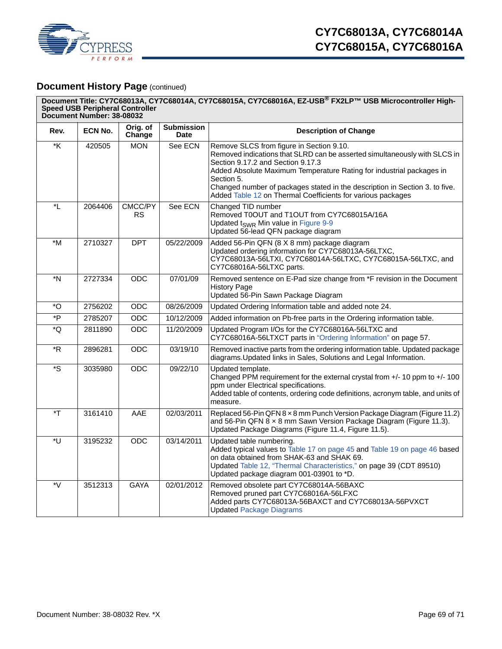

# **Document History Page (continued)**

|                         | Document Title: CY7C68013A, CY7C68014A, CY7C68015A, CY7C68016A, EZ-USB® FX2LP™ USB Microcontroller High-<br><b>Speed USB Peripheral Controller</b><br>Document Number: 38-08032 |                      |                                  |                                                                                                                                                                                                                                                                                                                                                                                                |  |
|-------------------------|---------------------------------------------------------------------------------------------------------------------------------------------------------------------------------|----------------------|----------------------------------|------------------------------------------------------------------------------------------------------------------------------------------------------------------------------------------------------------------------------------------------------------------------------------------------------------------------------------------------------------------------------------------------|--|
| Rev.                    | ECN No.                                                                                                                                                                         | Orig. of<br>Change   | <b>Submission</b><br><b>Date</b> | <b>Description of Change</b>                                                                                                                                                                                                                                                                                                                                                                   |  |
| $\overline{\mathsf{K}}$ | 420505                                                                                                                                                                          | <b>MON</b>           | See ECN                          | Remove SLCS from figure in Section 9.10.<br>Removed indications that SLRD can be asserted simultaneously with SLCS in<br>Section 9.17.2 and Section 9.17.3<br>Added Absolute Maximum Temperature Rating for industrial packages in<br>Section 5.<br>Changed number of packages stated in the description in Section 3. to five.<br>Added Table 12 on Thermal Coefficients for various packages |  |
| $\overline{ }$          | 2064406                                                                                                                                                                         | CMCC/PY<br><b>RS</b> | See ECN                          | Changed TID number<br>Removed T0OUT and T1OUT from CY7C68015A/16A<br>Updated t <sub>SWR</sub> Min value in Figure 9-9<br>Updated 56-lead QFN package diagram                                                                                                                                                                                                                                   |  |
| *M                      | 2710327                                                                                                                                                                         | <b>DPT</b>           | 05/22/2009                       | Added 56-Pin QFN (8 X 8 mm) package diagram<br>Updated ordering information for CY7C68013A-56LTXC,<br>CY7C68013A-56LTXI, CY7C68014A-56LTXC, CY7C68015A-56LTXC, and<br>CY7C68016A-56LTXC parts.                                                                                                                                                                                                 |  |
| *N                      | 2727334                                                                                                                                                                         | ODC                  | 07/01/09                         | Removed sentence on E-Pad size change from *F revision in the Document<br><b>History Page</b><br>Updated 56-Pin Sawn Package Diagram                                                                                                                                                                                                                                                           |  |
| *O                      | 2756202                                                                                                                                                                         | <b>ODC</b>           | 08/26/2009                       | Updated Ordering Information table and added note 24.                                                                                                                                                                                                                                                                                                                                          |  |
| $\overline{P}$          | 2785207                                                                                                                                                                         | <b>ODC</b>           | 10/12/2009                       | Added information on Pb-free parts in the Ordering information table.                                                                                                                                                                                                                                                                                                                          |  |
| *Q                      | 2811890                                                                                                                                                                         | ODC                  | 11/20/2009                       | Updated Program I/Os for the CY7C68016A-56LTXC and<br>CY7C68016A-56LTXCT parts in "Ordering Information" on page 57.                                                                                                                                                                                                                                                                           |  |
| *R                      | 2896281                                                                                                                                                                         | <b>ODC</b>           | 03/19/10                         | Removed inactive parts from the ordering information table. Updated package<br>diagrams. Updated links in Sales, Solutions and Legal Information.                                                                                                                                                                                                                                              |  |
| *S                      | 3035980                                                                                                                                                                         | <b>ODC</b>           | 09/22/10                         | Updated template.<br>Changed PPM requirement for the external crystal from +/- 10 ppm to +/- 100<br>ppm under Electrical specifications.<br>Added table of contents, ordering code definitions, acronym table, and units of<br>measure.                                                                                                                                                        |  |
| $\mathsf{F}^*$          | 3161410                                                                                                                                                                         | AAE                  | 02/03/2011                       | Replaced 56-Pin QFN 8 x 8 mm Punch Version Package Diagram (Figure 11.2)<br>and 56-Pin QFN 8 x 8 mm Sawn Version Package Diagram (Figure 11.3).<br>Updated Package Diagrams (Figure 11.4, Figure 11.5).                                                                                                                                                                                        |  |
| *U                      | 3195232                                                                                                                                                                         | ODC                  | 03/14/2011                       | Updated table numbering.<br>Added typical values to Table 17 on page 45 and Table 19 on page 46 based<br>on data obtained from SHAK-63 and SHAK 69.<br>Updated Table 12, "Thermal Characteristics," on page 39 (CDT 89510)<br>Updated package diagram 001-03901 to *D.                                                                                                                         |  |
| *V                      | 3512313                                                                                                                                                                         | <b>GAYA</b>          | 02/01/2012                       | Removed obsolete part CY7C68014A-56BAXC<br>Removed pruned part CY7C68016A-56LFXC<br>Added parts CY7C68013A-56BAXCT and CY7C68013A-56PVXCT<br><b>Updated Package Diagrams</b>                                                                                                                                                                                                                   |  |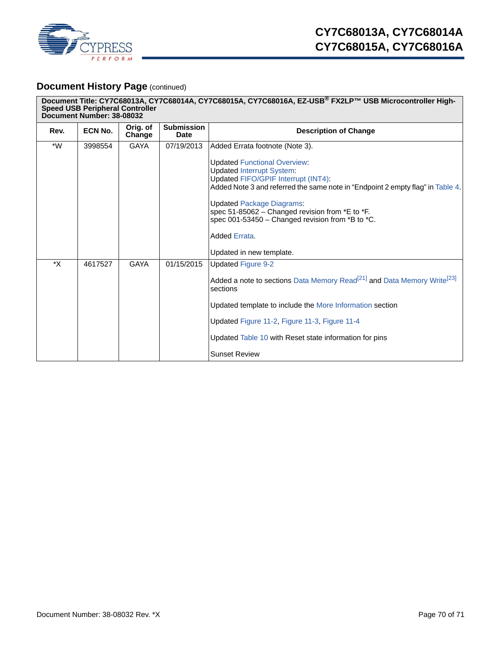

# **Document History Page (continued)**

| Document Title: CY7C68013A, CY7C68014A, CY7C68015A, CY7C68016A, EZ-USB® FX2LP™ USB Microcontroller High-<br><b>Speed USB Peripheral Controller</b><br>Document Number: 38-08032 |         |                    |                                  |                                                                                                                                                                                                                                                                                                                                                                                          |
|---------------------------------------------------------------------------------------------------------------------------------------------------------------------------------|---------|--------------------|----------------------------------|------------------------------------------------------------------------------------------------------------------------------------------------------------------------------------------------------------------------------------------------------------------------------------------------------------------------------------------------------------------------------------------|
| Rev.                                                                                                                                                                            | ECN No. | Orig. of<br>Change | <b>Submission</b><br><b>Date</b> | <b>Description of Change</b>                                                                                                                                                                                                                                                                                                                                                             |
| $*W$                                                                                                                                                                            | 3998554 | <b>GAYA</b>        | 07/19/2013                       | Added Errata footnote (Note 3).                                                                                                                                                                                                                                                                                                                                                          |
|                                                                                                                                                                                 |         |                    |                                  | <b>Updated Functional Overview:</b><br><b>Updated Interrupt System:</b><br>Updated FIFO/GPIF Interrupt (INT4):<br>Added Note 3 and referred the same note in "Endpoint 2 empty flag" in Table 4.<br><b>Updated Package Diagrams:</b><br>spec 51-85062 - Changed revision from *E to *F.<br>spec 001-53450 - Changed revision from *B to *C.<br>Added Errata.<br>Updated in new template. |
| *X                                                                                                                                                                              | 4617527 | <b>GAYA</b>        | 01/15/2015                       | <b>Updated Figure 9-2</b><br>Added a note to sections Data Memory Read <sup>[21]</sup> and Data Memory Write <sup>[23]</sup><br>sections<br>Updated template to include the More Information section<br>Updated Figure 11-2, Figure 11-3, Figure 11-4<br>Updated Table 10 with Reset state information for pins<br><b>Sunset Review</b>                                                  |